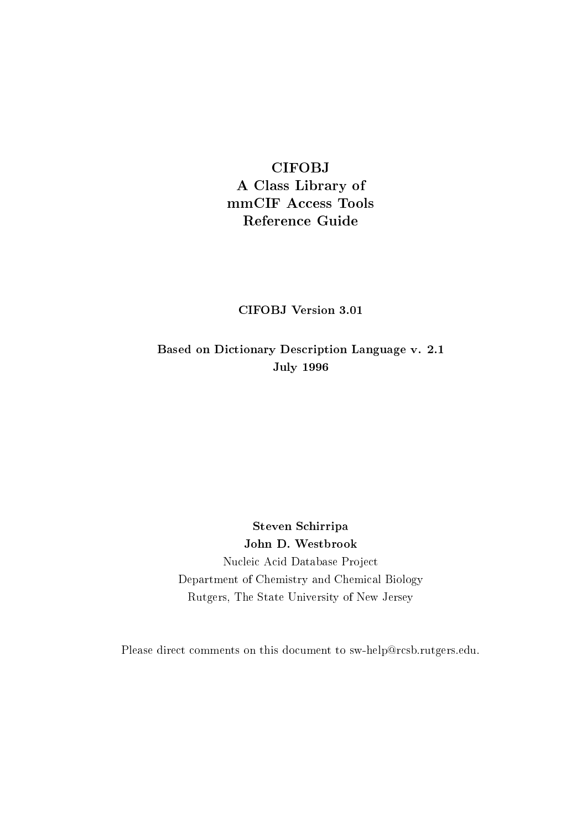# **CIFOBJ**

A Class Library of mmCIF Access Tools **Reference Guide** 

**CIFOBJ** Version 3.01

Based on Dictionary Description Language v. 2.1 **July 1996** 

Steven Schirripa John D. Westbrook Nucleic Acid Database Project Department of Chemistry and Chemical Biology Rutgers, The State University of New Jersey

Please direct comments on this document to sw-help@rcsb.rutgers.edu.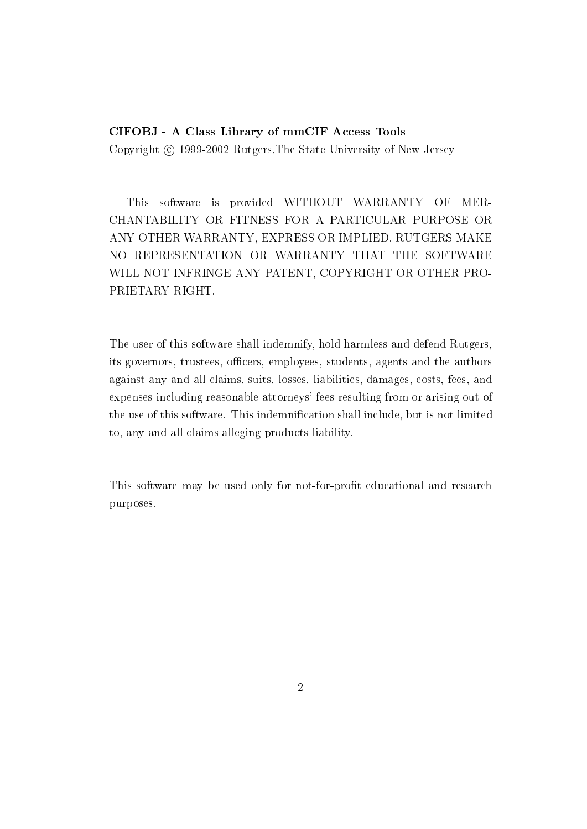#### CIFOBJ - A Class Library of mmCIF Access Tools

Copyright © 1999-2002 Rutgers, The State University of New Jersey

This software is provided WITHOUT WARRANTY OF MER-CHANTABILITY OR FITNESS FOR A PARTICULAR PURPOSE OR ANY OTHER WARRANTY, EXPRESS OR IMPLIED, RUTGERS MAKE NO REPRESENTATION OR WARRANTY THAT THE SOFTWARE WILL NOT INFRINGE ANY PATENT, COPYRIGHT OR OTHER PRO-PRIETARY RIGHT.

The user of this software shall indemnify, hold harmless and defend Rutgers, its governors, trustees, officers, employees, students, agents and the authors against any and all claims, suits, losses, liabilities, damages, costs, fees, and expenses including reasonable attorneys' fees resulting from or arising out of the use of this software. This indemnification shall include, but is not limited to, any and all claims alleging products liability.

This software may be used only for not-for-profit educational and research purposes.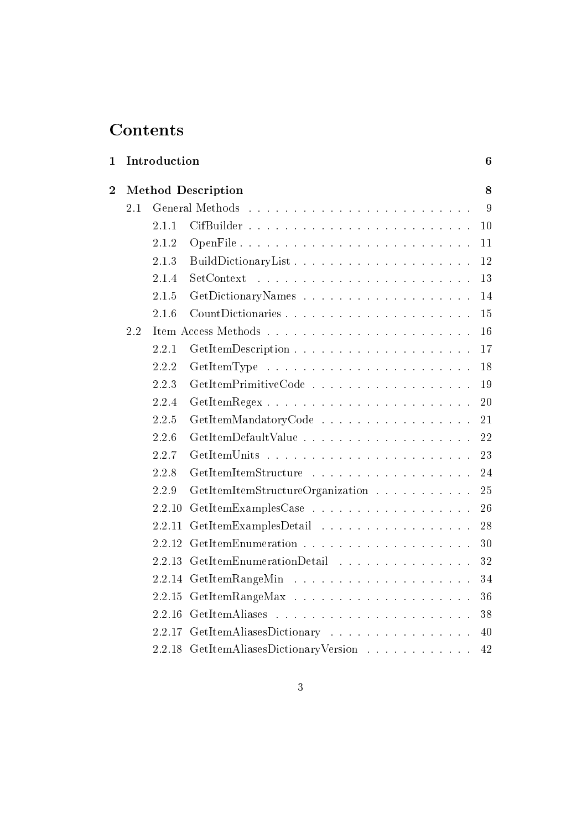# Contents

| 1 |     | $\bf{6}$<br>Introduction  |                                                                                                                                        |        |
|---|-----|---------------------------|----------------------------------------------------------------------------------------------------------------------------------------|--------|
| 2 |     | <b>Method Description</b> |                                                                                                                                        |        |
|   | 2.1 |                           |                                                                                                                                        | 9      |
|   |     | 2.1.1                     |                                                                                                                                        | 10     |
|   |     | 2.1.2                     | OpenFile                                                                                                                               | 11     |
|   |     | 2.1.3                     | BuildDictionaryList                                                                                                                    | 12     |
|   |     | 2.1.4                     | SetContext<br>المناور والمناور والمناور والمناور والمناور والمناور والمناور والمناور والمناور                                          | 13     |
|   |     | 2.1.5                     |                                                                                                                                        | 14     |
|   |     | 2.1.6                     |                                                                                                                                        | $15\,$ |
|   | 2.2 |                           |                                                                                                                                        | 16     |
|   |     | 2.2.1                     |                                                                                                                                        | 17     |
|   |     | 2.2.2                     |                                                                                                                                        | 18     |
|   |     | 2.2.3                     | GetItemPrimitiveCode                                                                                                                   | 19     |
|   |     | 2.2.4                     | GetItemRegex                                                                                                                           | 20     |
|   |     | 2.2.5                     | GetItemMandatoryCode                                                                                                                   | 21     |
|   |     | 2.2.6                     |                                                                                                                                        | 22     |
|   |     | 2.2.7                     |                                                                                                                                        | 23     |
|   |     | 2.2.8                     | GetItemItemStructure                                                                                                                   | 24     |
|   |     | 2.2.9                     | GetItemItemStructureOrganization                                                                                                       | 25     |
|   |     | 2.2.10                    |                                                                                                                                        | 26     |
|   |     | 2.2.11                    | GetItemExamplesDetail                                                                                                                  | 28     |
|   |     | 2.2.12                    |                                                                                                                                        | 30     |
|   |     | 2.2.13                    | GetItemEnumerationDetail                                                                                                               | 32     |
|   |     | 2.2.14                    |                                                                                                                                        | 34     |
|   |     | 2.2.15                    |                                                                                                                                        | 36     |
|   |     | 2.2.16                    | GetItemAliases<br>.<br>The contract of the contract of the contract of the contract of the contract of the contract of the contract of | 38     |
|   |     | 2.2.17                    | GetItemAliasesDictionary                                                                                                               | 40     |
|   |     | 2.2.18                    | GetItemAliasesDictionaryVersion                                                                                                        | 42     |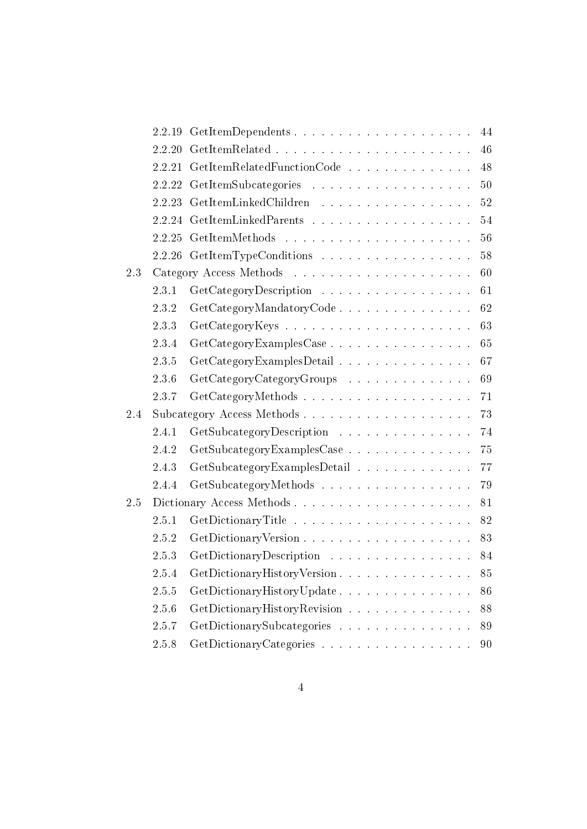|     | 2.2.19 | 44<br>GetItemDependents                                                                                                                  |
|-----|--------|------------------------------------------------------------------------------------------------------------------------------------------|
|     | 2.2.20 | 46                                                                                                                                       |
|     | 2.2.21 | 48<br>$\textbf{GetItemRelatedFunctionCode}\quad \textcolor{red}{\ldots\textcolor{green}{\ldots\textcolor{green}{\ldots\ldots\ldots}}\,.$ |
|     | 2.2.22 | 50                                                                                                                                       |
|     | 2.2.23 | 52<br>GetItemLinkedChildren                                                                                                              |
|     | 2.2.24 | 54                                                                                                                                       |
|     | 2.2.25 | 56                                                                                                                                       |
|     | 2.2.26 | 58<br>GetItemTypeConditions                                                                                                              |
| 2.3 |        | 60                                                                                                                                       |
|     | 2.3.1  | 61<br>GetCategoryDescription                                                                                                             |
|     | 2.3.2  | 62<br>GetCategoryMandatoryCode                                                                                                           |
|     | 2.3.3  | 63                                                                                                                                       |
|     | 2.3.4  | 65<br>GetCategoryExamplesCase                                                                                                            |
|     | 2.3.5  | 67<br>GetCategoryExamplesDetail                                                                                                          |
|     | 2.3.6  | 69<br>GetCategoryCategoryGroups                                                                                                          |
|     | 2.3.7  | 71<br>GetCategoryMethods                                                                                                                 |
| 2.4 |        | 73                                                                                                                                       |
|     | 2.4.1  | GetSubcategoryDescription<br>74                                                                                                          |
|     | 2.4.2  | GetSubcategoryExamplesCase<br>75                                                                                                         |
|     | 2.4.3  | 77<br>GetSubcategoryExamplesDetail                                                                                                       |
|     | 2.4.4  | GetSubcategoryMethods<br>79                                                                                                              |
| 2.5 |        | 81                                                                                                                                       |
|     | 2.5.1  | 82                                                                                                                                       |
|     | 2.5.2  | 83                                                                                                                                       |
|     | 2.5.3  | GetDictionaryDescription<br>84                                                                                                           |
|     | 2.5.4  | GetDictionaryHistoryVersion<br>85                                                                                                        |
|     | 2.5.5  | GetDictionaryHistoryUpdate<br>86                                                                                                         |
|     | 2.5.6  | 88<br>GetDictionaryHistoryRevision                                                                                                       |
|     | 2.5.7  | GetDictionarySubcategories<br>89                                                                                                         |
|     | 2.5.8  | GetDictionaryCategories<br>90                                                                                                            |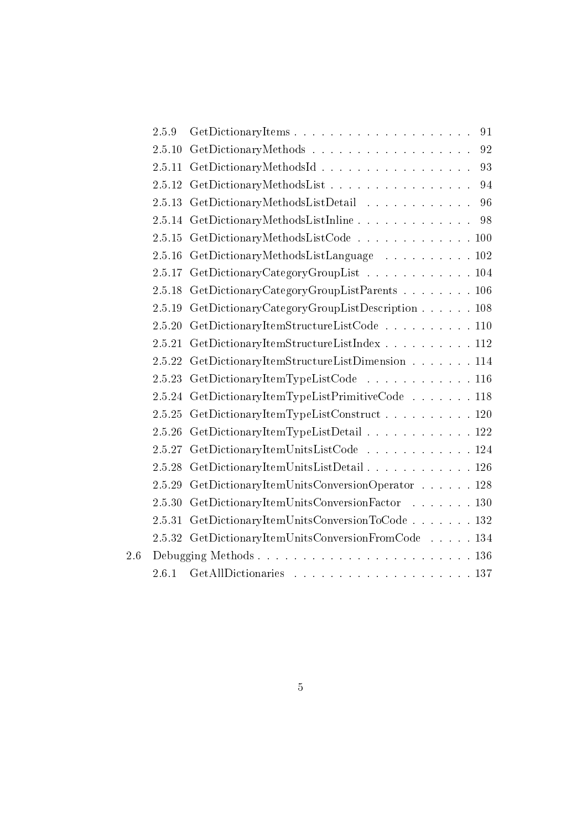|     | 2.5.9  | 91<br>GetDictionaryItems                      |
|-----|--------|-----------------------------------------------|
|     | 2.5.10 | 92                                            |
|     | 2.5.11 | GetDictionaryMethodsId<br>93                  |
|     | 2.5.12 | GetDictionaryMethodsList<br>94                |
|     | 2.5.13 | GetDictionaryMethodsListDetail<br>96          |
|     | 2.5.14 | GetDictionaryMethodsListInline<br>98          |
|     | 2.5.15 | GetDictionaryMethodsListCode 100              |
|     | 2.5.16 | GetDictionaryMethodsListLanguage 102          |
|     | 2.5.17 | GetDictionaryCategoryGroupList 104            |
|     | 2.5.18 | GetDictionaryCategoryGroupListParents 106     |
|     | 2.5.19 | GetDictionaryCategoryGroupListDescription 108 |
|     | 2.5.20 | GetDictionaryItemStructureListCode 110        |
|     | 2.5.21 | GetDictionaryItemStructureListIndex 112       |
|     | 2.5.22 | GetDictionaryItemStructureListDimension 114   |
|     | 2.5.23 | GetDictionaryItemTypeListCode 116             |
|     | 2.5.24 | GetDictionaryItemTypeListPrimitiveCode  118   |
|     | 2.5.25 | GetDictionaryItemTypeListConstruct 120        |
|     | 2.5.26 | GetDictionaryItemTypeListDetail 122           |
|     | 2.5.27 | GetDictionaryItemUnitsListCode 124            |
|     | 2.5.28 | GetDictionaryItemUnitsListDetail 126          |
|     | 2.5.29 | GetDictionaryItemUnitsConversionOperator 128  |
|     | 2.5.30 | GetDictionaryItemUnitsConversionFactor 130    |
|     | 2.5.31 | GetDictionaryItemUnitsConversionToCode 132    |
|     | 2.5.32 | GetDictionaryItemUnitsConversionFromCode  134 |
| 2.6 |        |                                               |
|     | 2.6.1  |                                               |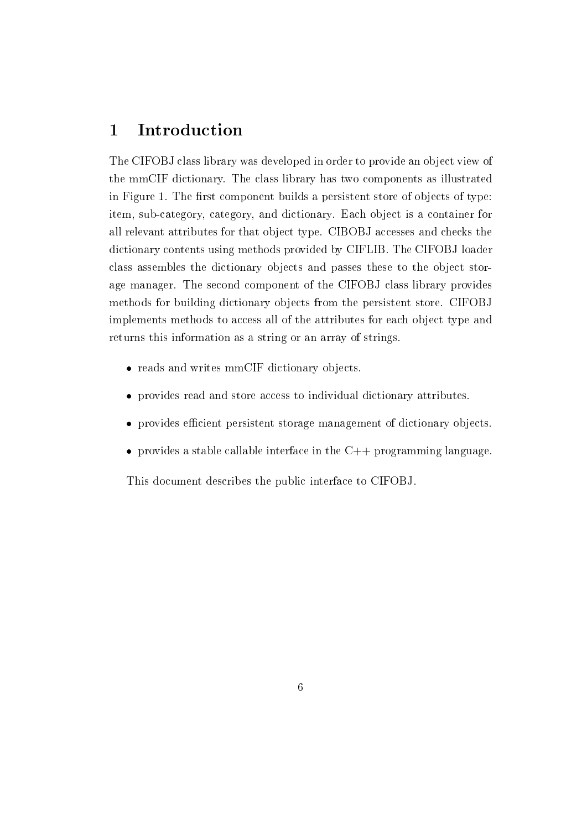#### Introduction  $\mathbf 1$

The CIFOBJ class library was developed in order to provide an object view of the mmCIF dictionary. The class library has two components as illustrated in Figure 1. The first component builds a persistent store of objects of type: item, sub-category, category, and dictionary. Each object is a container for all relevant attributes for that object type. CIBOBJ accesses and checks the dictionary contents using methods provided by CIFLIB. The CIFOBJ loader class assembles the dictionary objects and passes these to the object storage manager. The second component of the CIFOBJ class library provides methods for building dictionary objects from the persistent store. CIFOBJ implements methods to access all of the attributes for each object type and returns this information as a string or an array of strings.

- reads and writes mmCIF dictionary objects.
- provides read and store access to individual dictionary attributes.
- provides efficient persistent storage management of dictionary objects.
- provides a stable callable interface in the  $C++$  programming language.

This document describes the public interface to CIFOBJ.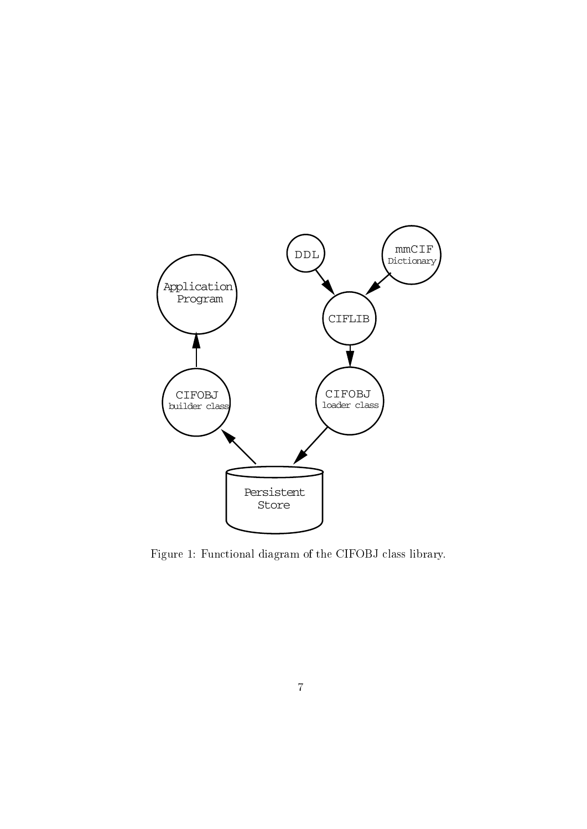

Figure 1: Functional diagram of the CIFOBJ class library.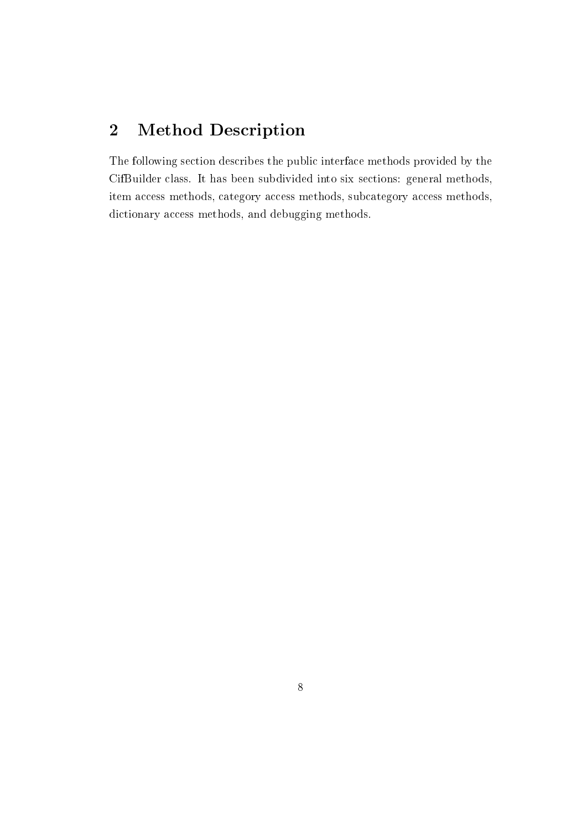#### $\overline{2}$ **Method Description**

The following section describes the public interface methods provided by the CifBuilder class. It has been subdivided into six sections: general methods, item access methods, category access methods, subcategory access methods, dictionary access methods, and debugging methods.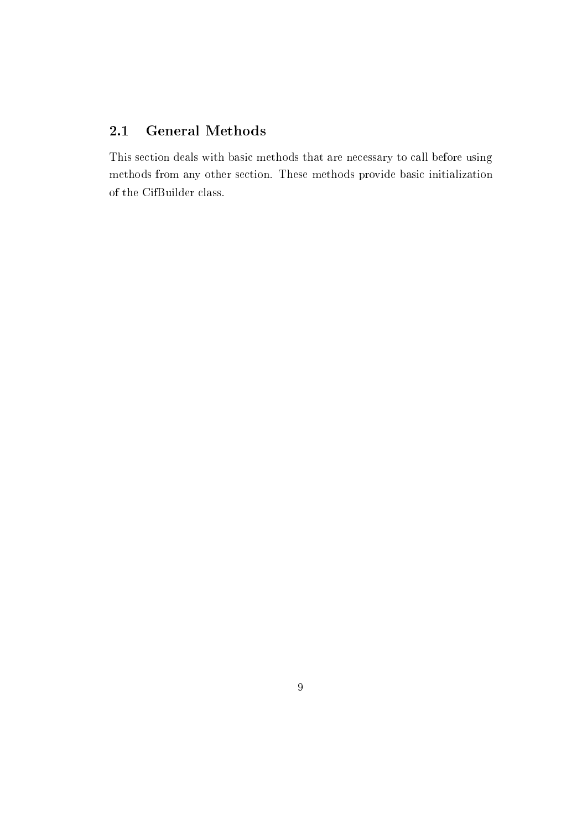#### **General Methods**  $2.1$

This section deals with basic methods that are necessary to call before using methods from any other section. These methods provide basic initialization of the CifBuilder class.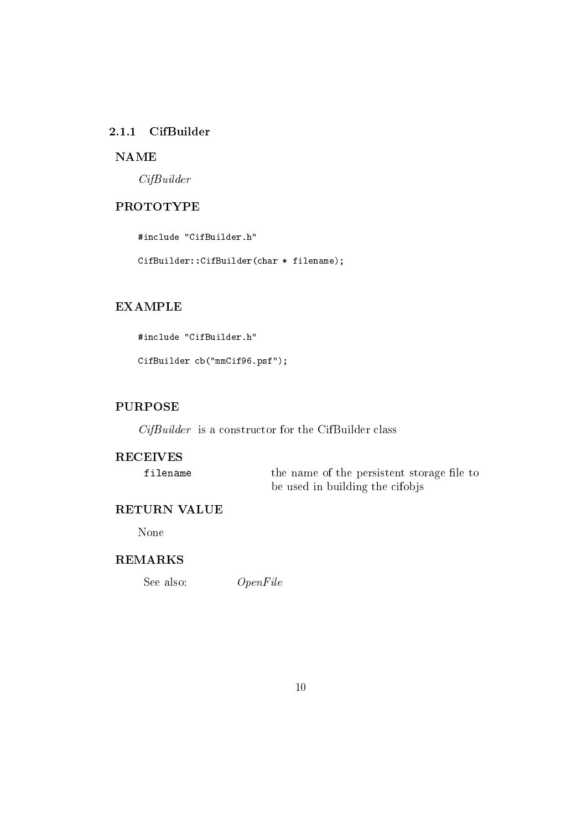### 2.1.1 CifBuilder

# **NAME**

 $CifBuilder$ 

# **PROTOTYPE**

#include "CifBuilder.h"

CifBuilder::CifBuilder(char \* filename);

#### **EXAMPLE**

#include "CifBuilder.h"

CifBuilder cb("mmCif96.psf");

#### **PURPOSE**

 $CifBuilder$  is a constructor for the CifBuilder class

#### **RECEIVES**

filename

the name of the persistent storage file to be used in building the cifobjs

#### RETURN VALUE

None

#### **REMARKS**

 $OpenFile$ See also: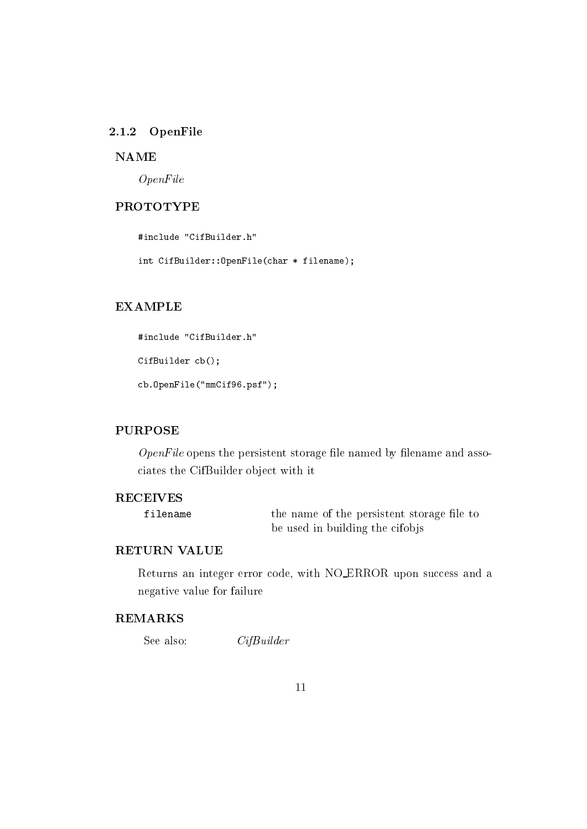#### 2.1.2 OpenFile

#### **NAME**

 $OpenFile$ 

# **PROTOTYPE**

#include "CifBuilder.h"

int CifBuilder:: OpenFile(char \* filename);

#### **EXAMPLE**

```
#include "CifBuilder.h"
CifBuilder cb();
cb.OpenFile("mmCif96.psf");
```
#### **PURPOSE**

 $OpenFile$  opens the persistent storage file named by filename and associates the CifBuilder object with it

#### **RECEIVES**

filename

the name of the persistent storage file to be used in building the cifobjs

# **RETURN VALUE**

Returns an integer error code, with NO\_ERROR upon success and a negative value for failure

# **REMARKS**

```
See also:
                  CifBuilder
```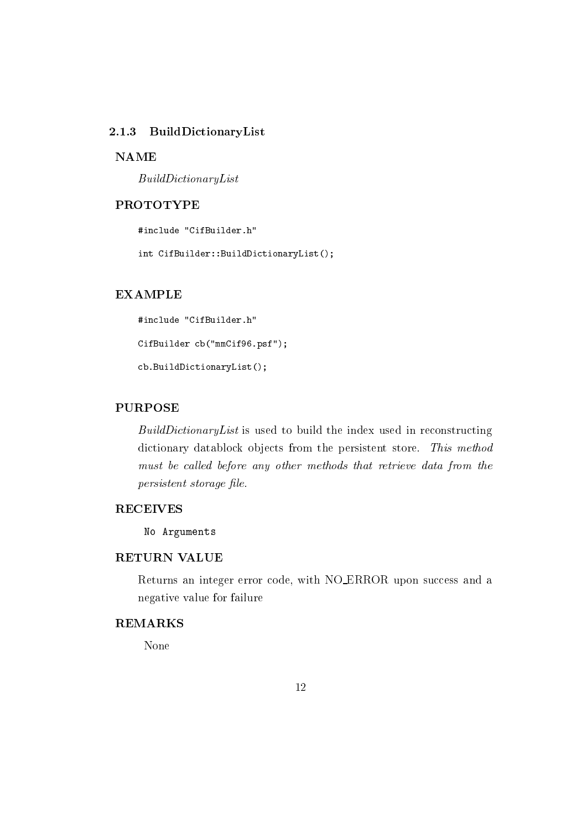#### 2.1.3 BuildDictionaryList

#### **NAME**

 $Build DictionaryList$ 

# **PROTOTYPE**

#include "CifBuilder.h"

int CifBuilder::BuildDictionaryList();

#### **EXAMPLE**

#include "CifBuilder.h" CifBuilder cb("mmCif96.psf"); cb.BuildDictionaryList();

# **PURPOSE**

BuildDictionaryList is used to build the index used in reconstructing dictionary datablock objects from the persistent store. This method must be called before any other methods that retrieve data from the persistent storage file.

#### **RECEIVES**

No Arguments

# **RETURN VALUE**

Returns an integer error code, with NO\_ERROR upon success and a negative value for failure

# **REMARKS**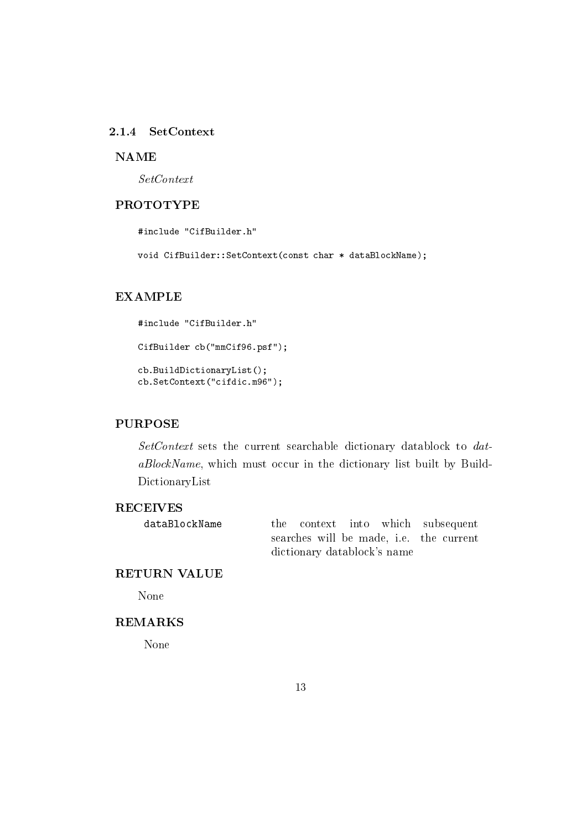#### $2.1.4$ SetContext

#### **NAME**

 $SetContext$ 

#### **PROTOTYPE**

#include "CifBuilder.h"

void CifBuilder::SetContext(const char \* dataBlockName);

# **EXAMPLE**

#include "CifBuilder.h" CifBuilder cb("mmCif96.psf"); cb.BuildDictionaryList(); cb.SetContext("cifdic.m96");

#### **PURPOSE**

SetContext sets the current searchable dictionary datablock to dataBlockName, which must occur in the dictionary list built by Build-DictionaryList

# **RECEIVES**

dataBlockName

the context into which subsequent searches will be made, i.e. the current dictionary datablock's name

# **RETURN VALUE**

None

# **REMARKS**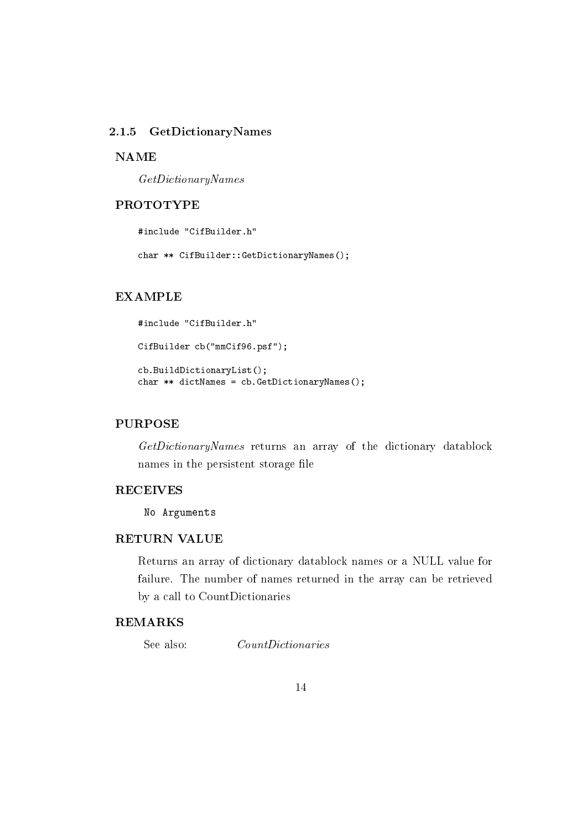#### $2.1.5$ GetDictionaryNames

#### **NAME**

 $GetDictionaryNames$ 

#### **PROTOTYPE**

#include "CifBuilder.h"

char \*\* CifBuilder::GetDictionaryNames();

# **EXAMPLE**

```
#include "CifBuilder.h"
CifBuilder cb("mmCif96.psf");
cb.BuildDictionaryList();
char ** dictNames = cb. GetDictionaryNames();
```
### **PURPOSE**

GetDictionaryNames returns an array of the dictionary datablock names in the persistent storage file

#### **RECEIVES**

No Arguments

# **RETURN VALUE**

Returns an array of dictionary datablock names or a NULL value for failure. The number of names returned in the array can be retrieved by a call to CountDictionaries

#### **REMARKS**

See also:  $CountDictionaries$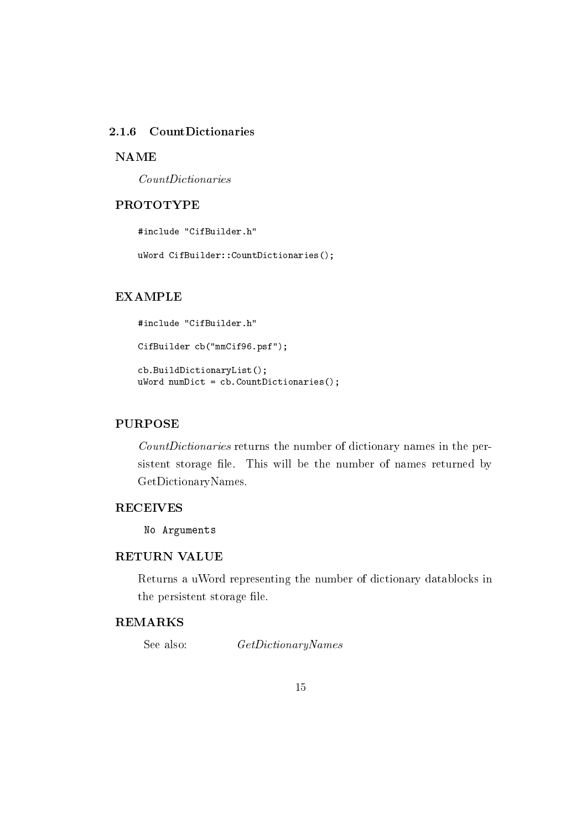# 2.1.6 CountDictionaries

#### **NAME**

 $CountDictionaries$ 

#### **PROTOTYPE**

#include "CifBuilder.h"

uWord CifBuilder:: CountDictionaries();

# **EXAMPLE**

```
#include "CifBuilder.h"
CifBuilder cb("mmCif96.psf");
cb.BuildDictionaryList();
uWord number = cb.CountDictionary is ();
```
### **PURPOSE**

CountDictionaries returns the number of dictionary names in the persistent storage file. This will be the number of names returned by GetDictionaryNames.

### **RECEIVES**

No Arguments

# **RETURN VALUE**

Returns a uWord representing the number of dictionary datablocks in the persistent storage file.

# **REMARKS**

See also:  $GetDictionaryNames$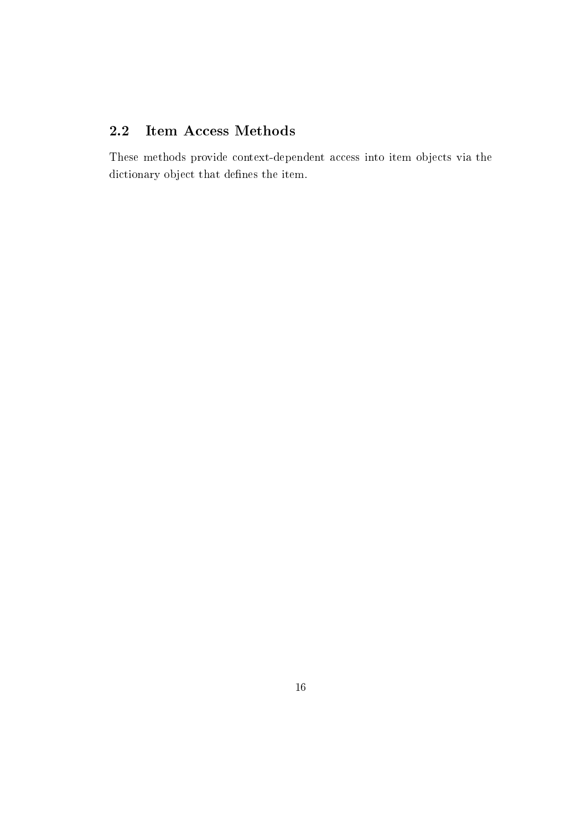#### Item Access Methods  $2.2$

These methods provide context-dependent access into item objects via the dictionary object that defines the item.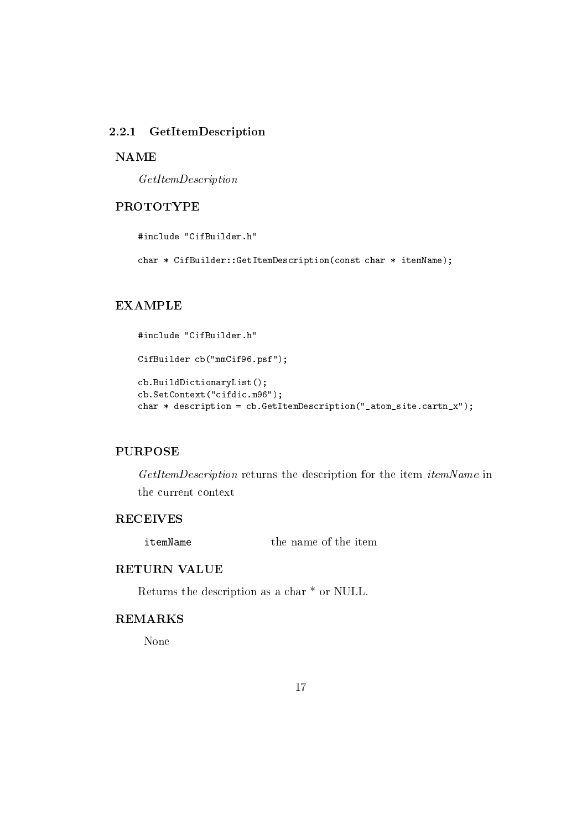#### 2.2.1 GetItemDescription

#### **NAME**

 $GetItemDescription$ 

# **PROTOTYPE**

#include "CifBuilder.h"

char \* CifBuilder::GetItemDescription(const char \* itemName);

#### **EXAMPLE**

```
#include "CifBuilder.h"
CifBuilder cb("mmCif96.psf");
cb.BuildDictionaryList();
cb.SetContext("cifdic.m96");
char * description = cb. GetItemDescription("_atom_site.cartn_x");
```
#### **PURPOSE**

GetItemDescription returns the description for the item itemName in the current context

#### **RECEIVES**

the name of the item itemName

# **RETURN VALUE**

Returns the description as a char  $*$  or NULL.

#### **REMARKS**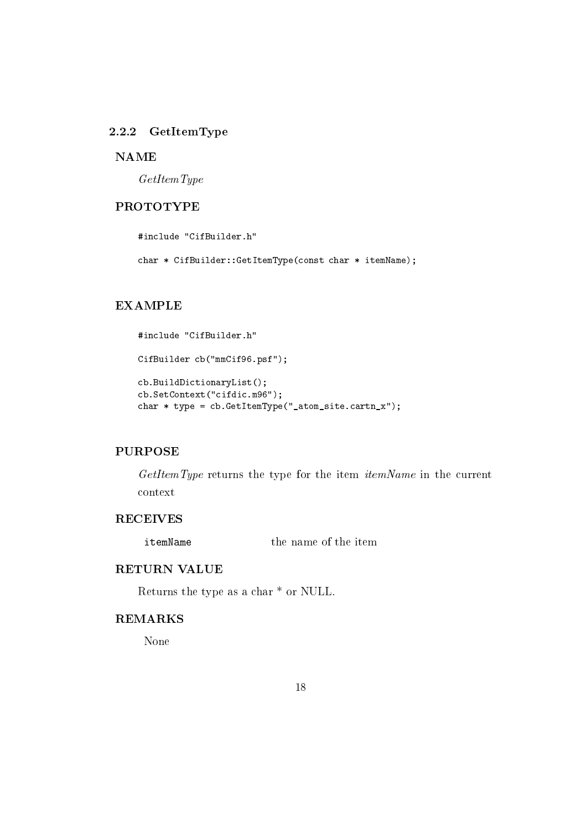### 2.2.2 GetItemType

#### **NAME**

 $GetItemType$ 

# **PROTOTYPE**

#include "CifBuilder.h"

char \* CifBuilder::GetItemType(const char \* itemName);

#### **EXAMPLE**

```
#include "CifBuilder.h"
CifBuilder cb("mmCif96.psf");
cb.BuildDictionaryList();
cb.SetContext("cifdic.m96");
char * type = cb. GetItemType("_atom_site. cartn_x");
```
#### **PURPOSE**

GetItemType returns the type for the item itemName in the current context

#### **RECEIVES**

the name of the item itemName

# **RETURN VALUE**

Returns the type as a char \* or NULL.

#### **REMARKS**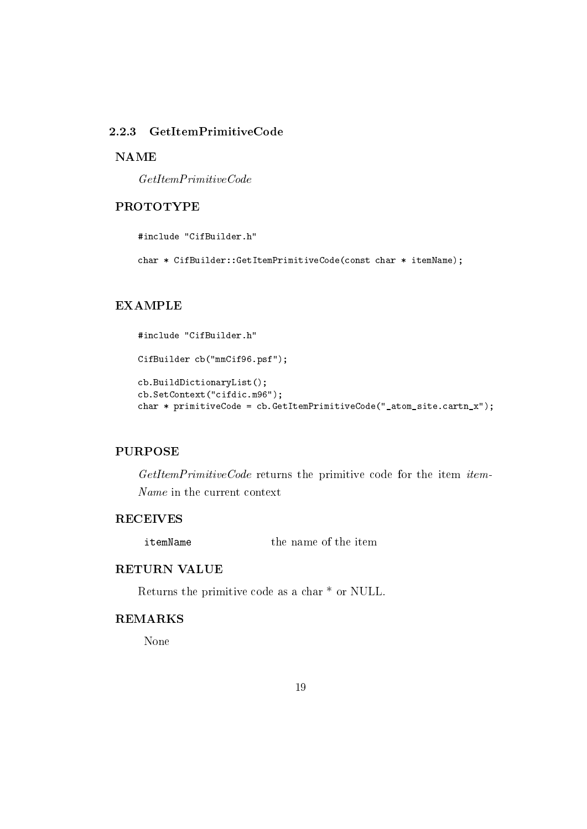# 2.2.3 GetItemPrimitiveCode

#### **NAME**

 $GetItemPrimitive Code$ 

# **PROTOTYPE**

#include "CifBuilder.h"

char \* CifBuilder::GetItemPrimitiveCode(const char \* itemName);

#### **EXAMPLE**

```
#include "CifBuilder.h"
CifBuilder cb("mmCif96.psf");
cb.BuildDictionaryList();
cb.SetContext("cifdic.m96");
char * primitiveCode = cb.GetItemPrimitiveCode("_atom_site.cartn_x");
```
#### **PURPOSE**

GetItemPrimitiveCode returns the primitive code for the item item-Name in the current context

#### **RECEIVES**

the name of the item itemName

# **RETURN VALUE**

Returns the primitive code as a char \* or NULL.

#### **REMARKS**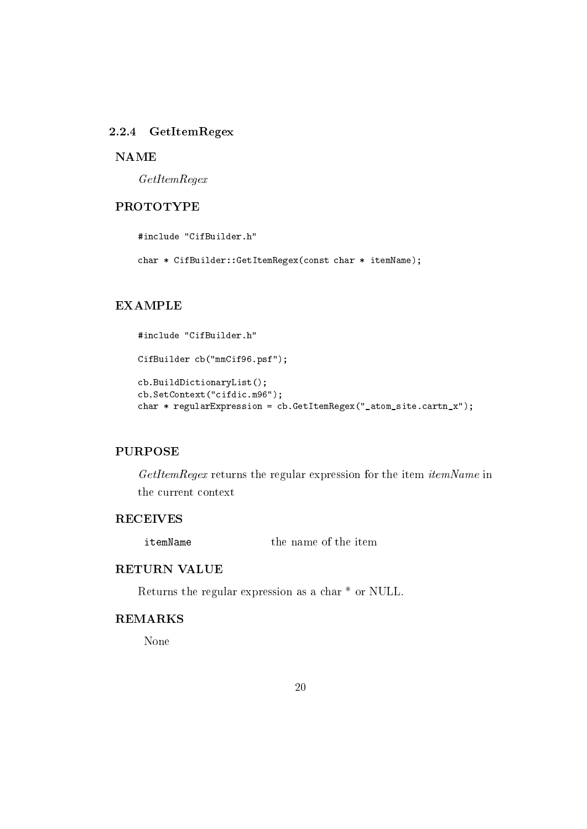#### 2.2.4 GetItemRegex

#### **NAME**

 $GetItemRequest$ 

# **PROTOTYPE**

#include "CifBuilder.h"

char \* CifBuilder::GetItemRegex(const char \* itemName);

#### **EXAMPLE**

```
#include "CifBuilder.h"
CifBuilder cb("mmCif96.psf");
cb.BuildDictionaryList();
cb.SetContext("cifdic.m96");
char * regularExpression = cb.GetItemRegex("_atom_site.cartn_x");
```
#### **PURPOSE**

GetItemRegex returns the regular expression for the item itemName in the current context

#### **RECEIVES**

the name of the item itemName

# **RETURN VALUE**

Returns the regular expression as a char<sup>\*</sup> or NULL.

#### **REMARKS**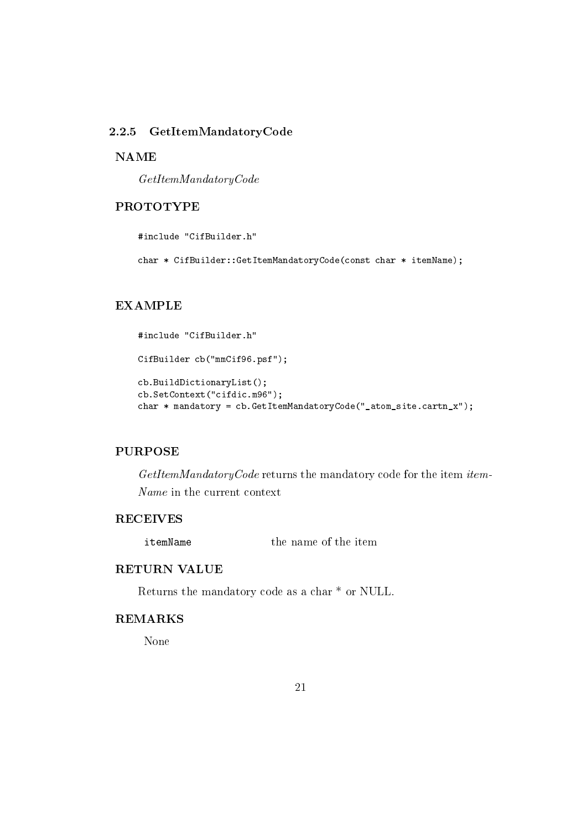#### 2.2.5 GetItemMandatoryCode

#### **NAME**

 $GetItemMandatoryCode$ 

# **PROTOTYPE**

#include "CifBuilder.h"

char \* CifBuilder::GetItemMandatoryCode(const char \* itemName);

#### **EXAMPLE**

```
#include "CifBuilder.h"
CifBuilder cb("mmCif96.psf");
cb.BuildDictionaryList();
cb.SetContext("cifdic.m96");
char * mandatory = cb. GetItemMandatoryCode("_atom_site.cartn_x");
```
#### **PURPOSE**

GetItemMandatoryCode returns the mandatory code for the item item-Name in the current context

# **RECEIVES**

the name of the item itemName

# **RETURN VALUE**

Returns the mandatory code as a char  $^{\ast}$  or NULL.

# **REMARKS**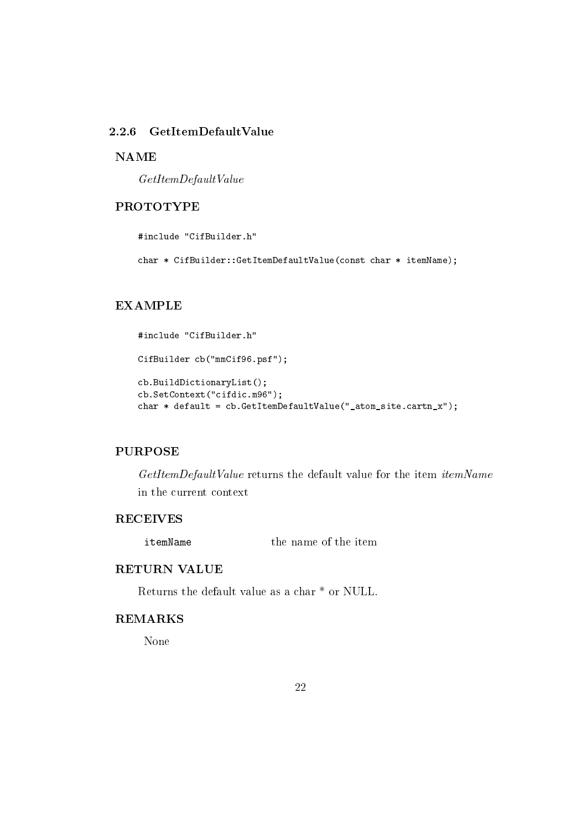# 2.2.6 GetItemDefaultValue

#### **NAME**

 $GetItemDefaultValue$ 

# **PROTOTYPE**

#include "CifBuilder.h"

char \* CifBuilder::GetItemDefaultValue(const char \* itemName);

#### **EXAMPLE**

```
#include "CifBuilder.h"
CifBuilder cb("mmCif96.psf");
cb.BuildDictionaryList();
cb.SetContext("cifdic.m96");
char * default = cb.GetItemDefaultValue("_atom_site.cartn_x");
```
#### **PURPOSE**

GetItemDefaultValue returns the default value for the item itemName in the current context

#### **RECEIVES**

the name of the item itemName

# **RETURN VALUE**

Returns the default value as a char  $*$  or NULL.

#### **REMARKS**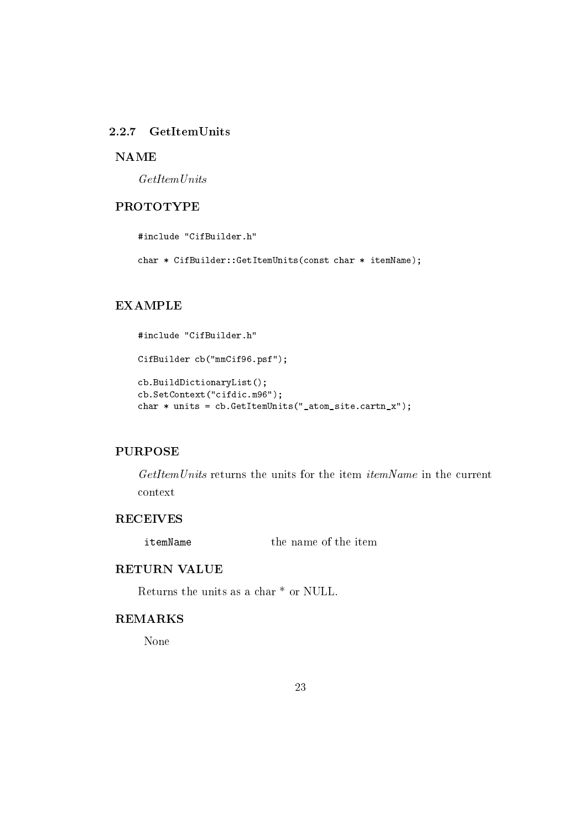#### 2.2.7 GetItemUnits

#### **NAME**

 $GetItem Units$ 

# **PROTOTYPE**

#include "CifBuilder.h"

char \* CifBuilder::GetItemUnits(const char \* itemName);

# **EXAMPLE**

```
#include "CifBuilder.h"
CifBuilder cb("mmCif96.psf");
cb.BuildDictionaryList();
cb.SetContext("cifdic.m96");
char * units = cb. GetItemUnits (" atom site. cartn x");
```
#### **PURPOSE**

GetItemUnits returns the units for the item *itemName* in the current context

#### **RECEIVES**

the name of the item itemName

# **RETURN VALUE**

Returns the units as a char  $*$  or NULL.

#### **REMARKS**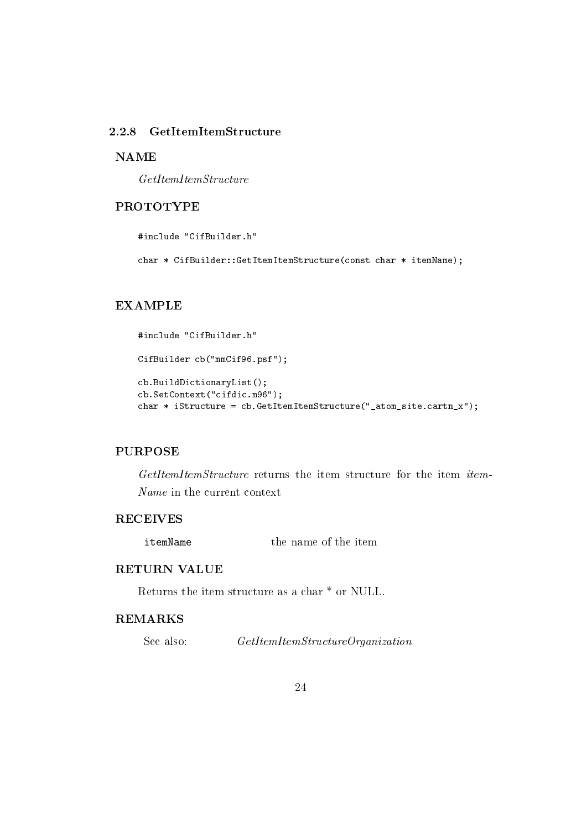# 2.2.8 GetItemItemStructure

#### **NAME**

 $GetItemItemStructure$ 

# **PROTOTYPE**

#include "CifBuilder.h"

char \* CifBuilder::GetItemItemStructure(const char \* itemName);

# **EXAMPLE**

```
#include "CifBuilder.h"
CifBuilder cb("mmCif96.psf");
cb.BuildDictionaryList();
cb.SetContext("cifdic.m96");
char * iStructure = cb. GetItemItemStructure(" atom site. cartn x");
```
#### **PURPOSE**

GetItemItemStructure returns the item structure for the item item-Name in the current context

#### **RECEIVES**

the name of the item itemName

# **RETURN VALUE**

Returns the item structure as a char  $*$  or NULL.

#### **REMARKS**

 $GetItemItemStructure Organization$ See also: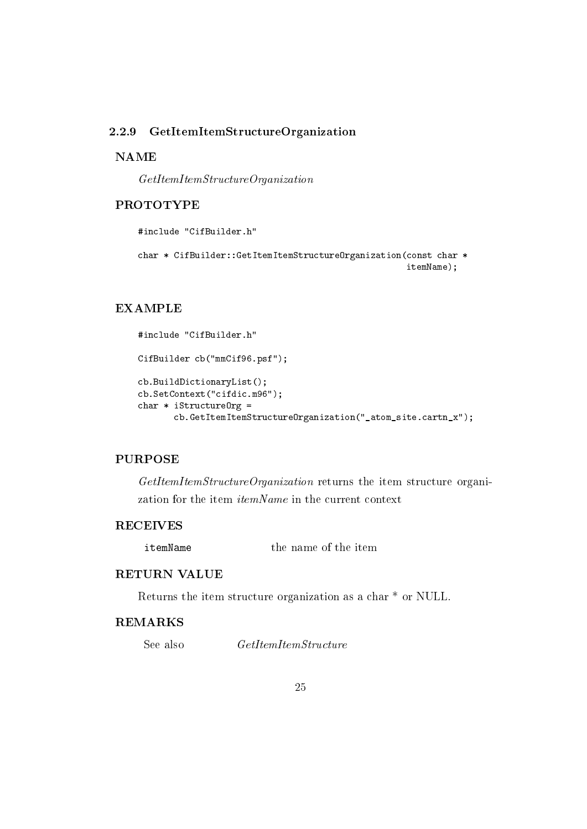### 2.2.9 GetItemItemStructureOrganization

#### **NAME**

 $GetItemItemStructure Organization$ 

#### **PROTOTYPE**

```
#include "CifBuilder.h"
```

```
char * CifBuilder::GetItemItemStructureOrganization(const char *
                                                    itemName);
```
### **EXAMPLE**

```
#include "CifBuilder.h"
CifBuilder cb("mmCif96.psf");
cb.BuildDictionaryList();
cb.SetContext("cifdic.m96");
char * iStructureOrg =
       cb.GetItemItemStructureOrganization("_atom_site.cartn_x");
```
# **PURPOSE**

GetItemItemStructureOrganization returns the item structure organization for the item *itemName* in the current context

# **RECEIVES**

the name of the item itemName

#### **RETURN VALUE**

Returns the item structure organization as a char \* or NULL.

#### **REMARKS**

See also  $GetItemItemStructure$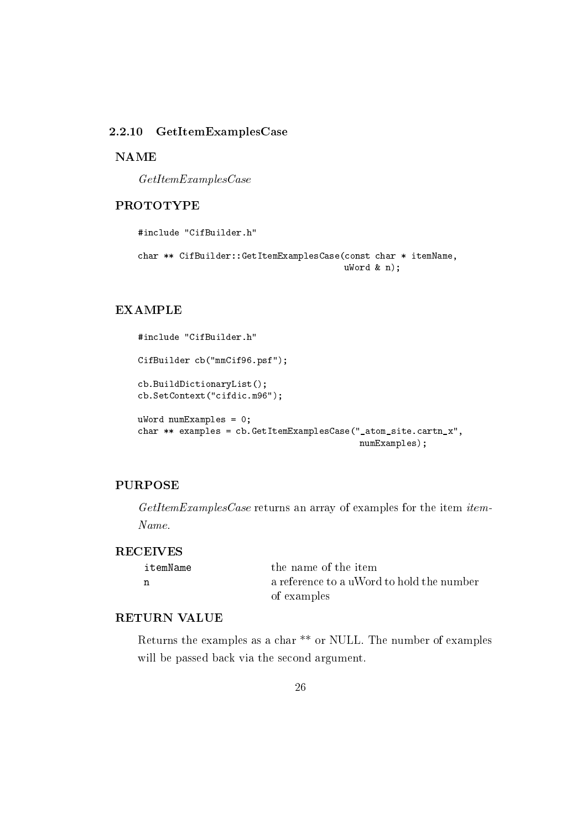#### $GetItemExamplesCase$  $2.2.10$

#### **NAME**

 $GetItemExamplesCase$ 

#### **PROTOTYPE**

#include "CifBuilder.h"

```
char ** CifBuilder::GetItemExamplesCase(const char * itemName,
                                       ukord & n);
```
### **EXAMPLE**

```
#include "CifBuilder.h"
CifBuilder cb("mmCif96.psf");
cb.BuildDictionaryList();
cb.SetContext("cifdic.m96");
ukord numExamples = 0;
char ** examples = cb. GetItemExamplesCase("_atom_site.cartn_x",
                                           numExamples);
```
#### **PURPOSE**

GetItemExamplesCase returns an array of examples for the item item-Name.

#### **RECEIVES**

| itemName | the name of the item                      |
|----------|-------------------------------------------|
| n        | a reference to a uWord to hold the number |
|          | of examples                               |

#### **RETURN VALUE**

Returns the examples as a char<sup>\*\*</sup> or NULL. The number of examples will be passed back via the second argument.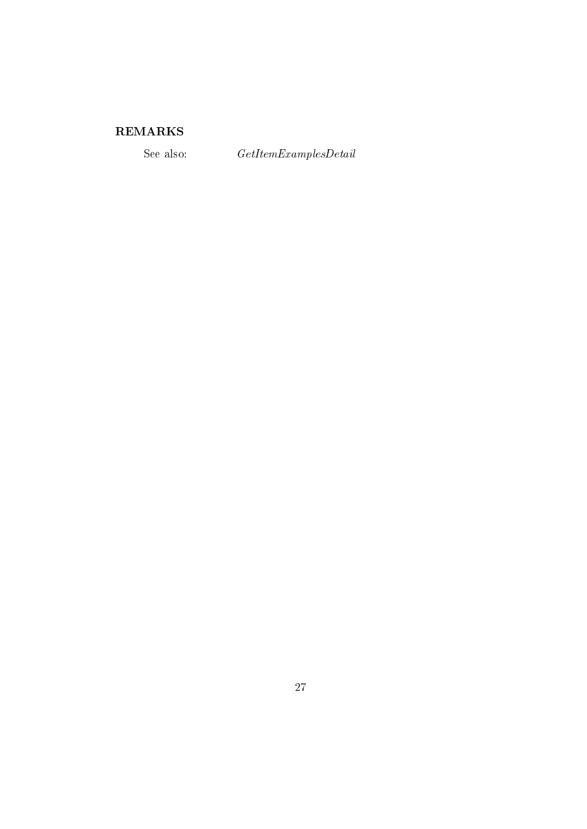# ${\bf REMARKS}$

See also:

 $\label{thm:2} GetItem Examples Detail$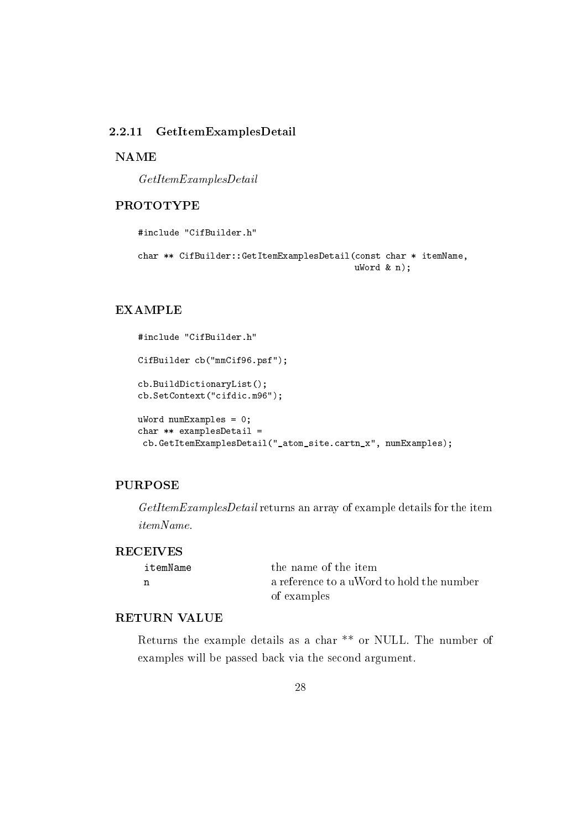#### 2.2.11 GetItemExamplesDetail

**NAME** 

 $GetItemExamplesDetails$ 

#### **PROTOTYPE**

#include "CifBuilder.h"

```
char ** CifBuilder::GetItemExamplesDetail(const char * itemName,
                                          ukord & n);
```
### **EXAMPLE**

```
#include "CifBuilder.h"
CifBuilder cb("mmCif96.psf");
cb.BuildDictionaryList();
cb.SetContext("cifdic.m96");
ukord numExamples = 0;
char ** examplesDetail =
 cb.GetItemExamplesDetail("_atom_site.cartn_x", numExamples);
```
# **PURPOSE**

GetItemExamplesDetail returns an array of example details for the item *itemName.* 

#### **RECEIVES**

| itemName | the name of the item                      |
|----------|-------------------------------------------|
| n        | a reference to a uWord to hold the number |
|          | of examples                               |

#### **RETURN VALUE**

Returns the example details as a char<sup>\*\*</sup> or NULL. The number of examples will be passed back via the second argument.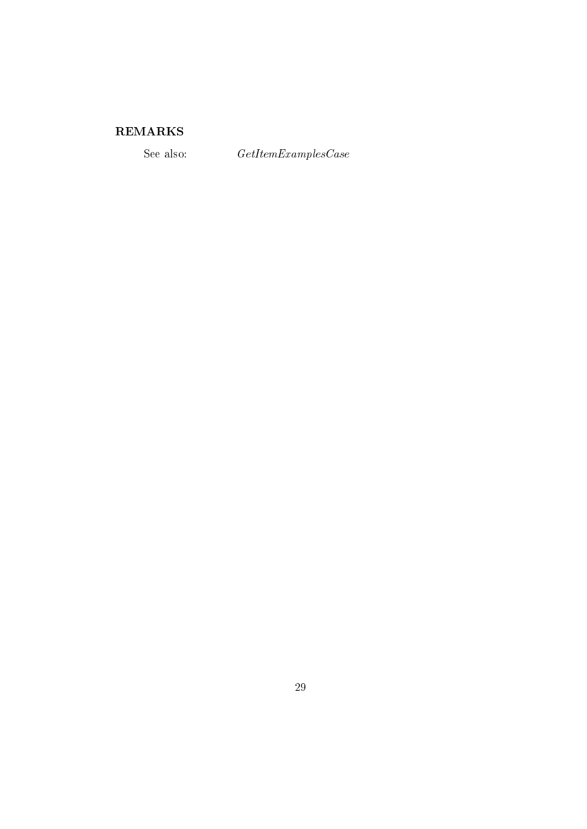# ${\bf REMARKS}$

See also:

 $\label{thm:ce} GetItemExamples Case$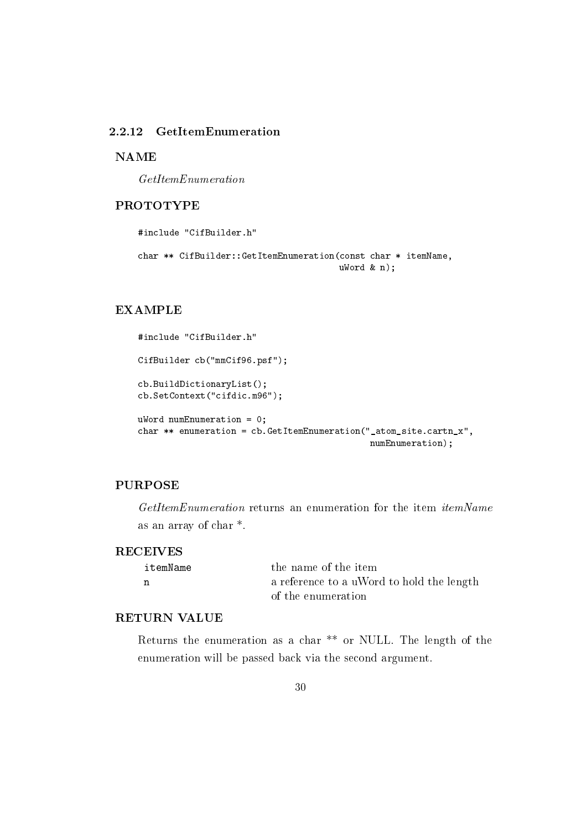# 2.2.12 GetItemEnumeration

**NAME** 

 $GetItemEnumeration$ 

#### **PROTOTYPE**

```
#include "CifBuilder.h"
char ** CifBuilder::GetItemEnumeration(const char * itemName,
                                       ukord & n);
```
# **EXAMPLE**

```
#include "CifBuilder.h"
CifBuilder cb("mmCif96.psf");
cb.BuildDictionaryList();
cb.SetContext("cifdic.m96");
uWord numEnumeration = 0;
char ** enumeration = cb. GetItemEnumeration ("_atom_site.cartn_x",
                                             numEnumeration);
```
# **PURPOSE**

GetItemEnumeration returns an enumeration for the item itemName as an array of char<sup>\*</sup>.

#### **RECEIVES**

| itemName | the name of the item                      |
|----------|-------------------------------------------|
|          | a reference to a uWord to hold the length |
|          | of the enumeration                        |

#### **RETURN VALUE**

Returns the enumeration as a char<sup>\*\*</sup> or NULL. The length of the enumeration will be passed back via the second argument.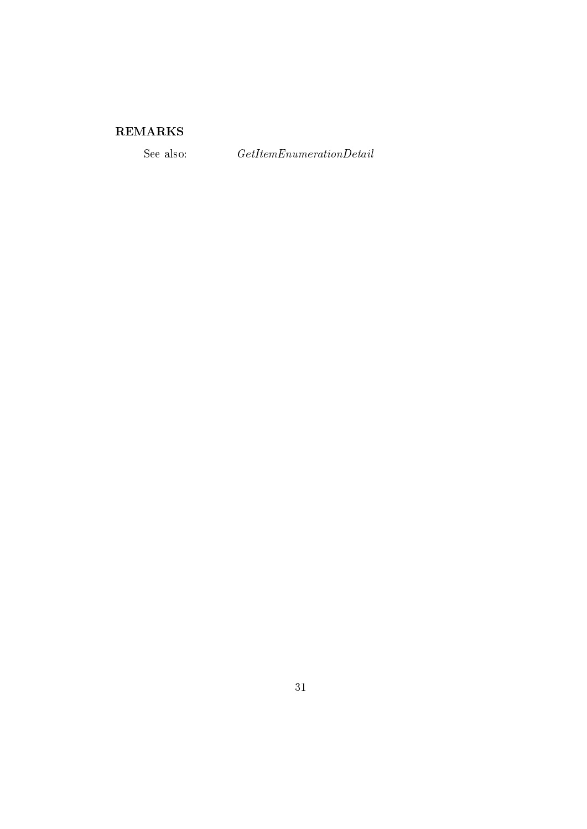# ${\bf REMARKS}$

See also:

 $\label{thm:ce} GetItemEnumeration Details$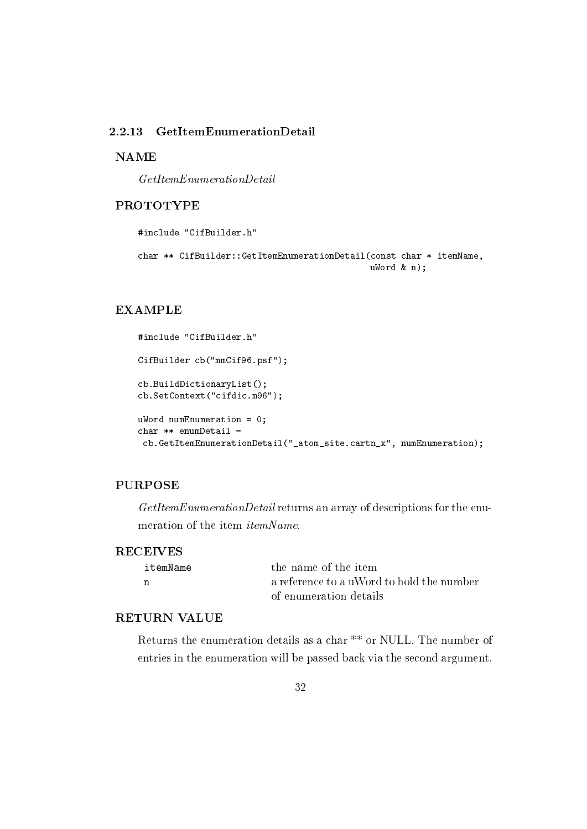#### GetItemEnumerationDetail  $2.2.13$

**NAME** 

 $GetItemEnumerationDetails$ 

#### **PROTOTYPE**

#include "CifBuilder.h"

```
char ** CifBuilder::GetItemEnumerationDetail(const char * itemName,
                                             ukord & n);
```
### **EXAMPLE**

```
#include "CifBuilder.h"
CifBuilder cb("mmCif96.psf");
cb.BuildDictionaryList();
cb.SetContext("cifdic.m96");
uWord numEnumeration = 0;
char ** enumDetail =
 cb.GetItemEnumerationDetail("_atom_site.cartn_x", numEnumeration);
```
# **PURPOSE**

GetItemEnumerationDetail returns an array of descriptions for the enumeration of the item *itemName*.

#### **RECEIVES**

| itemName | the name of the item                      |
|----------|-------------------------------------------|
| n        | a reference to a uWord to hold the number |
|          | of enumeration details                    |

#### **RETURN VALUE**

Returns the enumeration details as a char<sup>\*\*</sup> or NULL. The number of entries in the enumeration will be passed back via the second argument.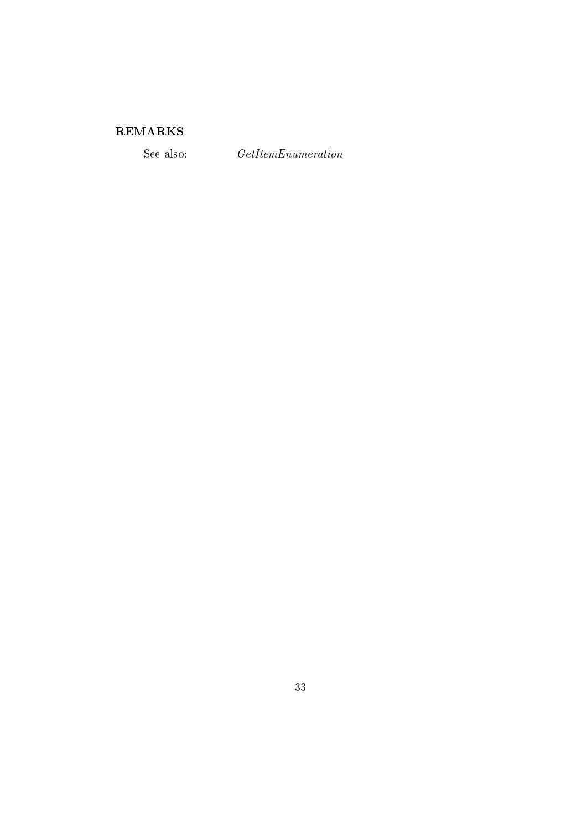# ${\bf REMARKS}$

See also:

 $\label{thm:ce} GetItemEnumeration$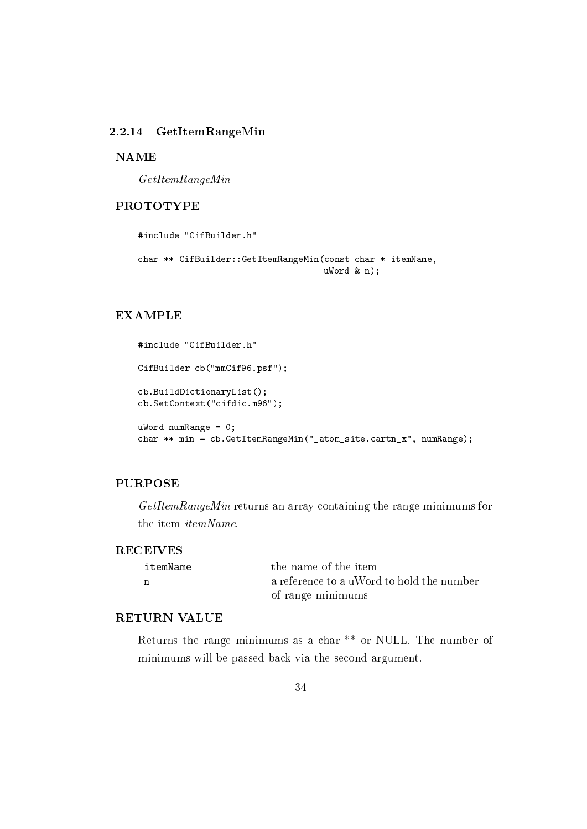#### 2.2.14 GetItemRangeMin

#### **NAME**

 $GetItemRangeMin$ 

# **PROTOTYPE**

```
#include "CifBuilder.h"
char ** CifBuilder::GetItemRangeMin(const char * itemName,
                                    ukord & n):
```
#### **EXAMPLE**

```
#include "CifBuilder.h"
CifBuilder cb("mmCif96.psf");
cb.BuildDictionaryList();
cb.SetContext("cifdic.m96");
uWord numRange = 0;
char ** min = cb. GetItemRangeMin("_atom_site.cartn_x", numRange);
```
# **PURPOSE**

 $GetItemRangeMin$  returns an array containing the range minimums for the item *itemName*.

#### **RECEIVES**

| itemName | the name of the item                      |
|----------|-------------------------------------------|
|          | a reference to a uWord to hold the number |
|          | of range minimums                         |

#### **RETURN VALUE**

Returns the range minimums as a char \*\* or NULL. The number of minimums will be passed back via the second argument.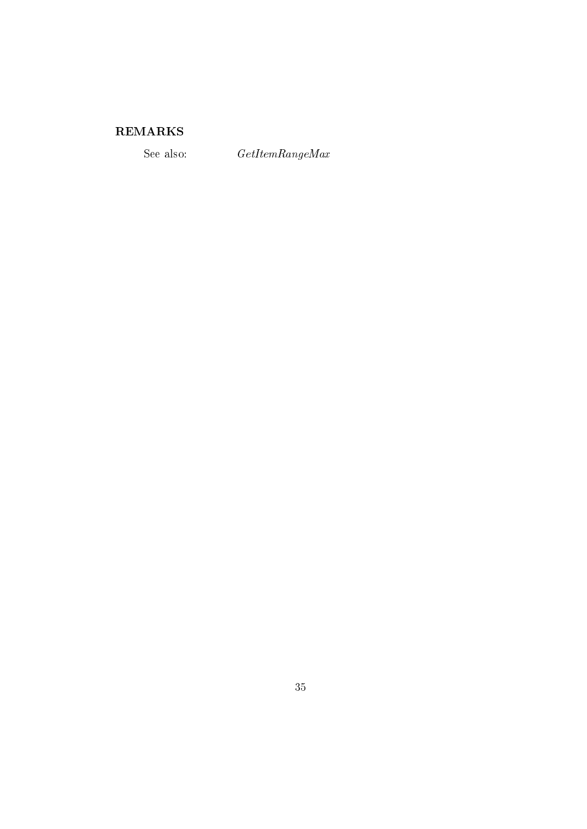# ${\bf REMARKS}$

See also:

 $\label{thm:ce} GetItemRangeMax$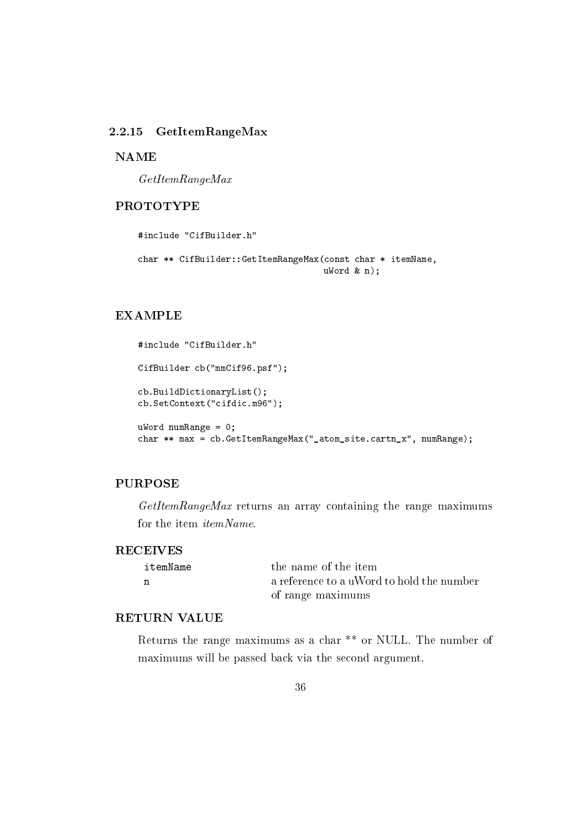#### 2.2.15  $GetItemRangeMax$

**NAME** 

 $GetItemRangeMax$ 

# **PROTOTYPE**

```
#include "CifBuilder.h"
char ** CifBuilder::GetItemRangeMax(const char * itemName,
                                    ukord & n):
```
#### **EXAMPLE**

```
#include "CifBuilder.h"
CifBuilder cb("mmCif96.psf");
cb.BuildDictionaryList();
cb.SetContext("cifdic.m96");
uWord numRange = 0;
char ** max = cb. GetItemRangeMax("_atom_site.cartn_x", numRange);
```
# **PURPOSE**

GetItemRangeMax returns an array containing the range maximums for the item *itemName*.

#### **RECEIVES**

| itemName | the name of the item                      |
|----------|-------------------------------------------|
|          | a reference to a uWord to hold the number |
|          | of range maximums                         |

#### **RETURN VALUE**

Returns the range maximums as a char \*\* or NULL. The number of maximums will be passed back via the second argument.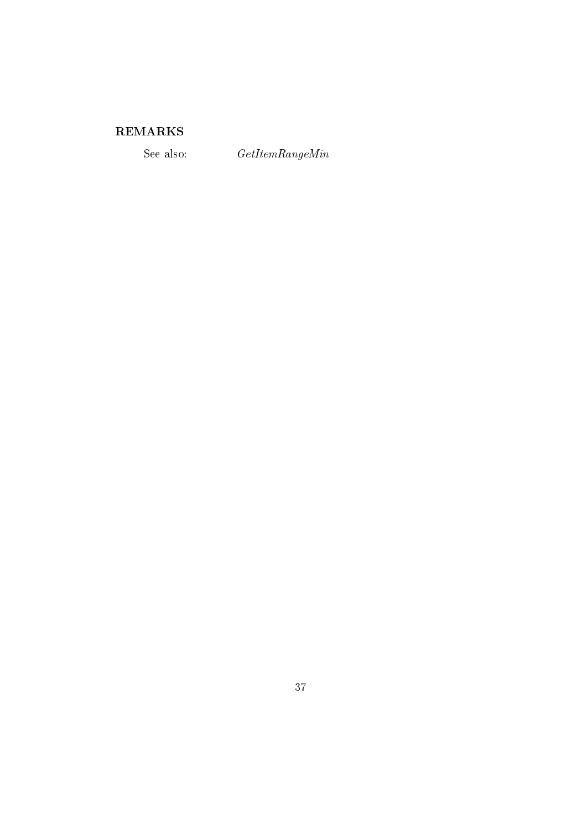# ${\bf REMARKS}$

See also:

 $\label{thm:ce} GetItemRangeMin$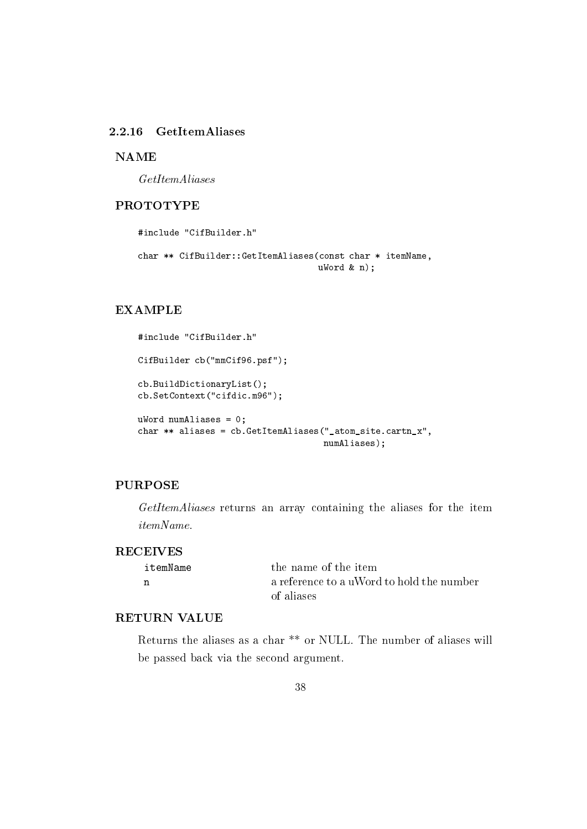#### 2.2.16 GetItemAliases

#### **NAME**

 $GetItemAliases$ 

## **PROTOTYPE**

```
#include "CifBuilder.h"
char ** CifBuilder::GetItemAliases(const char * itemName,
                                   ukord & n);
```
## **EXAMPLE**

```
#include "CifBuilder.h"
CifBuilder cb("mmCif96.psf");
cb.BuildDictionaryList();
cb.SetContext("cifdic.m96");
uWord numAliases = 0;
char ** aliases = cb. GetItemAliases ("_atom_site.cartn_x",
                                    numAliases);
```
## **PURPOSE**

GetItemAliases returns an array containing the aliases for the item *itemName.* 

#### **RECEIVES**

| itemName | the name of the item                      |
|----------|-------------------------------------------|
| n        | a reference to a uWord to hold the number |
|          | of aliases                                |

## **RETURN VALUE**

Returns the aliases as a char<sup>\*\*</sup> or NULL. The number of aliases will be passed back via the second argument.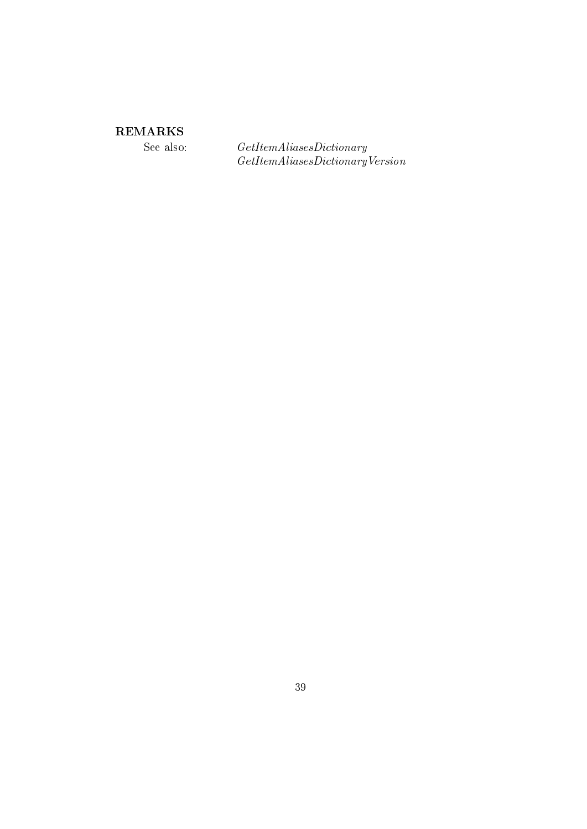# ${\bf REMARKS}$

See also:

 $\label{thm:rel} GetItemAliases Dictionary\\ GetItemAliases Dictionary Version$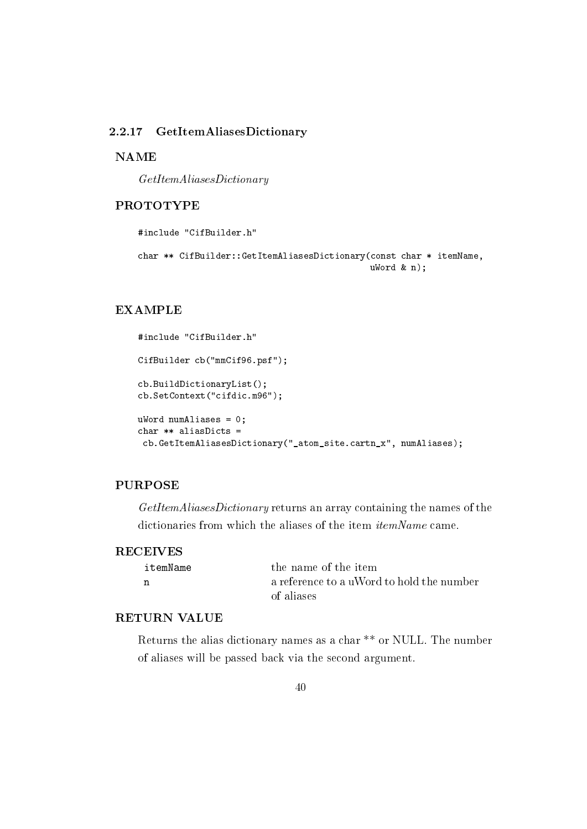#### 2.2.17 **GetItemAliasesDictionary**

#### **NAME**

 $GetItemAliases Dictionary$ 

#### **PROTOTYPE**

#include "CifBuilder.h"

```
char ** CifBuilder::GetItemAliasesDictionary(const char * itemName,
                                             ukord & n);
```
#### **EXAMPLE**

```
#include "CifBuilder.h"
CifBuilder cb("mmCif96.psf");
cb.BuildDictionaryList();
cb.SetContext("cifdic.m96");
uWord numAliases = 0;
char ** aliasDicts =
 cb.GetItemAliasesDictionary("_atom_site.cartn_x", numAliases);
```
## **PURPOSE**

GetItemAliasesDictionary returns an array containing the names of the dictionaries from which the aliases of the item *itemName* came.

#### **RECEIVES**

| itemName | the name of the item                      |
|----------|-------------------------------------------|
| n        | a reference to a uWord to hold the number |
|          | of aliases                                |

#### **RETURN VALUE**

Returns the alias dictionary names as a char<sup>\*\*</sup> or NULL. The number of aliases will be passed back via the second argument.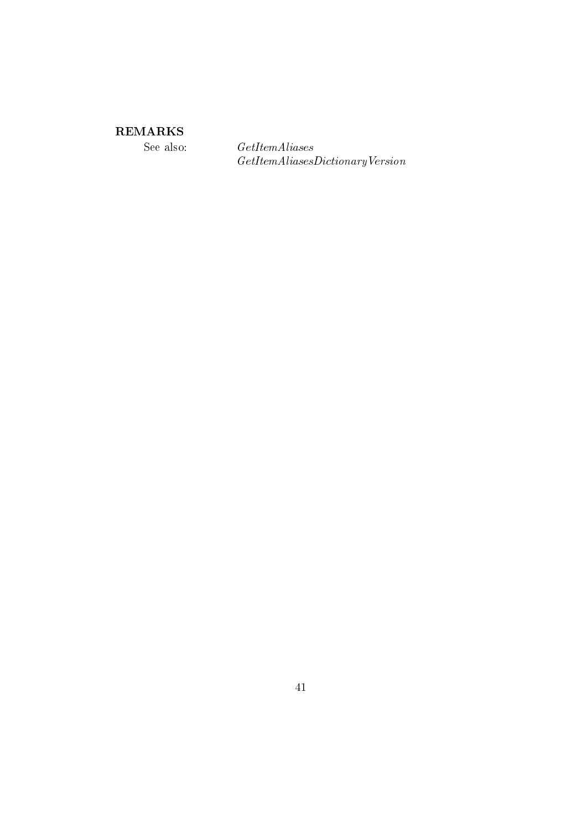# **REMARKS**

See also:

 $\label{thm:ce} GetItemAliases$  $\label{thm:optimal} GetItemAliases Dictionary Version$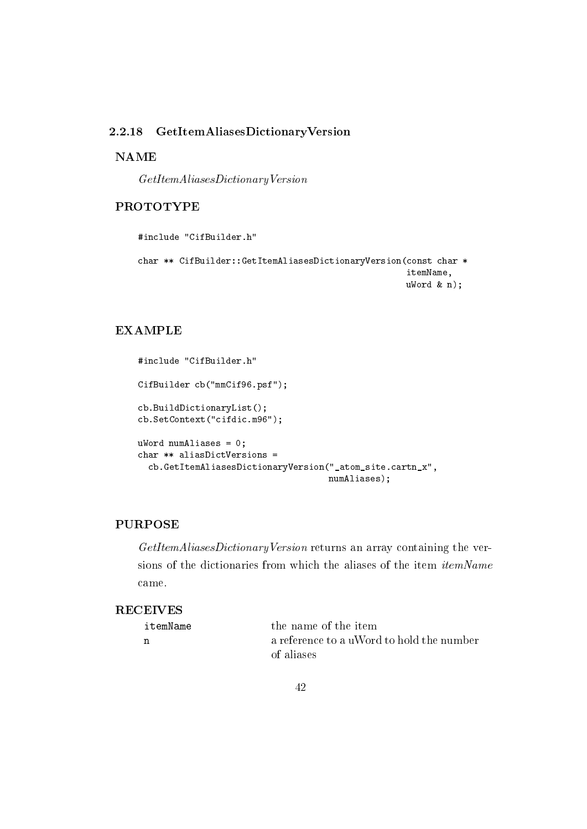#### GetItemAliasesDictionaryVersion 2.2.18

#### **NAME**

 $GetItemAliases Dictionary Version$ 

## **PROTOTYPE**

```
#include "CifBuilder.h"
char ** CifBuilder::GetItemAliasesDictionaryVersion(const char *
                                                     itemName,
                                                     ukord & n);
```
# **EXAMPLE**

```
#include "CifBuilder.h"
CifBuilder cb("mmCif96.psf");
cb.BuildDictionaryList();
cb.SetContext("cifdic.m96");
uWord numAliases = 0;
char ** aliasDictVersions =
  cb.GetItemAliasesDictionaryVersion("_atom_site.cartn_x",
                                     numAliases);
```
## **PURPOSE**

GetItemAliasesDictionaryVersion returns an array containing the versions of the dictionaries from which the aliases of the item *itemName* came.

## **RECEIVES**

| itemName | the name of the item                      |
|----------|-------------------------------------------|
|          | a reference to a uWord to hold the number |
|          | of aliases                                |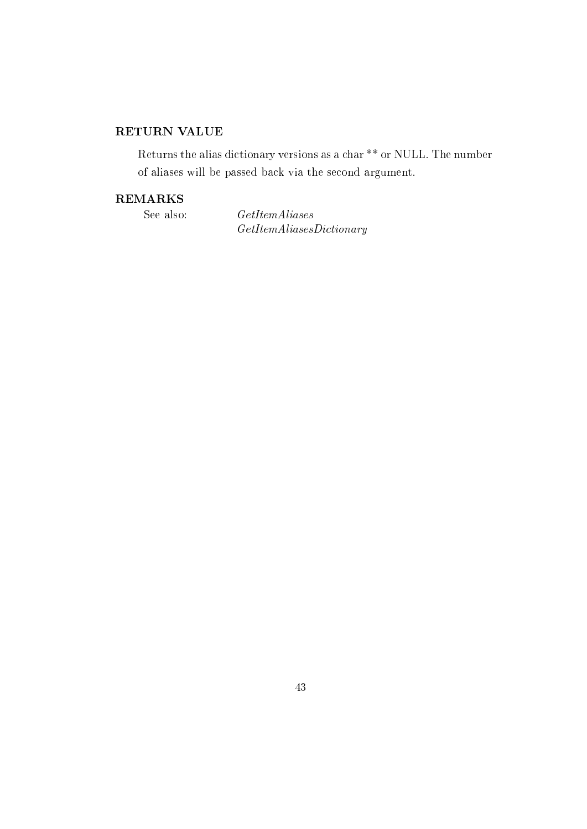# RETURN VALUE

Returns the alias dictionary versions as a char \*\* or NULL. The number of aliases will be passed back via the second argument.

## **REMARKS**

See also:

 $GetItemAliases$  $GetItemAliases Dictionary$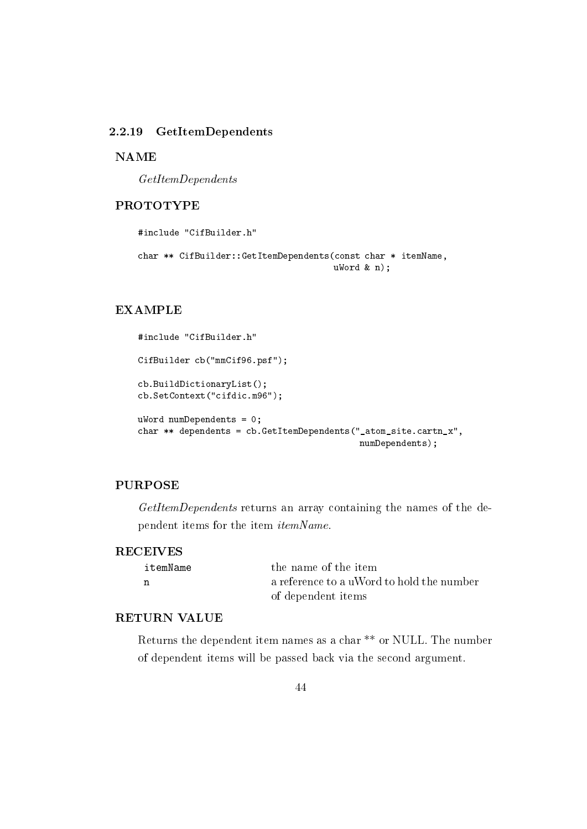#### 2.2.19 GetItemDependents

**NAME** 

 $GetItemDependents$ 

#### **PROTOTYPE**

```
#include "CifBuilder.h"
char ** CifBuilder::GetItemDependents(const char * itemName,
                                      ukord & n);
```
#### **EXAMPLE**

```
#include "CifBuilder.h"
CifBuilder cb("mmCif96.psf");
cb.BuildDictionaryList();
cb.SetContext("cifdic.m96");
uWord numDependents = 0;char ** dependents = cb. GetItemDependents ("_atom_site.cartn_x",
                                           numDependents);
```
## **PURPOSE**

GetItemDependents returns an array containing the names of the dependent items for the item itemName.

#### **RECEIVES**

| itemName | the name of the item                      |
|----------|-------------------------------------------|
|          | a reference to a uWord to hold the number |
|          | of dependent items                        |

#### **RETURN VALUE**

Returns the dependent item names as a char<sup>\*\*</sup> or NULL. The number of dependent items will be passed back via the second argument.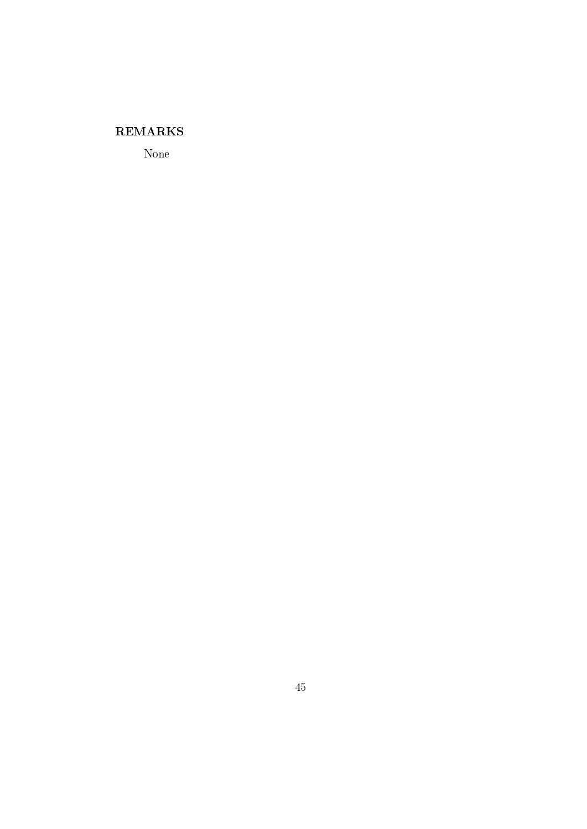# **REMARKS**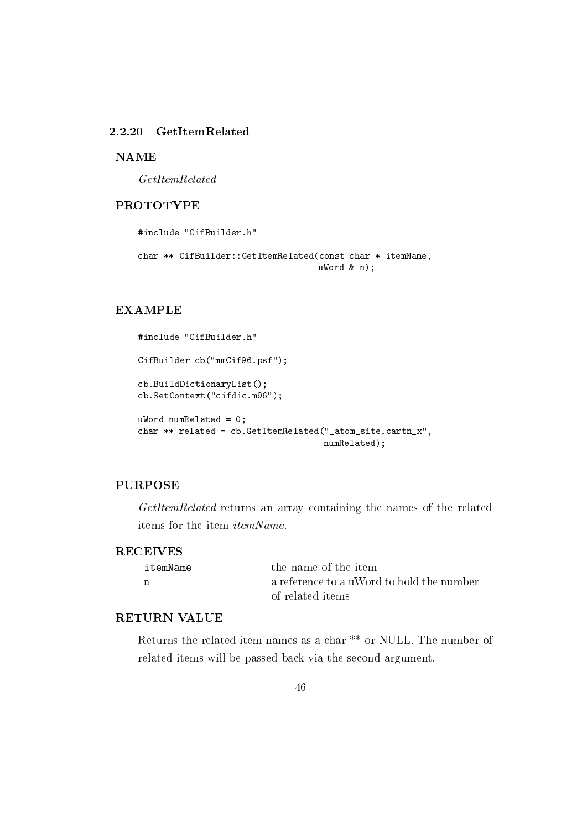### 2.2.20 GetItemRelated

**NAME** 

 $GetItemRelated$ 

#### **PROTOTYPE**

```
#include "CifBuilder.h"
char ** CifBuilder::GetItemRelated(const char * itemName,
                                   ukord & n);
```
## **EXAMPLE**

```
#include "CifBuilder.h"
CifBuilder cb("mmCif96.psf");
cb.BuildDictionaryList();
cb.SetContext("cifdic.m96");
uWord numRelated = 0;
char ** related = cb. GetItemRelated("_atom_site.cartn_x",
                                    numRelated);
```
## **PURPOSE**

GetItemRelated returns an array containing the names of the related items for the item *itemName*.

#### **RECEIVES**

| itemName | the name of the item                      |
|----------|-------------------------------------------|
| n        | a reference to a uWord to hold the number |
|          | of related items                          |

#### **RETURN VALUE**

Returns the related item names as a char<sup>\*\*</sup> or NULL. The number of related items will be passed back via the second argument.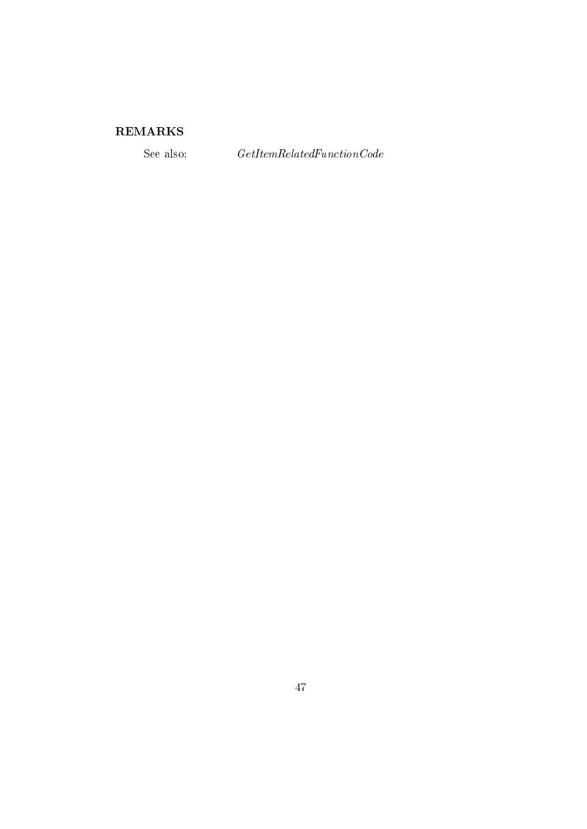# ${\bf REMARKS}$

See also:

 $\label{thm:ce} GetItemRelated FunctionCode$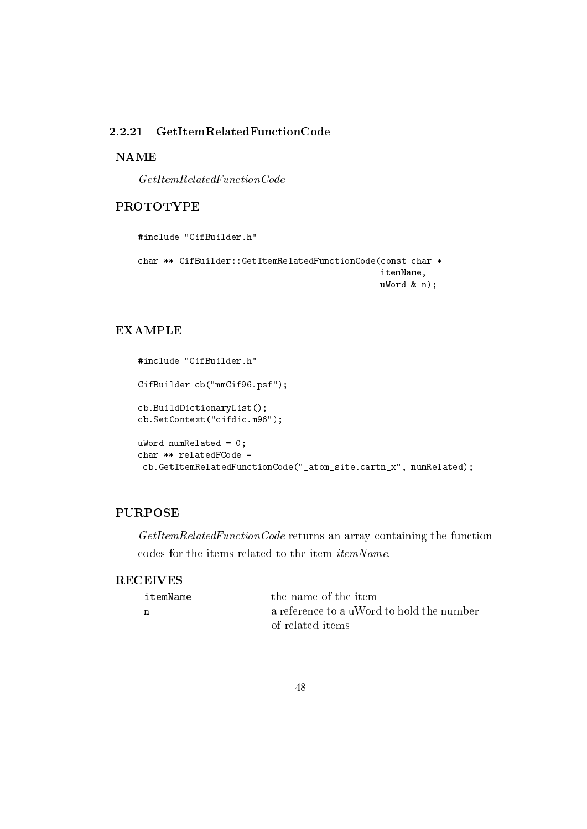#### 2.2.21  $GetItemRelatedFunctionCode$

## **NAME**

 $\label{thm:ce} GetItemRelated FunctionCode$ 

## **PROTOTYPE**

```
#include "CifBuilder.h"
```

```
char ** CifBuilder::GetItemRelatedFunctionCode(const char *
                                               itemName,
                                               ukord k n);
```
## **EXAMPLE**

```
#include "CifBuilder.h"
CifBuilder cb("mmCif96.psf");
cb.BuildDictionaryList();
cb.SetContext("cifdic.m96");
uWord numRelated = 0;
char ** relatedFCode =
 cb.GetItemRelatedFunctionCode("_atom_site.cartn_x", numRelated);
```
## **PURPOSE**

GetItemRelatedFunctionCode returns an array containing the function codes for the items related to the item  $itemName$ .

## **RECEIVES**

| itemName | the name of the item                      |
|----------|-------------------------------------------|
| n        | a reference to a uWord to hold the number |
|          | of related items                          |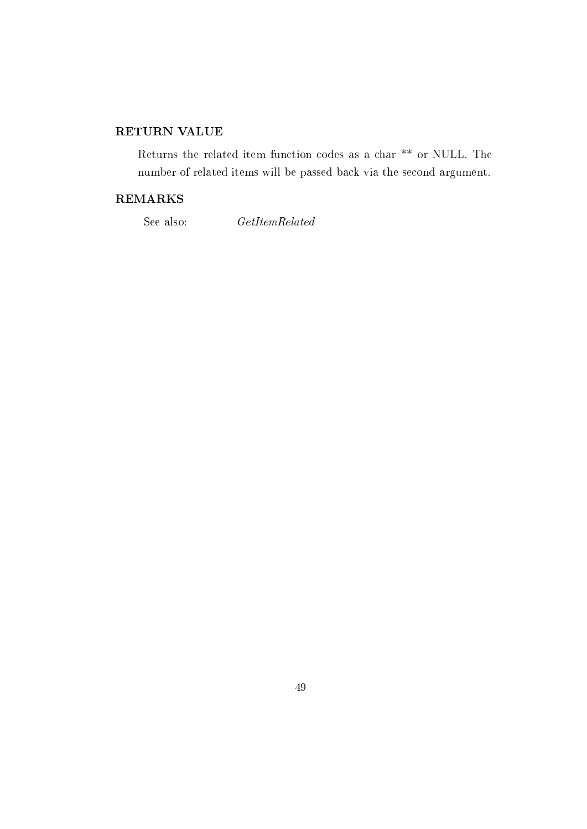# RETURN VALUE

Returns the related item function codes as a char \*\* or NULL. The number of related items will be passed back via the second argument.

#### **REMARKS**

See also:

 $\label{thm:2} GetItemRelated$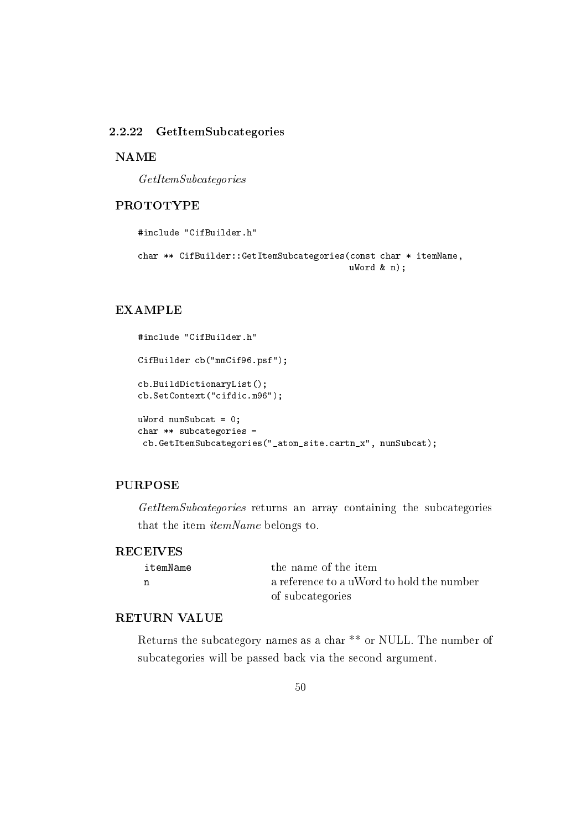#### 2.2.22 GetItemSubcategories

**NAME** 

 $GetItemSubcategory$ 

#### **PROTOTYPE**

#include "CifBuilder.h"

```
char ** CifBuilder::GetItemSubcategories(const char * itemName,
                                        ukord & n);
```
## **EXAMPLE**

```
#include "CifBuilder.h"
CifBuilder cb("mmCif96.psf");
cb.BuildDictionaryList();
cb.SetContext("cifdic.m96");
uWord numSubcat = 0;
char ** subcategories =
 cb.GetItemSubcategories("_atom_site.cartn_x", numSubcat);
```
## **PURPOSE**

GetItemSubcategories returns an array containing the subcategories that the item *itemName* belongs to.

#### **RECEIVES**

| itemName | the name of the item                      |
|----------|-------------------------------------------|
|          | a reference to a uWord to hold the number |
|          | of subcategories                          |

#### **RETURN VALUE**

Returns the subcategory names as a char<sup>\*\*</sup> or NULL. The number of subcategories will be passed back via the second argument.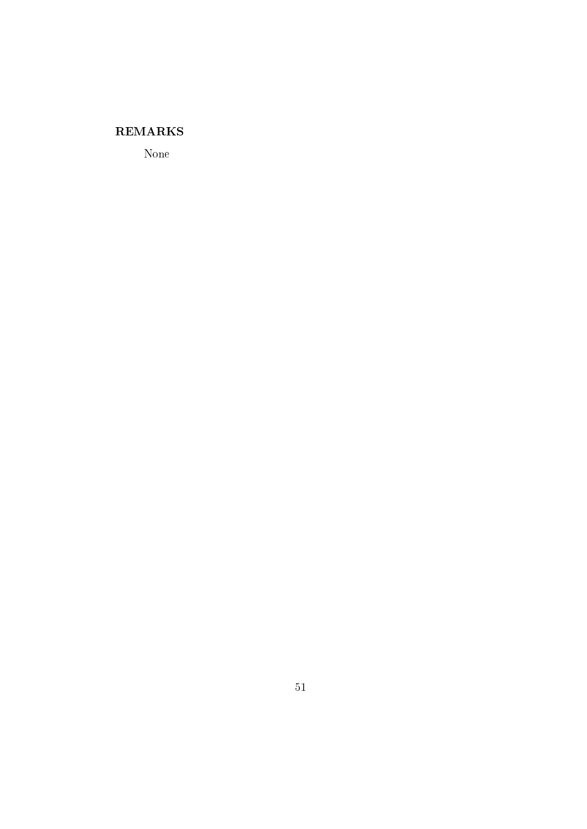## **REMARKS**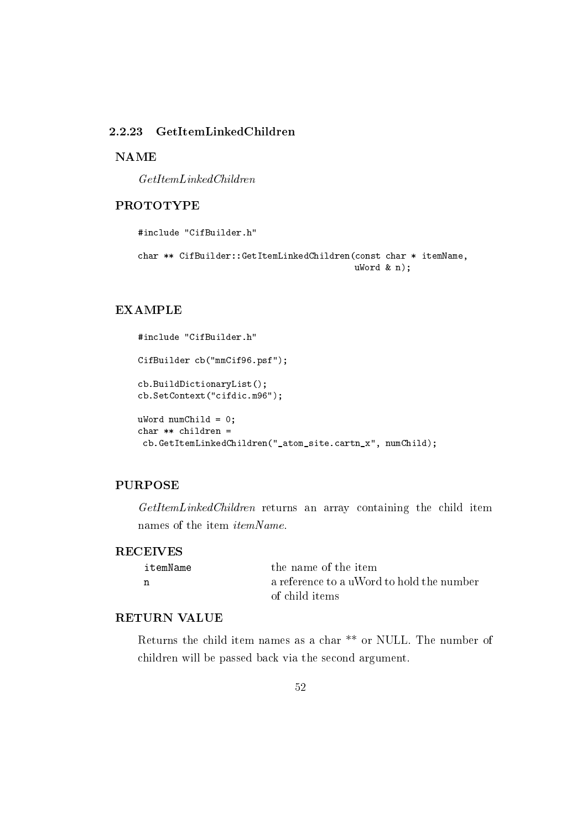## 2.2.23 GetItemLinkedChildren

**NAME** 

 $GetItemLinkedChildren$ 

#### **PROTOTYPE**

#include "CifBuilder.h"

```
char ** CifBuilder::GetItemLinkedChildren(const char * itemName,
                                          ukord & n);
```
## **EXAMPLE**

```
#include "CifBuilder.h"
CifBuilder cb("mmCif96.psf");
cb.BuildDictionaryList();
cb.SetContext("cifdic.m96");
ukord numChild = 0;
char ** children =
 cb.GetItemLinkedChildren("_atom_site.cartn_x", numChild);
```
## **PURPOSE**

GetItemLinkedChildren returns an array containing the child item names of the item *itemName*.

#### **RECEIVES**

| itemName | the name of the item                      |
|----------|-------------------------------------------|
| n        | a reference to a uWord to hold the number |
|          | -of child items -                         |

#### **RETURN VALUE**

Returns the child item names as a char<sup>\*\*</sup> or NULL. The number of children will be passed back via the second argument.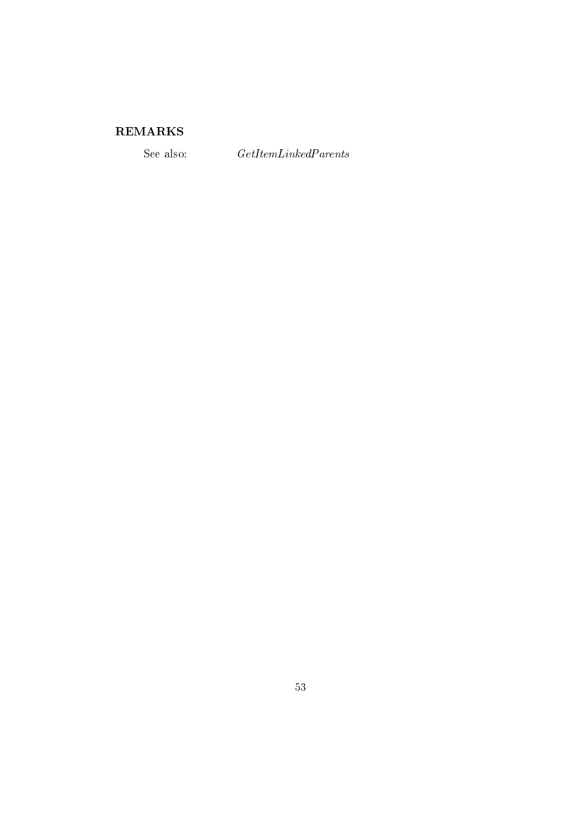# ${\bf REMARKS}$

See also:

 $\emph{GetItemLinked Parents}$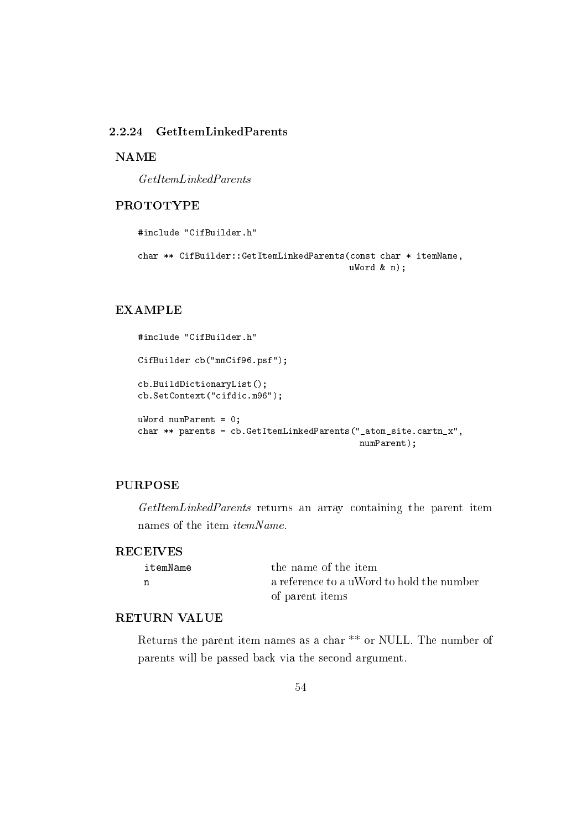#### GetItemLinkedParents 2.2.24

**NAME** 

 $GetItemLinkedParents$ 

## **PROTOTYPE**

#include "CifBuilder.h" char \*\* CifBuilder::GetItemLinkedParents(const char \* itemName,

 $ukord & n);$ 

#### **EXAMPLE**

```
#include "CifBuilder.h"
CifBuilder cb("mmCif96.psf");
cb.BuildDictionaryList();
cb.SetContext("cifdic.m96");
uWord numParent = 0;
char ** parents = cb. GetItemLinkedParents("_atom_site.cartn_x",
                                           numParent);
```
## **PURPOSE**

GetItemLinkedParents returns an array containing the parent item names of the item *itemName*.

#### **RECEIVES**

| itemName | the name of the item                      |
|----------|-------------------------------------------|
|          | a reference to a uWord to hold the number |
|          | of parent items                           |

## **RETURN VALUE**

Returns the parent item names as a char<sup>\*\*</sup> or NULL. The number of parents will be passed back via the second argument.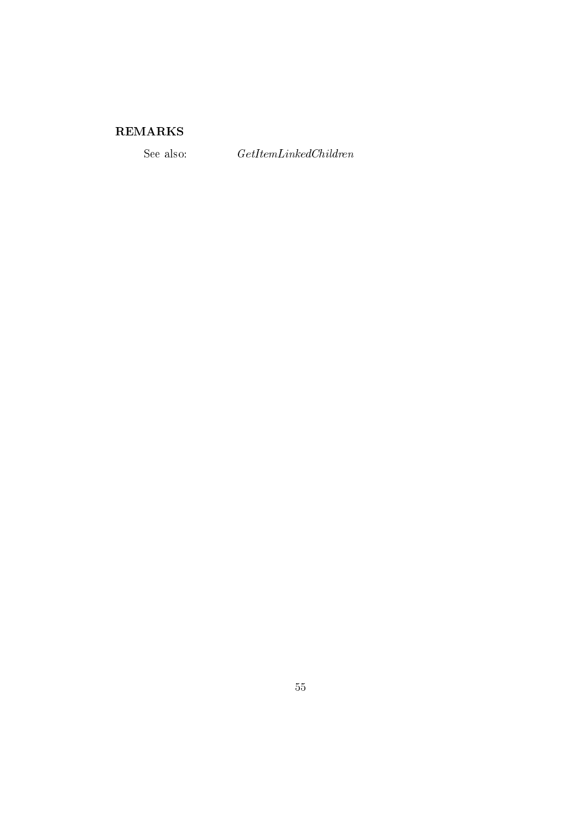# ${\bf REMARKS}$

See also:

 $\label{thm:ce} GetItemLinkedChildren$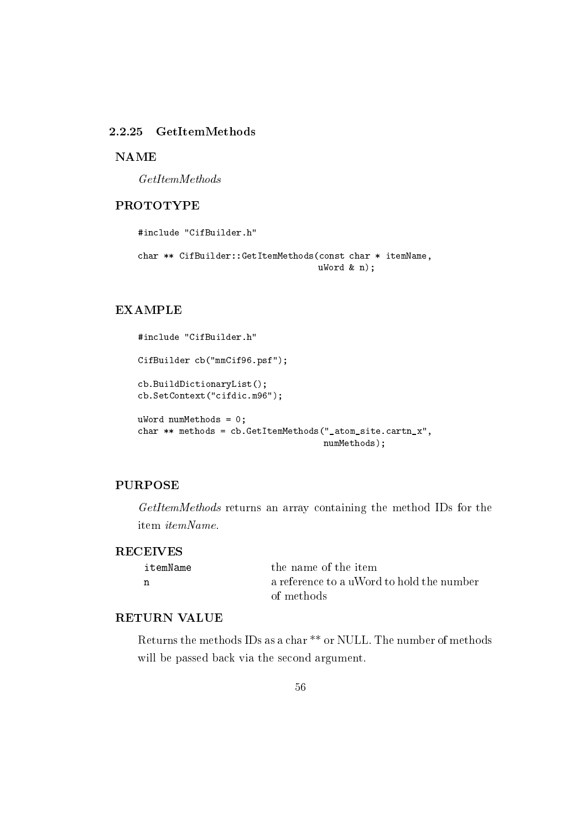#### 2.2.25 GetItemMethods

**NAME** 

 $GetItemMethods$ 

#### **PROTOTYPE**

```
#include "CifBuilder.h"
char ** CifBuilder::GetItemMethods(const char * itemName,
                                   ukord & n);
```
#### **EXAMPLE**

```
#include "CifBuilder.h"
CifBuilder cb("mmCif96.psf");
cb.BuildDictionaryList();
cb.SetContext("cifdic.m96");
uWord numMethods = 0;
char ** methods = cb. GetItemMethods ("_atom_site. cartn_x",
                                    numMethods);
```
## **PURPOSE**

GetItemMethods returns an array containing the method IDs for the item itemName.

#### **RECEIVES**

| itemName | the name of the item                      |
|----------|-------------------------------------------|
| n        | a reference to a uWord to hold the number |
|          | of methods                                |

#### **RETURN VALUE**

Returns the methods IDs as a char \*\* or NULL. The number of methods will be passed back via the second argument.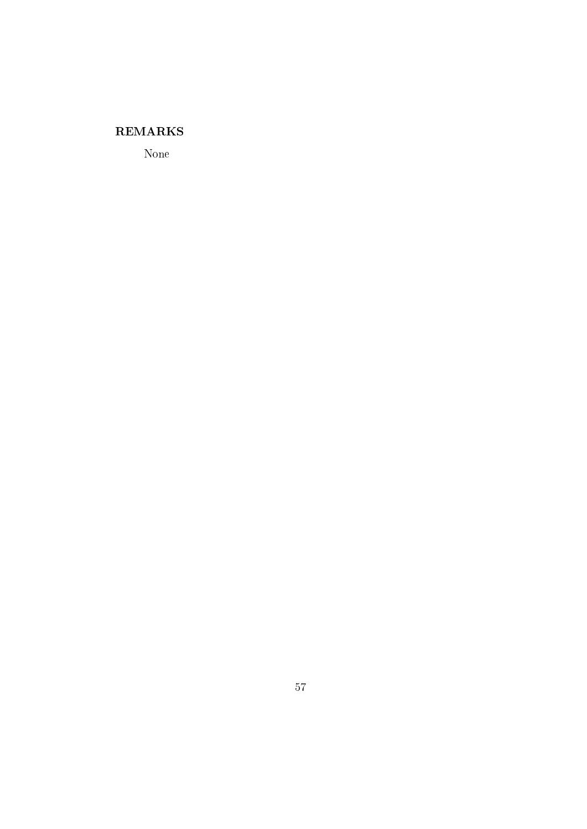## **REMARKS**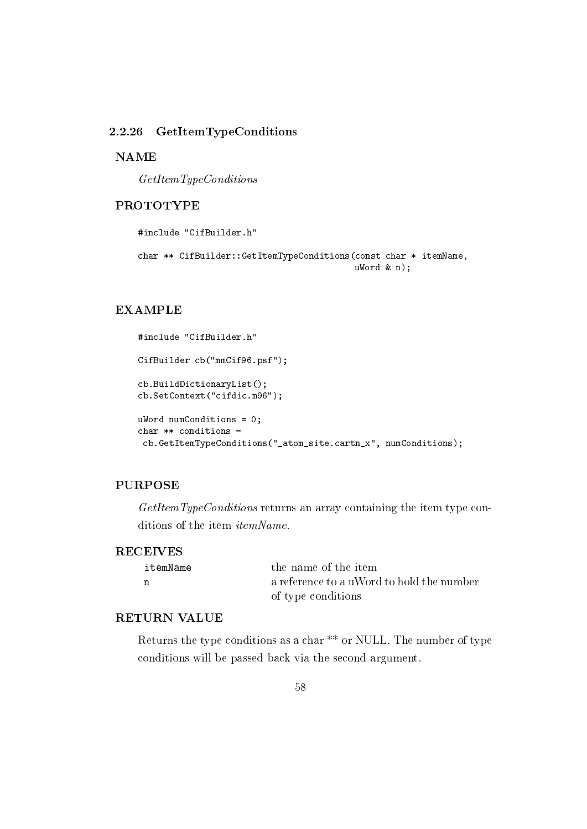#### GetItemTypeConditions 2.2.26

**NAME** 

 $GetItemType Conditions$ 

#### **PROTOTYPE**

#include "CifBuilder.h"

```
char ** CifBuilder::GetItemTypeConditions(const char * itemName,
                                          ukord & n);
```
#### **EXAMPLE**

```
#include "CifBuilder.h"
CifBuilder cb("mmCif96.psf");
cb.BuildDictionaryList();
cb.SetContext("cifdic.m96");
uWord numConditions = 0;
char ** conditions =
 cb.GetItemTypeConditions("_atom_site.cartn_x", numConditions);
```
## **PURPOSE**

 $GetItemType Conditions$  returns an array containing the item type conditions of the item itemName.

#### **RECEIVES**

| itemName | the name of the item                      |
|----------|-------------------------------------------|
|          | a reference to a uWord to hold the number |
|          | of type conditions                        |

#### **RETURN VALUE**

Returns the type conditions as a char \*\* or NULL. The number of type conditions will be passed back via the second argument.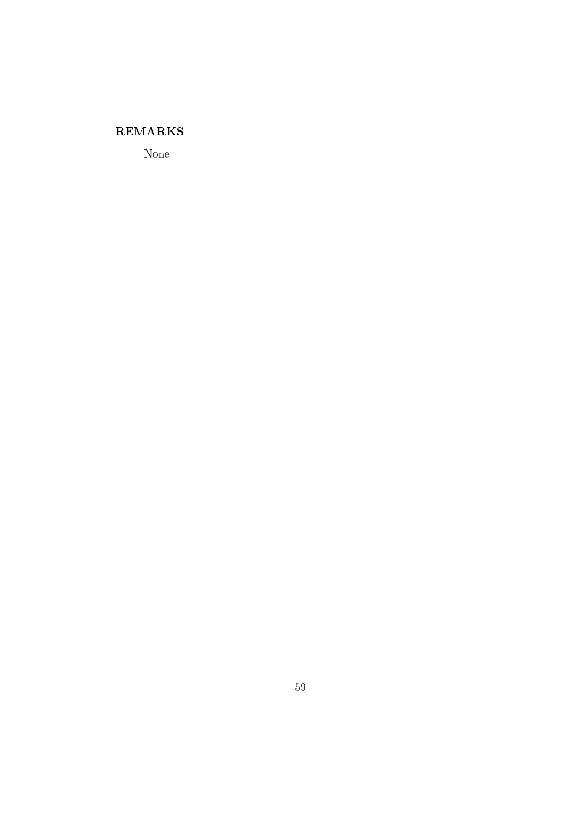## **REMARKS**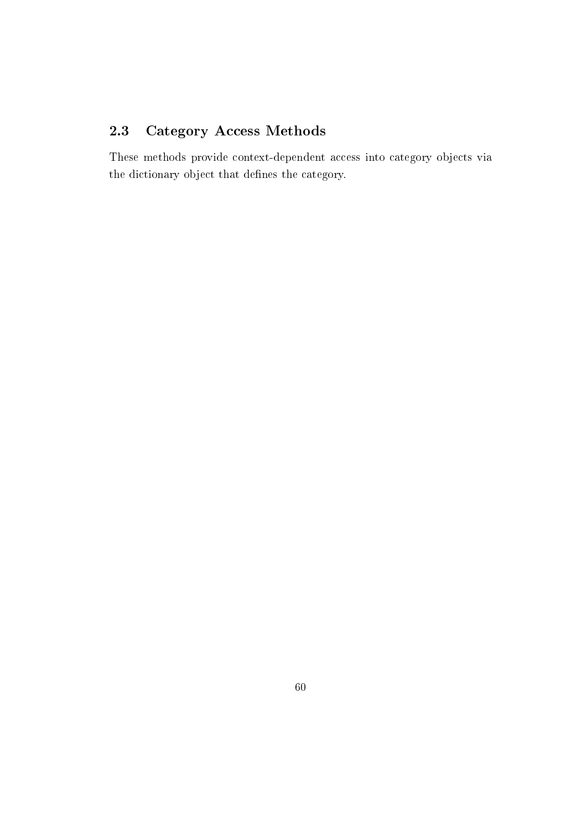#### **Category Access Methods** 2.3

These methods provide context-dependent access into category objects via the dictionary object that defines the category.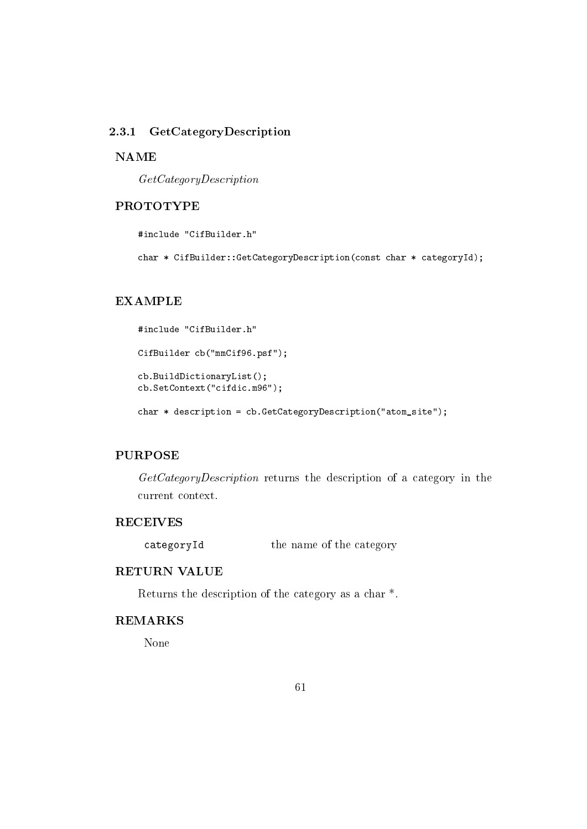#### GetCategoryDescription 2.3.1

#### **NAME**

 $GetCategoryDescription$ 

## **PROTOTYPE**

#include "CifBuilder.h"

char \* CifBuilder::GetCategoryDescription(const char \* categoryId);

## **EXAMPLE**

```
#include "CifBuilder.h"
CifBuilder cb("mmCif96.psf");
cb.BuildDictionaryList();
cb.SetContext("cifdic.m96");
```
char \* description = cb. GetCategoryDescription("atom\_site");

## **PURPOSE**

GetCategoryDescription returns the description of a category in the current context.

## **RECEIVES**

the name of the category categoryId

#### **RETURN VALUE**

Returns the description of the category as a char<sup>\*</sup>.

## **REMARKS**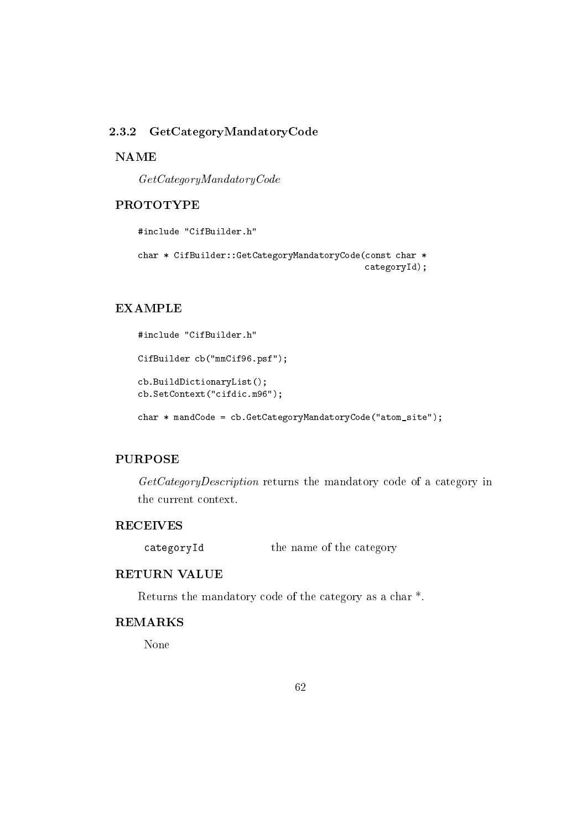#### GetCategoryMandatoryCode 2.3.2

#### **NAME**

 $GetCategoryMandatoryCode$ 

#### **PROTOTYPE**

```
#include "CifBuilder.h"
char * CifBuilder:: GetCategoryMandatoryCode(const char *
                                             categoryId);
```
## **EXAMPLE**

```
#include "CifBuilder.h"
CifBuilder cb("mmCif96.psf");
cb.BuildDictionaryList();
cb.SetContext("cifdic.m96");
char * mandCode = cb.GetCategoryMandatoryCode("atom_site");
```
## **PURPOSE**

GetCategoryDescription returns the mandatory code of a category in the current context.

## **RECEIVES**

the name of the category categoryId

#### **RETURN VALUE**

Returns the mandatory code of the category as a char<sup>\*</sup>.

# **REMARKS**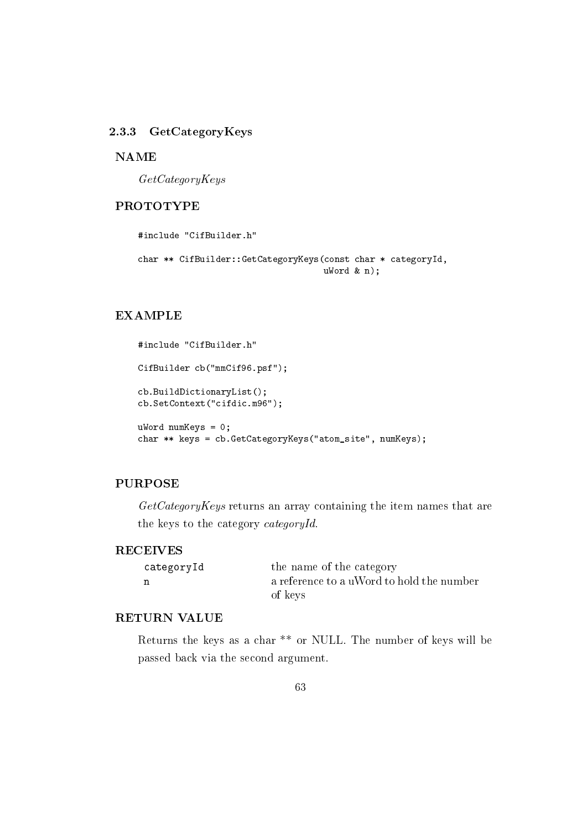## 2.3.3 GetCategoryKeys

#### **NAME**

 $GetCategoryKeys$ 

## **PROTOTYPE**

#include "CifBuilder.h" char \*\* CifBuilder::GetCategoryKeys(const char \* categoryId,  $ukord$  &  $n)$ :

#### **EXAMPLE**

```
#include "CifBuilder.h"
CifBuilder cb("mmCif96.psf");
cb.BuildDictionaryList();
cb.SetContext("cifdic.m96");
ukord numKeys = 0;char ** keys = cb.GetCategoryKeys("atom_site", numKeys);
```
## **PURPOSE**

 $GetCategoryKeys$  returns an array containing the item names that are the keys to the category categoryId.

#### **RECEIVES**

| categoryId | the name of the category                  |
|------------|-------------------------------------------|
| n          | a reference to a uWord to hold the number |
|            | of keys                                   |

#### **RETURN VALUE**

Returns the keys as a char \*\* or NULL. The number of keys will be passed back via the second argument.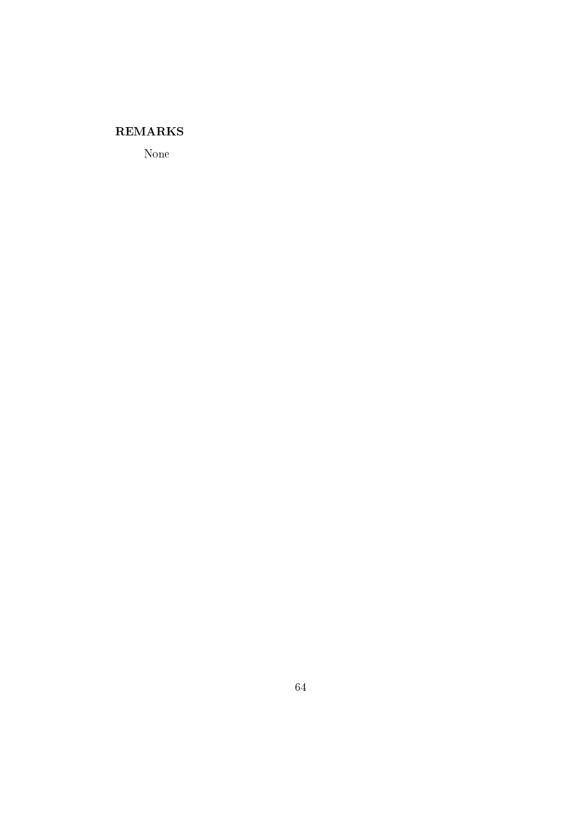## **REMARKS**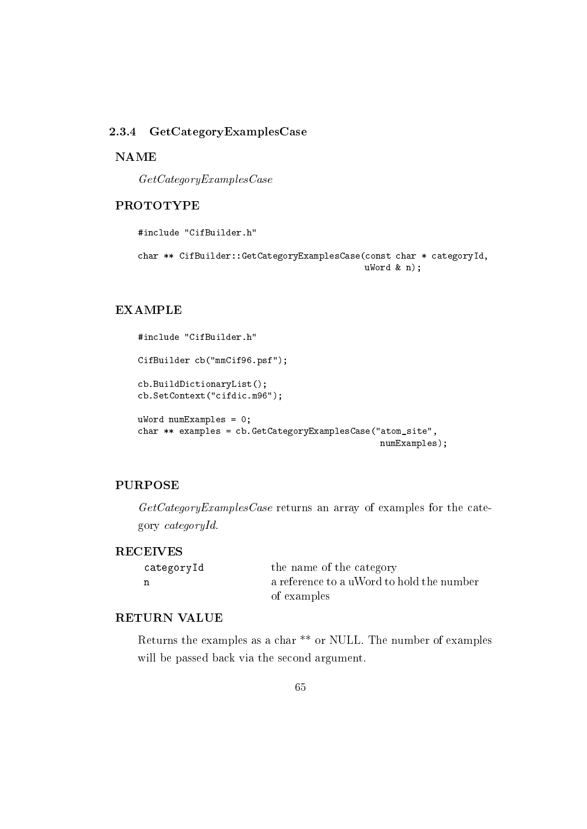#### 2.3.4 GetCategoryExamplesCase

#### **NAME**

 $GetCategoryExamples Case$ 

#### **PROTOTYPE**

#include "CifBuilder.h"

```
char ** CifBuilder::GetCategoryExamplesCase(const char * categoryId,
                                           ukord k n);
```
## **EXAMPLE**

```
#include "CifBuilder.h"
CifBuilder cb("mmCif96.psf");
cb.BuildDictionaryList();
cb.SetContext("cifdic.m96");
ukord numExamples = 0;
char ** examples = cb.GetCategoryExamplesCase("atom_site",
                                               numExamples);
```
## **PURPOSE**

 $GetCategoryExamples Case$  returns an array of examples for the category  $categoryId$ .

#### **RECEIVES**

| categoryId | the name of the category                  |
|------------|-------------------------------------------|
|            | a reference to a uWord to hold the number |
|            | of examples                               |

#### **RETURN VALUE**

Returns the examples as a char<sup>\*\*</sup> or NULL. The number of examples will be passed back via the second argument.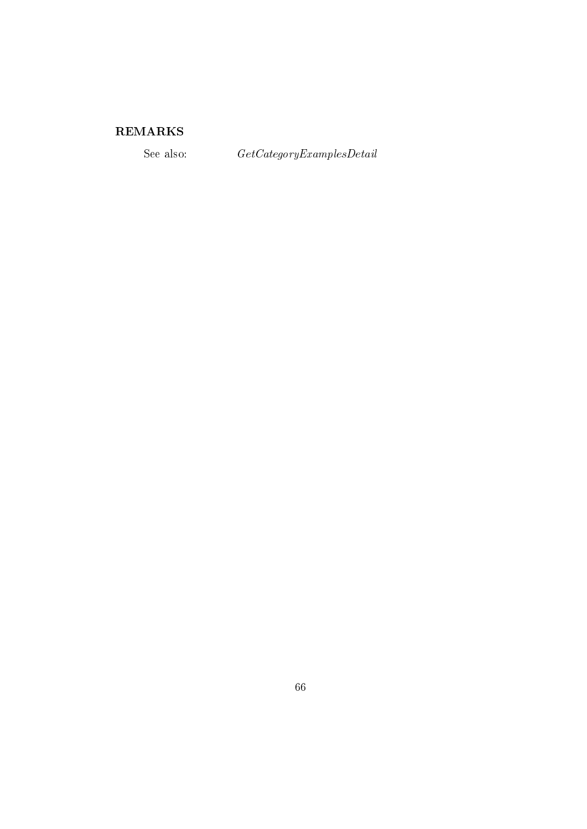# ${\bf REMARKS}$

See also:

 $\label{eq:det} GetCategory Examples Detail$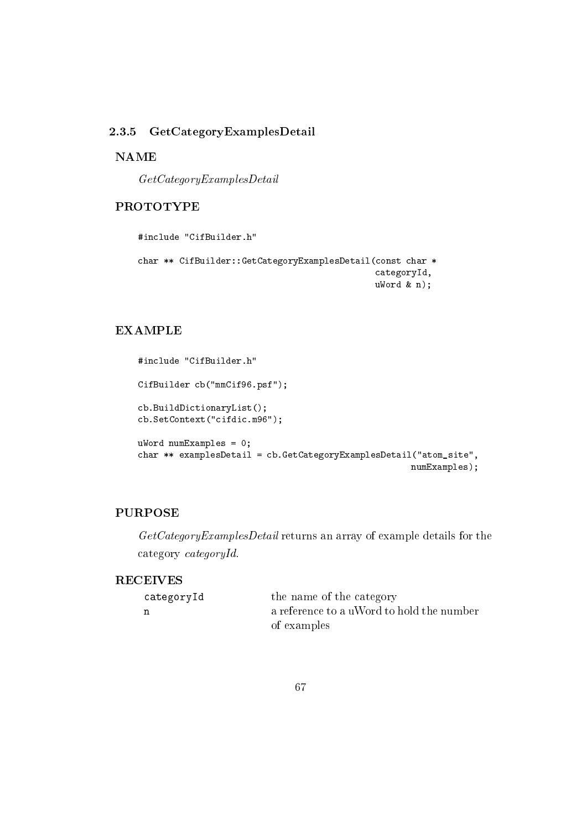#### GetCategoryExamplesDetail 2.3.5

#### **NAME**

 $GetCategoryExamplesDetails$ 

## **PROTOTYPE**

```
#include "CifBuilder.h"
char ** CifBuilder::GetCategoryExamplesDetail(const char *
                                              categoryId,
                                              ukord & n);
```
# **EXAMPLE**

```
#include "CifBuilder.h"
CifBuilder cb("mmCif96.psf");
cb.BuildDictionaryList();
cb.SetContext("cifdic.m96");
ukord numExamples = 0;
char ** examplesDetail = cb.GetCategoryExamplesDetail("atom_site",
                                                     numExamples);
```
## **PURPOSE**

GetCategoryExamplesDetail returns an array of example details for the category categoryId.

## **RECEIVES**

| categoryId | the name of the category                  |
|------------|-------------------------------------------|
| n          | a reference to a uWord to hold the number |
|            | of examples                               |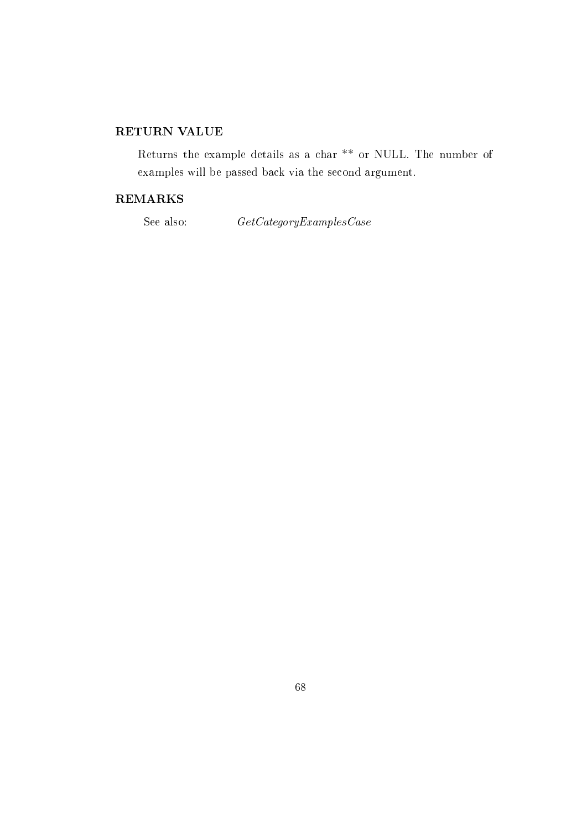# RETURN VALUE

Returns the example details as a char<sup>\*\*</sup> or NULL. The number of examples will be passed back via the second argument.

## **REMARKS**

See also:

 $GetCategoryExamplesCase$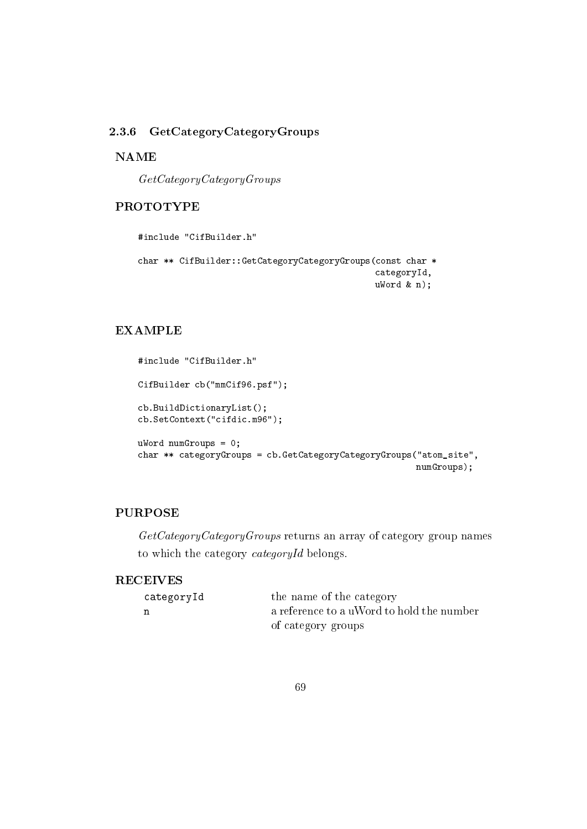## 2.3.6 GetCategoryCategoryGroups

#### **NAME**

 $GetCategoryCategory$ 

## **PROTOTYPE**

```
#include "CifBuilder.h"
```

```
char ** CifBuilder::GetCategoryCategoryGroups(const char *
                                              categoryId,
                                             ukord & n);
```
## **EXAMPLE**

```
#include "CifBuilder.h"
CifBuilder cb("mmCif96.psf");
cb.BuildDictionaryList();
cb.SetContext("cifdic.m96");
ukord numGroups = 0;char ** categoryGroups = cb.GetCategoryCategoryGroups("atom_site",
                                                      numGroups);
```
## **PURPOSE**

GetCategoryCategoryGroups returns an array of category group names to which the category categoryId belongs.

## **RECEIVES**

| categoryId | the name of the category                  |
|------------|-------------------------------------------|
| n          | a reference to a uWord to hold the number |
|            | of category groups                        |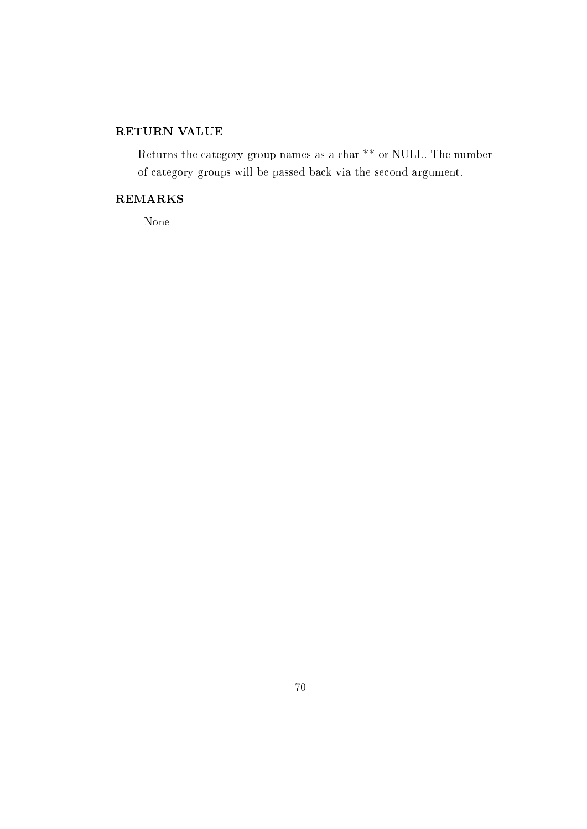# RETURN VALUE

Returns the category group names as a char  $**$  or NULL. The number of category groups will be passed back via the second argument.

## **REMARKS**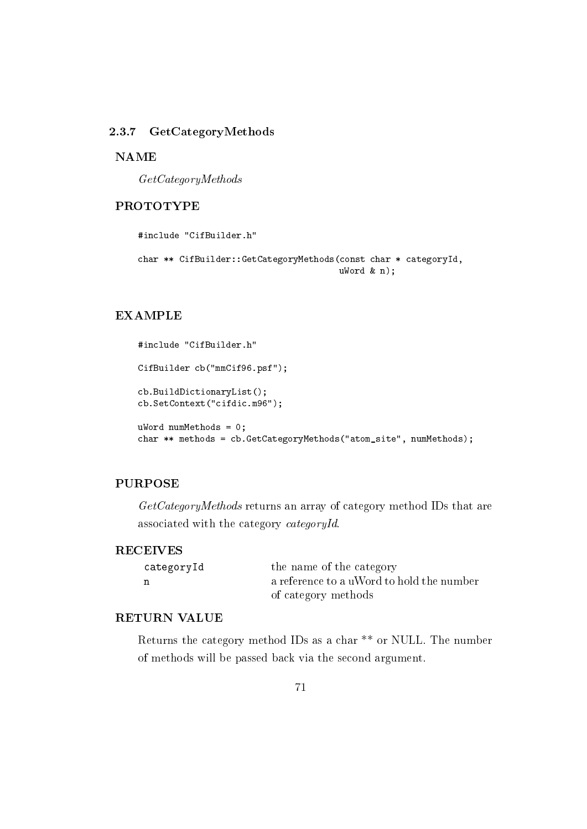#### 2.3.7 GetCategoryMethods

#### **NAME**

 $GetCategoryMethods$ 

## **PROTOTYPE**

#include "CifBuilder.h" char \*\* CifBuilder::GetCategoryMethods(const char \* categoryId,  $ukord & n);$ 

#### **EXAMPLE**

```
#include "CifBuilder.h"
CifBuilder cb("mmCif96.psf");
cb.BuildDictionaryList();
cb.SetContext("cifdic.m96");
uWord numMethods = 0;
char ** methods = cb. GetCategoryMethods ("atom_site", numMethods);
```
## **PURPOSE**

 $GetCategoryMethods$  returns an array of category method IDs that are associated with the category categoryId.

#### **RECEIVES**

| categoryId | the name of the category                  |
|------------|-------------------------------------------|
| n          | a reference to a uWord to hold the number |
|            | of category methods                       |

## **RETURN VALUE**

Returns the category method IDs as a char  $**$  or NULL. The number of methods will be passed back via the second argument.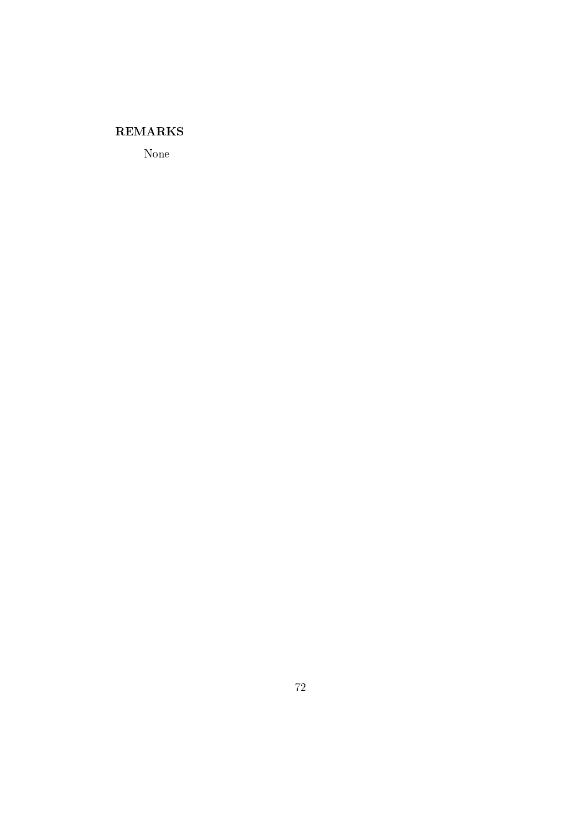## **REMARKS**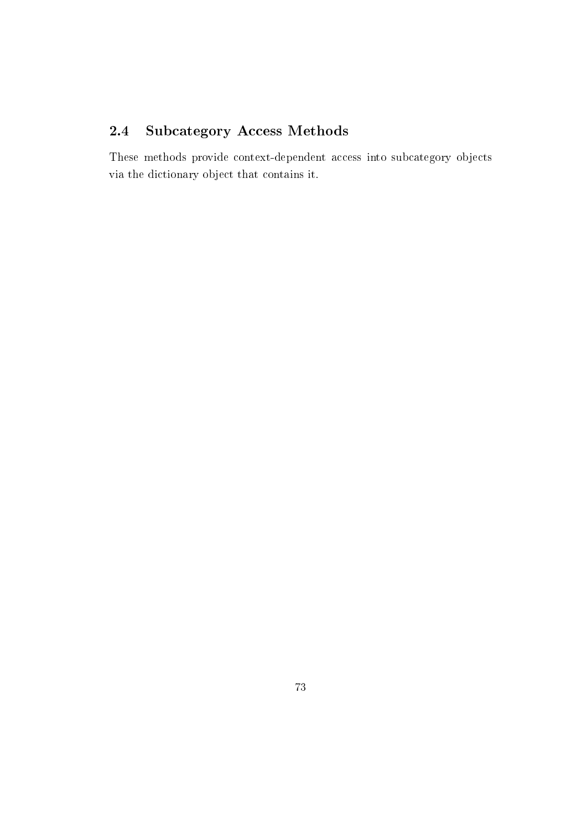#### **Subcategory Access Methods**  $2.4$

These methods provide context-dependent access into subcategory objects via the dictionary object that contains it.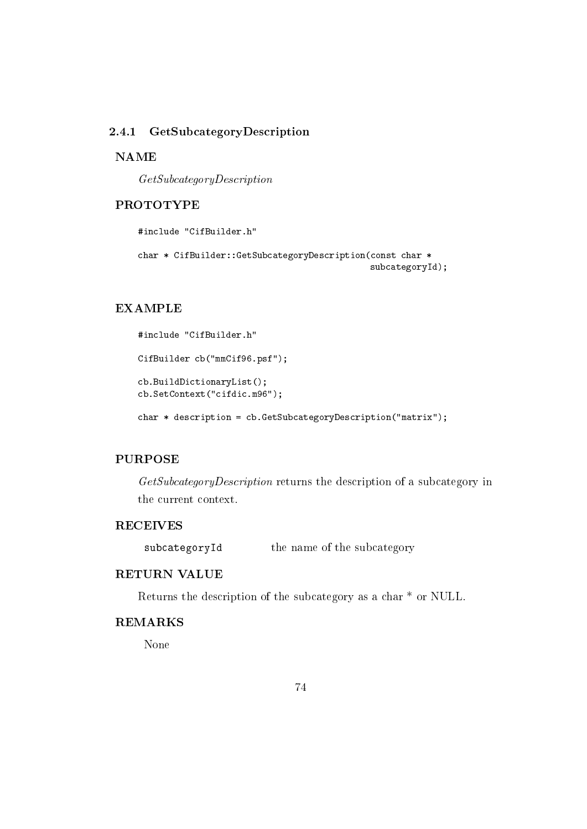#### GetSubcategoryDescription 2.4.1

#### **NAME**

 $GetSubcategoryDescription$ 

## **PROTOTYPE**

```
#include "CifBuilder.h"
char * CifBuilder::GetSubcategoryDescription(const char *
                                              subcategoryId);
```
# **EXAMPLE**

```
#include "CifBuilder.h"
CifBuilder cb("mmCif96.psf");
cb.BuildDictionaryList();
cb.SetContext("cifdic.m96");
char * description = cb. GetSubcategoryDescription("matrix");
```
# **PURPOSE**

GetSubcategoryDescription returns the description of a subcategory in the current context.

# **RECEIVES**

the name of the subcategory subcategoryId

# **RETURN VALUE**

Returns the description of the subcategory as a char \* or NULL.

# **REMARKS**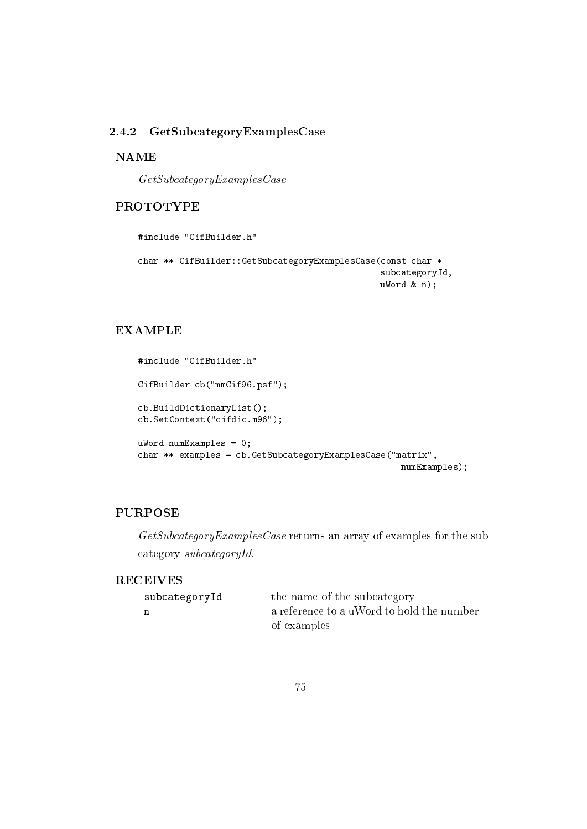# 2.4.2 GetSubcategoryExamplesCase

# **NAME**

 $GetSubcategory Examples Case$ 

# **PROTOTYPE**

```
#include "CifBuilder.h"
```

```
char ** CifBuilder::GetSubcategoryExamplesCase(const char *
                                               subcategoryId,
                                               uWord & n);
```
# **EXAMPLE**

```
#include "CifBuilder.h"
CifBuilder cb("mmCif96.psf");
cb.BuildDictionaryList();
cb.SetContext("cifdic.m96");
ukord numExamples = 0;
char ** examples = cb. GetSubcategoryExamplesCase("matrix",
                                                    numExamples);
```
# **PURPOSE**

 $GetSubcategory\&ramples\,Case$  returns an array of examples for the subcategory subcategoryId.

# **RECEIVES**

| subcategoryId | the name of the subcategory               |
|---------------|-------------------------------------------|
|               | a reference to a uWord to hold the number |
|               | of examples                               |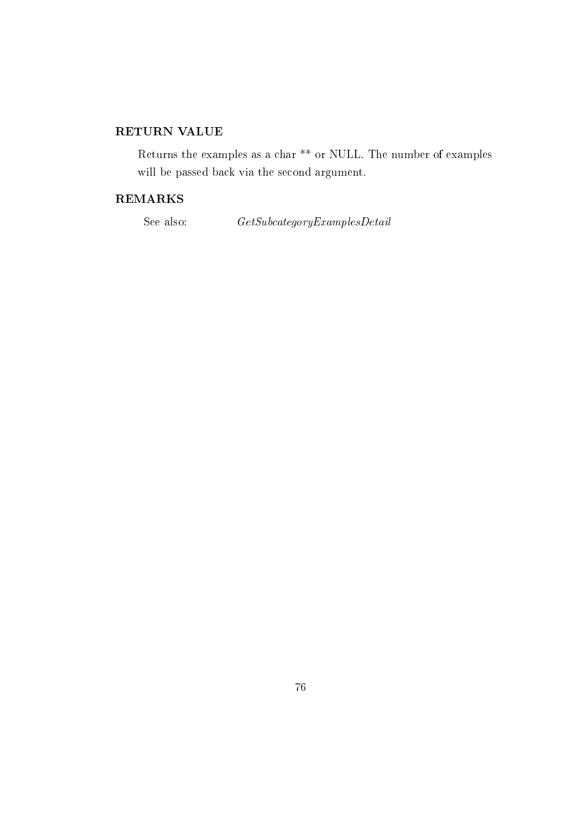# RETURN VALUE

Returns the examples as a char  $**$  or NULL. The number of examples will be passed back via the second argument.

# **REMARKS**

See also:

 $\label{thm:2} GetSubcategory Examples Detail$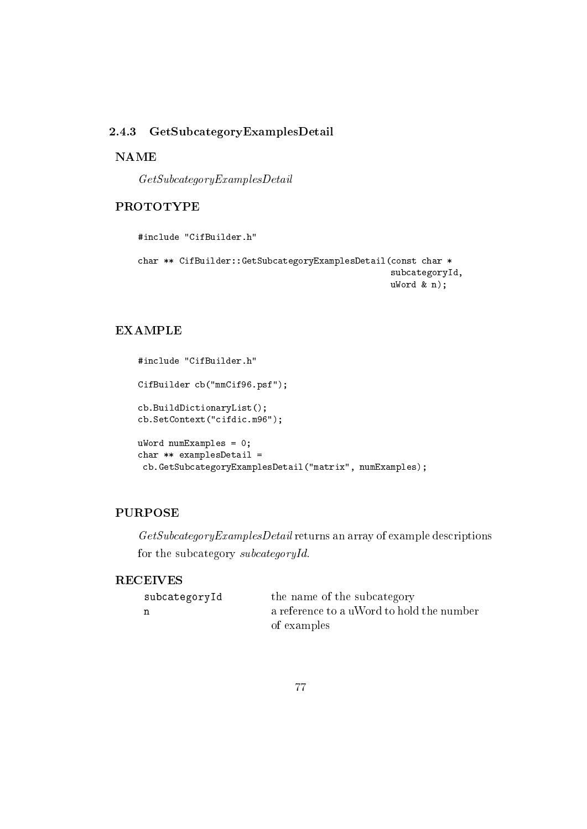#### GetSubcategoryExamplesDetail 2.4.3

# **NAME**

 $GetSubcategory Examples Detail$ 

# **PROTOTYPE**

```
#include "CifBuilder.h"
```

```
char ** CifBuilder::GetSubcategoryExamplesDetail(const char *
                                                 subcategoryId,
                                                 ukord & n);
```
# **EXAMPLE**

```
#include "CifBuilder.h"
CifBuilder cb("mmCif96.psf");
cb.BuildDictionaryList();
cb.SetContext("cifdic.m96");
ukord numExamples = 0;
char ** examplesDetail =
 cb.GetSubcategoryExamplesDetail("matrix", numExamples);
```
# **PURPOSE**

 $GetSubcategory\&xamplesDetails$  returns an array of example descriptions for the subcategory subcategoryId.

# **RECEIVES**

| subcategoryId | the name of the subcategory               |
|---------------|-------------------------------------------|
| n             | a reference to a uWord to hold the number |
|               | of examples                               |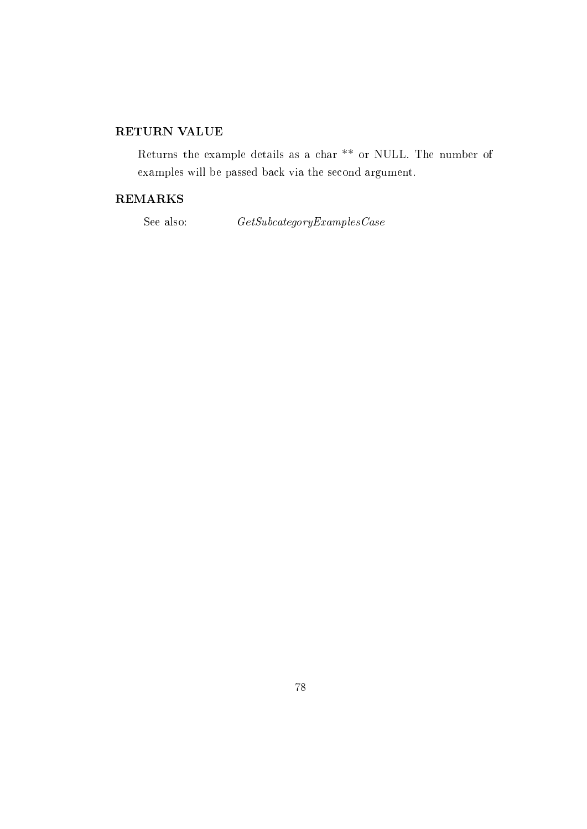# RETURN VALUE

Returns the example details as a char<sup>\*\*</sup> or NULL. The number of examples will be passed back via the second argument.

# **REMARKS**

See also:

 $\label{thm:2} GetSubcategory Examples Case$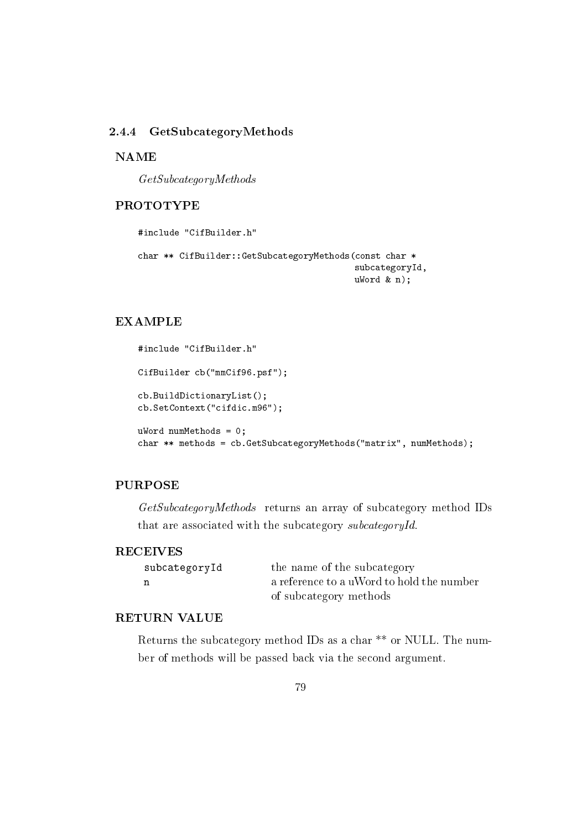#### 2.4.4 GetSubcategoryMethods

**NAME** 

 $GetSubcategoryMethods$ 

## **PROTOTYPE**

```
#include "CifBuilder.h"
char ** CifBuilder:: GetSubcategoryMethods (const char *
                                           subcategoryId,
                                           ukord & n);
```
## **EXAMPLE**

```
#include "CifBuilder.h"
CifBuilder cb("mmCif96.psf");
cb.BuildDictionaryList();
cb.SetContext("cifdic.m96");
uWord numMethods = 0;
char ** methods = cb. GetSubcategoryMethods ("matrix", numMethods);
```
# **PURPOSE**

GetSubcategoryMethods returns an array of subcategory method IDs that are associated with the subcategory subcategoryId.

#### **RECEIVES**

| subcategoryId | the name of the subcategory               |
|---------------|-------------------------------------------|
| n             | a reference to a uWord to hold the number |
|               | of subcategory methods                    |

## **RETURN VALUE**

Returns the subcategory method IDs as a char  $**$  or NULL. The number of methods will be passed back via the second argument.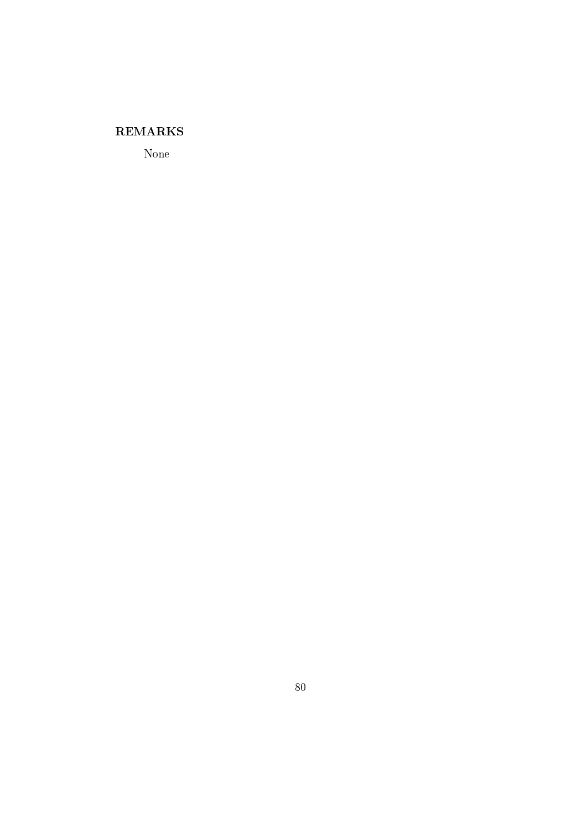# **REMARKS**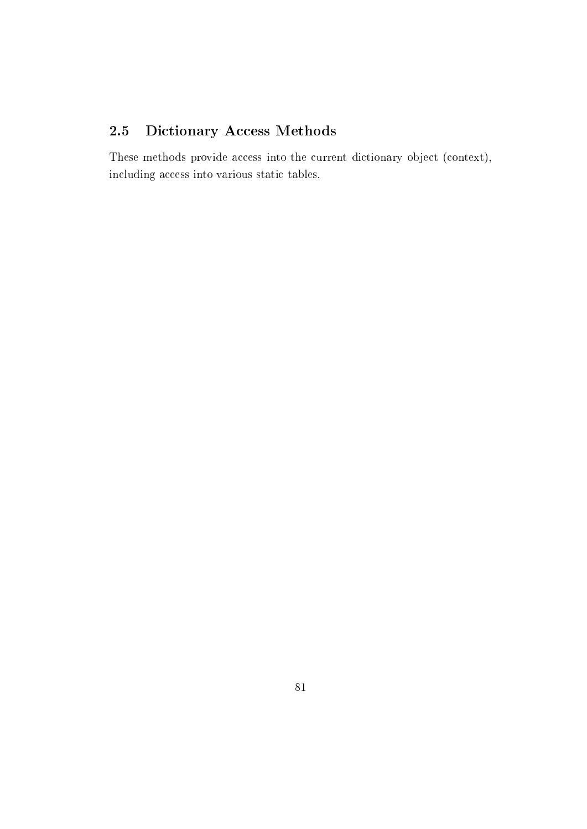#### Dictionary Access Methods 2.5

These methods provide access into the current dictionary object (context), including access into various static tables.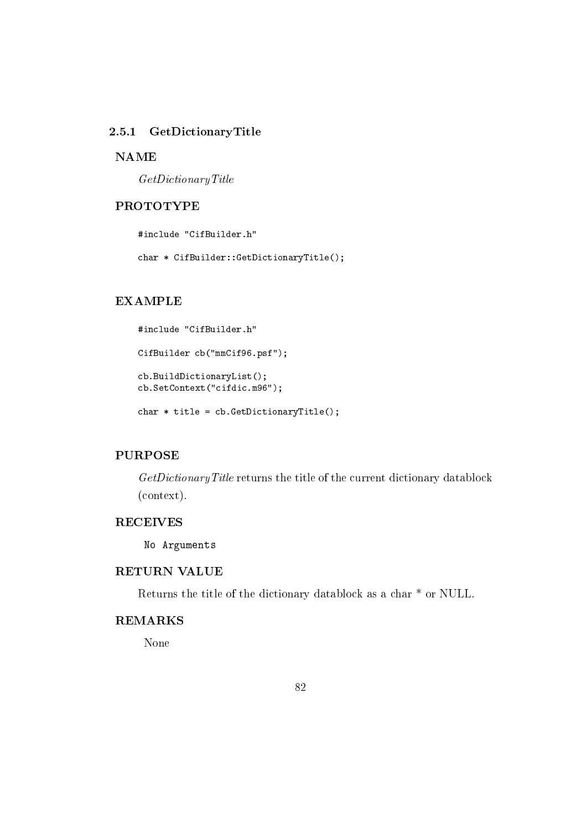#### GetDictionaryTitle  $2.5.1$

### **NAME**

 $GetDictionaryTitle$ 

# **PROTOTYPE**

#include "CifBuilder.h"

char \* CifBuilder::GetDictionaryTitle();

# **EXAMPLE**

```
#include "CifBuilder.h"
CifBuilder cb("mmCif96.psf");
cb.BuildDictionaryList();
cb.SetContext("cifdic.m96");
```
char  $*$  title = cb. GetDictionaryTitle();

# **PURPOSE**

GetDictionaryTitle returns the title of the current dictionary datablock  $(context).$ 

# **RECEIVES**

No Arguments

## **RETURN VALUE**

Returns the title of the dictionary datablock as a char  $*$  or NULL.

# **REMARKS**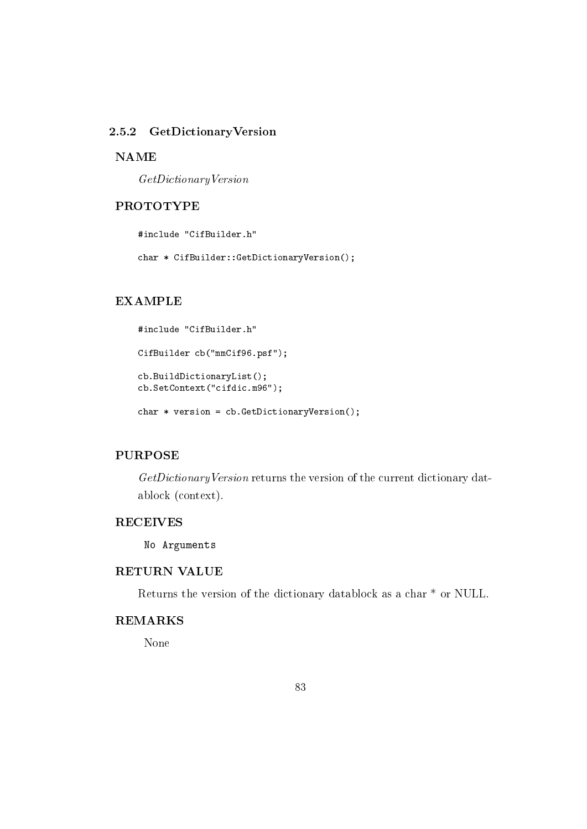# 2.5.2 GetDictionaryVersion

### **NAME**

 $GetDictionaryVersion$ 

# **PROTOTYPE**

#include "CifBuilder.h"

char \* CifBuilder::GetDictionaryVersion();

# **EXAMPLE**

```
#include "CifBuilder.h"
CifBuilder cb("mmCif96.psf");
cb.BuildDictionaryList();
cb.SetContext("cifdic.m96");
```
char  $*$  version = cb. GetDictionaryVersion();

# **PURPOSE**

GetDictionaryVersion returns the version of the current dictionary datablock (context).

# **RECEIVES**

No Arguments

# **RETURN VALUE**

Returns the version of the dictionary datablock as a char \* or NULL.

# **REMARKS**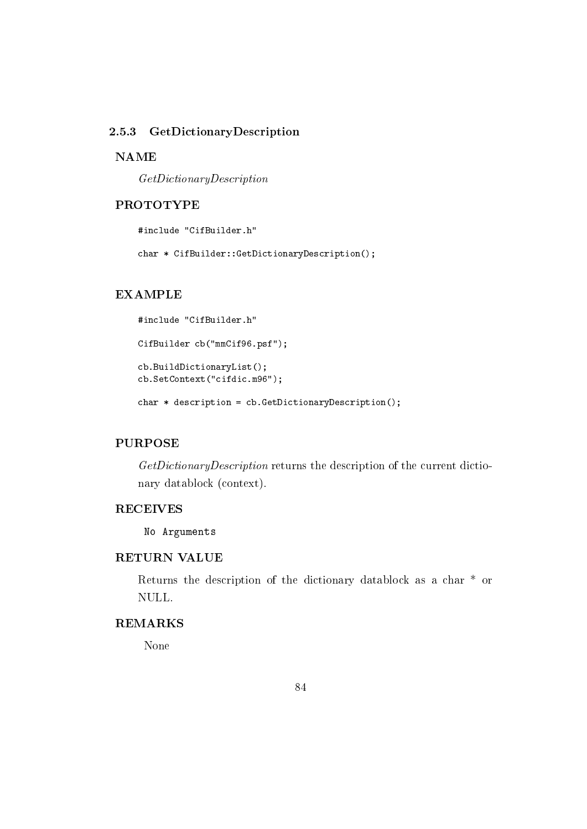#### GetDictionaryDescription 2.5.3

### **NAME**

 $GetDictionaryDescription$ 

# **PROTOTYPE**

#include "CifBuilder.h"

char \* CifBuilder::GetDictionaryDescription();

# **EXAMPLE**

```
#include "CifBuilder.h"
CifBuilder cb("mmCif96.psf");
cb.BuildDictionaryList();
cb.SetContext("cifdic.m96");
```
char  $*$  description = cb. GetDictionaryDescription();

#### **PURPOSE**

GetDictionaryDescription returns the description of the current dictionary datablock (context).

# **RECEIVES**

No Arguments

# **RETURN VALUE**

Returns the description of the dictionary datablock as a char<sup>\*</sup> or NULL.

# **REMARKS**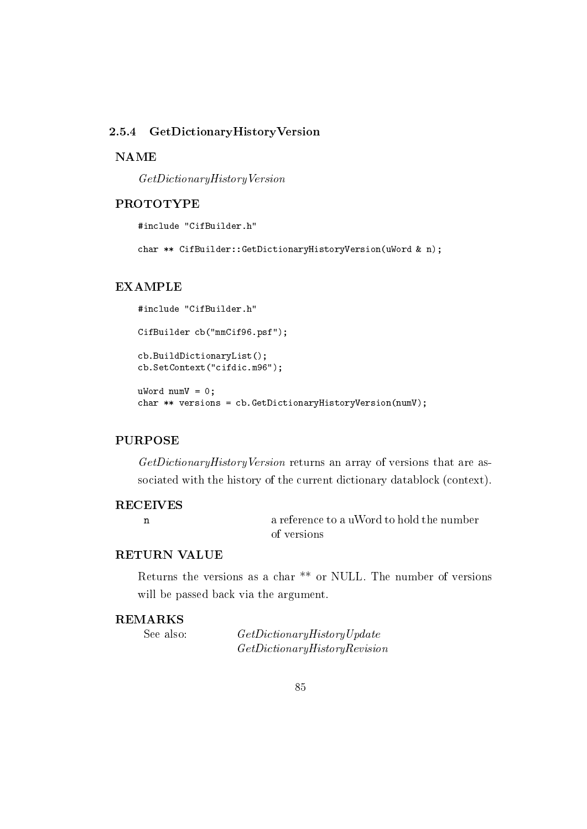#### 2.5.4 GetDictionaryHistoryVersion

### **NAME**

 $GetDictionaryHistoryVersion$ 

## **PROTOTYPE**

#include "CifBuilder.h"

char \*\* CifBuilder::GetDictionaryHistoryVersion(uWord & n);

## **EXAMPLE**

```
#include "CifBuilder.h"
CifBuilder cb("mmCif96.psf");
cb.BuildDictionaryList();
cb.SetContext("cifdic.m96");
uWord numV = 0;char ** versions = cb. GetDictionaryHistoryVersion(numV);
```
#### **PURPOSE**

GetDictionaryHistoryVersion returns an array of versions that are associated with the history of the current dictionary datablock (context).

## **RECEIVES**

 $\mathbf{n}$ 

a reference to a uWord to hold the number of versions

# **RETURN VALUE**

Returns the versions as a char \*\* or NULL. The number of versions will be passed back via the argument.

### **REMARKS**

See also:

 $GetDictionaryHistoryUpdate$  $GetDictionaryHistoryReview$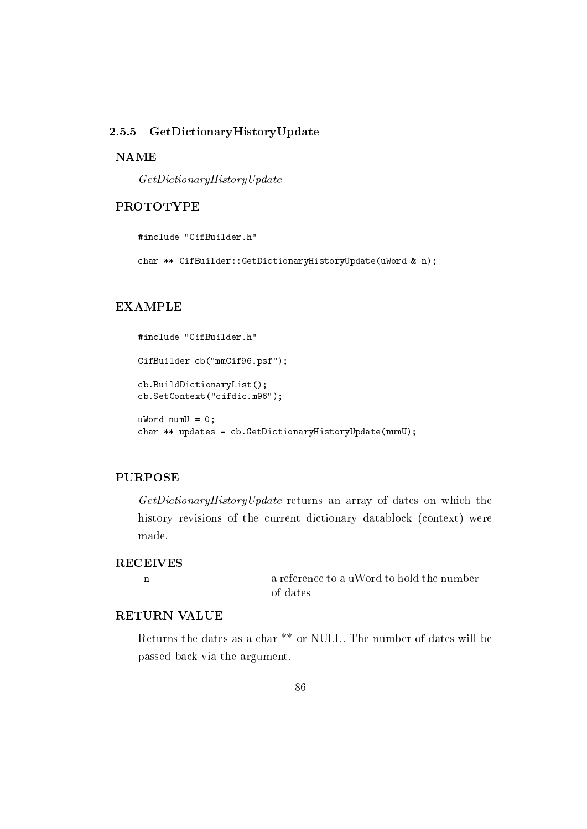#### 2.5.5 GetDictionaryHistoryUpdate

## **NAME**

 $GetDictionaryHistoryUpdate$ 

# **PROTOTYPE**

#include "CifBuilder.h"

char \*\* CifBuilder::GetDictionaryHistoryUpdate(uWord & n);

#### **EXAMPLE**

```
#include "CifBuilder.h"
CifBuilder cb("mmCif96.psf");
cb.BuildDictionaryList();
cb.SetContext("cifdic.m96");
uWord numU = 0;char ** updates = cb. GetDictionaryHistoryUpdate(numU);
```
#### **PURPOSE**

GetDictionaryHistoryUpdate returns an array of dates on which the history revisions of the current dictionary datablock (context) were made.

#### **RECEIVES**

 $\mathbf n$ 

a reference to a uWord to hold the number of dates

# RETURN VALUE

Returns the dates as a char \*\* or NULL. The number of dates will be passed back via the argument.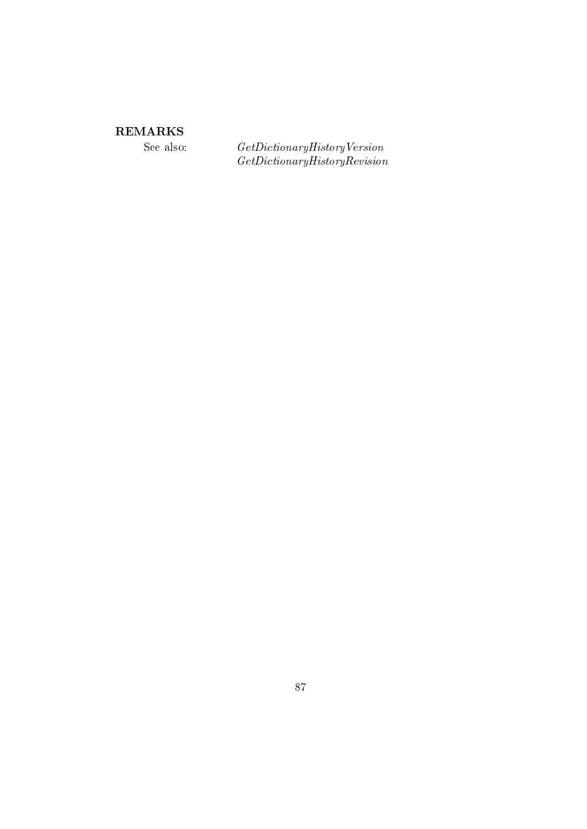# ${\bf REMARKS}$

See also:

 $\label{eq:2} Get Dictionary History Version \\ Get Dictionary HistoryRevision$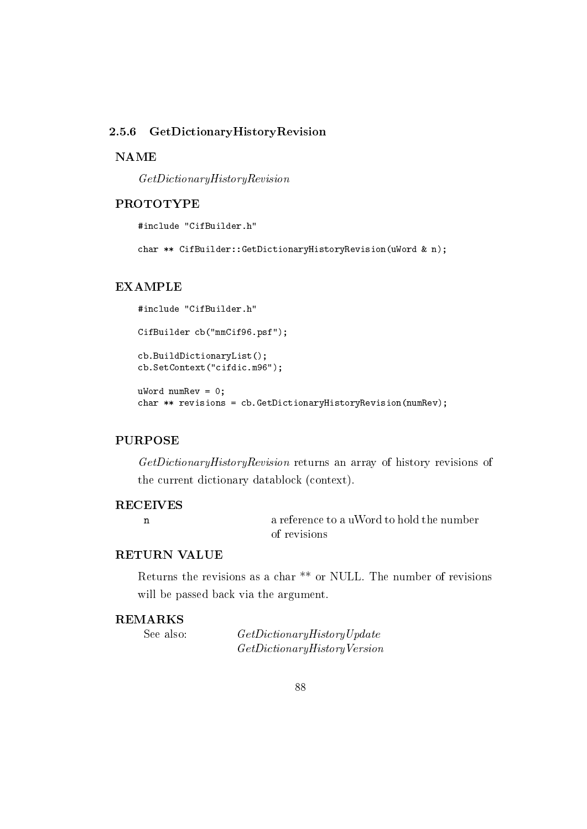#### 2.5.6 GetDictionaryHistoryRevision

### **NAME**

 $GetDictionaryHistoryReview$ 

## **PROTOTYPE**

#include "CifBuilder.h"

char \*\* CifBuilder::GetDictionaryHistoryRevision(uWord & n);

## **EXAMPLE**

```
#include "CifBuilder.h"
CifBuilder cb("mmCif96.psf");
cb.BuildDictionaryList();
cb.SetContext("cifdic.m96");
uWord numRev = 0;
```

```
char ** revisions = cb. GetDictionaryHistoryRevision (numRev);
```
## **PURPOSE**

GetDictionaryHistoryRevision returns an array of history revisions of the current dictionary datablock (context).

## **RECEIVES**

 $\mathbf{n}$ 

a reference to a uWord to hold the number of revisions

# **RETURN VALUE**

Returns the revisions as a char \*\* or NULL. The number of revisions will be passed back via the argument.

## **REMARKS**

See also:

 $GetDictionaryHistoryUpdate$  $GetDictionaryHistoryVersion$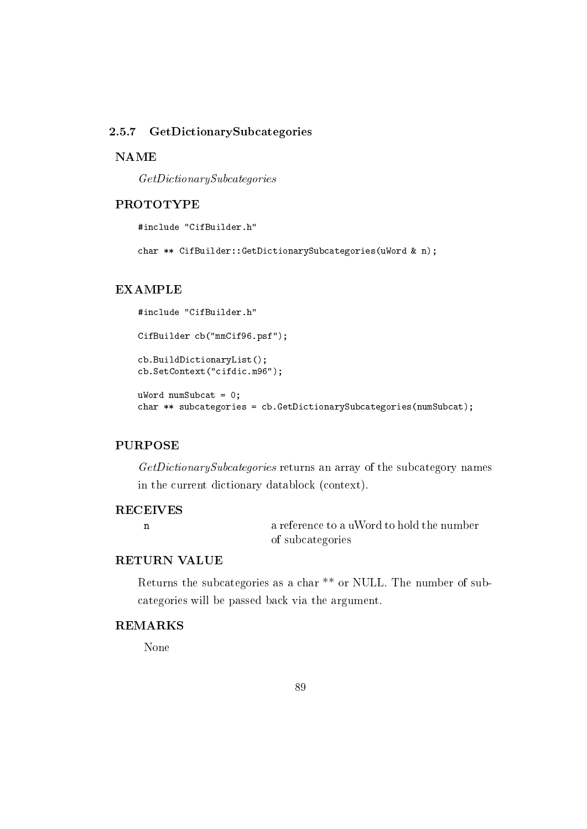#### 2.5.7 GetDictionarySubcategories

#### **NAME**

 $GetDictionarySubcategories$ 

# **PROTOTYPE**

#include "CifBuilder.h"

char \*\* CifBuilder::GetDictionarySubcategories(uWord & n);

#### **EXAMPLE**

```
#include "CifBuilder.h"
CifBuilder cb("mmCif96.psf");
cb.BuildDictionaryList();
cb.SetContext("cifdic.m96");
uWord numSubcat = 0;
```
char \*\* subcategories = cb. GetDictionarySubcategories (numSubcat);

#### **PURPOSE**

GetDictionarySubcategories returns an array of the subcategory names in the current dictionary datablock (context).

# **RECEIVES**

 $\mathbf{n}$ 

a reference to a uWord to hold the number of subcategories

# **RETURN VALUE**

Returns the subcategories as a char<sup>\*\*</sup> or NULL. The number of subcategories will be passed back via the argument.

## **REMARKS**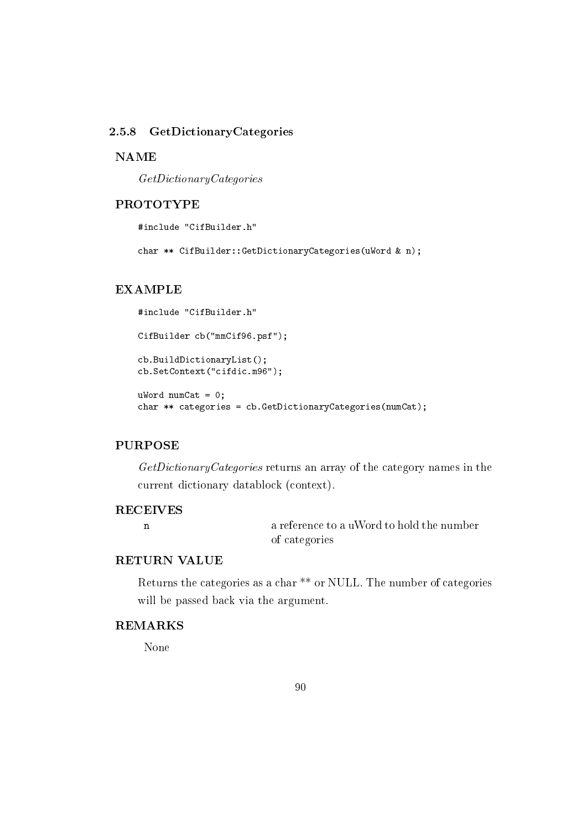#### 2.5.8 GetDictionaryCategories

### **NAME**

 $GetDictionaryCateqories$ 

# **PROTOTYPE**

#include "CifBuilder.h"

char \*\* CifBuilder::GetDictionaryCategories(uWord & n);

#### **EXAMPLE**

```
#include "CifBuilder.h"
CifBuilder cb("mmCif96.psf");
cb.BuildDictionaryList();
cb.SetContext("cifdic.m96");
uWord numCat = 0;
```
char \*\* categories = cb. GetDictionaryCategories(numCat);

## **PURPOSE**

GetDictionaryCategories returns an array of the category names in the current dictionary datablock (context).

# **RECEIVES**

 $\mathbf{n}$ 

a reference to a uWord to hold the number of categories

# **RETURN VALUE**

Returns the categories as a char<sup>\*\*</sup> or NULL. The number of categories will be passed back via the argument.

# **REMARKS**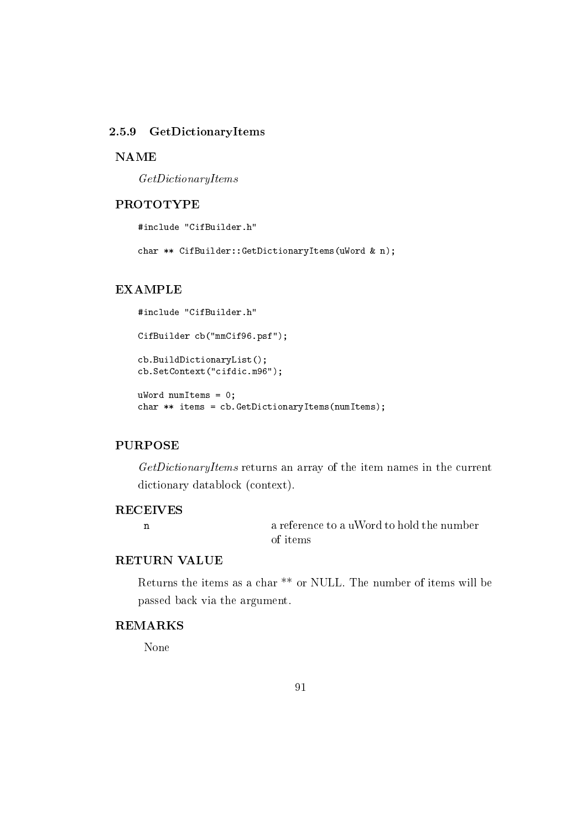#### 2.5.9 GetDictionaryItems

#### **NAME**

 $GetDictionary$ 

# **PROTOTYPE**

#include "CifBuilder.h"

char \*\* CifBuilder::GetDictionaryItems(uWord & n);

# **EXAMPLE**

```
#include "CifBuilder.h"
CifBuilder cb("mmCif96.psf");
cb.BuildDictionaryList();
cb.SetContext("cifdic.m96");
uWord numItems = 0;
```

```
char ** items = cb. GetDictionaryItems(numItems);
```
# **PURPOSE**

GetDictionaryItems returns an array of the item names in the current dictionary datablock (context).

# **RECEIVES**

 $\mathbf{n}$ 

a reference to a uWord to hold the number of items

## **RETURN VALUE**

Returns the items as a char<sup>\*\*</sup> or NULL. The number of items will be passed back via the argument.

## **REMARKS**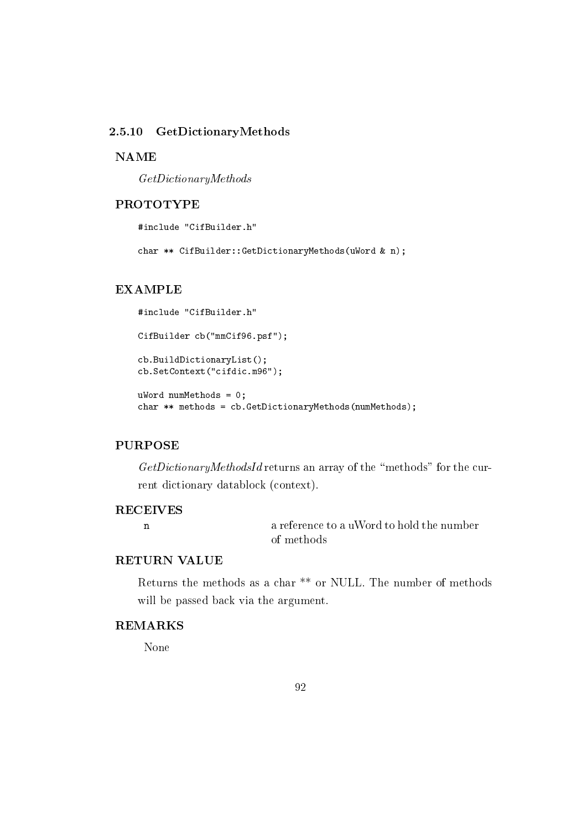#### 2.5.10 GetDictionaryMethods

### **NAME**

 $GetDictionaryMethods$ 

# **PROTOTYPE**

#include "CifBuilder.h"

char \*\* CifBuilder::GetDictionaryMethods(uWord & n);

#### **EXAMPLE**

```
#include "CifBuilder.h"
CifBuilder cb("mmCif96.psf");
cb.BuildDictionaryList();
cb.SetContext("cifdic.m96");
uWord numMethods = 0;
```

```
char ** methods = cb. GetDictionaryMethods(numMethods);
```
#### **PURPOSE**

GetDictionaryMethodsId returns an array of the "methods" for the current dictionary datablock (context).

### **RECEIVES**

 $\mathbf{n}$ 

a reference to a uWord to hold the number of methods

## **RETURN VALUE**

Returns the methods as a char<sup>\*\*</sup> or NULL. The number of methods will be passed back via the argument.

# **REMARKS**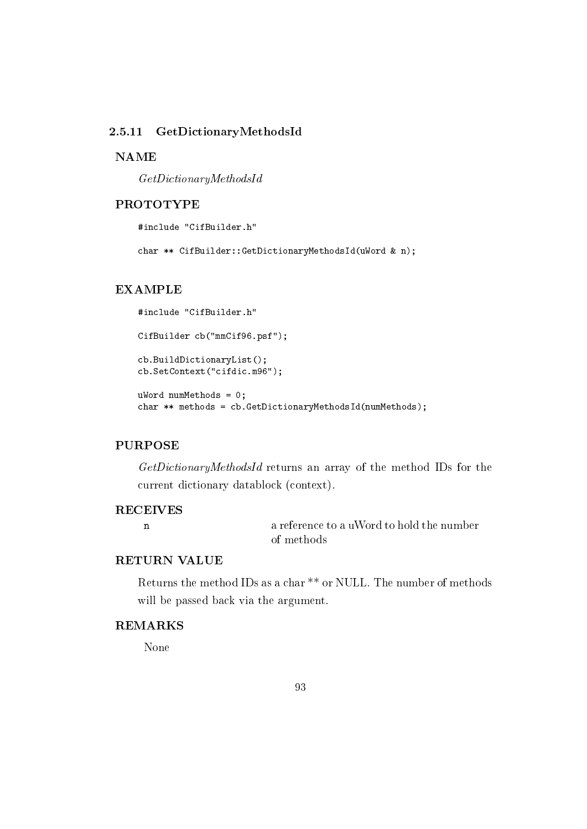#### 2.5.11 GetDictionaryMethodsId

#### **NAME**

 $GetDictionaryMethodsId$ 

# **PROTOTYPE**

#include "CifBuilder.h"

char \*\* CifBuilder::GetDictionaryMethodsId(uWord & n);

#### **EXAMPLE**

```
#include "CifBuilder.h"
CifBuilder cb("mmCif96.psf");
cb.BuildDictionaryList();
cb.SetContext("cifdic.m96");
uWord numMethods = 0;
```

```
char ** methods = cb. GetDictionaryMethodsId(numMethods);
```
#### **PURPOSE**

GetDictionaryMethodsId returns an array of the method IDs for the current dictionary datablock (context).

#### **RECEIVES**

 $\mathbf{n}$ 

a reference to a uWord to hold the number of methods

# **RETURN VALUE**

Returns the method IDs as a char<sup>\*\*</sup> or NULL. The number of methods will be passed back via the argument.

# **REMARKS**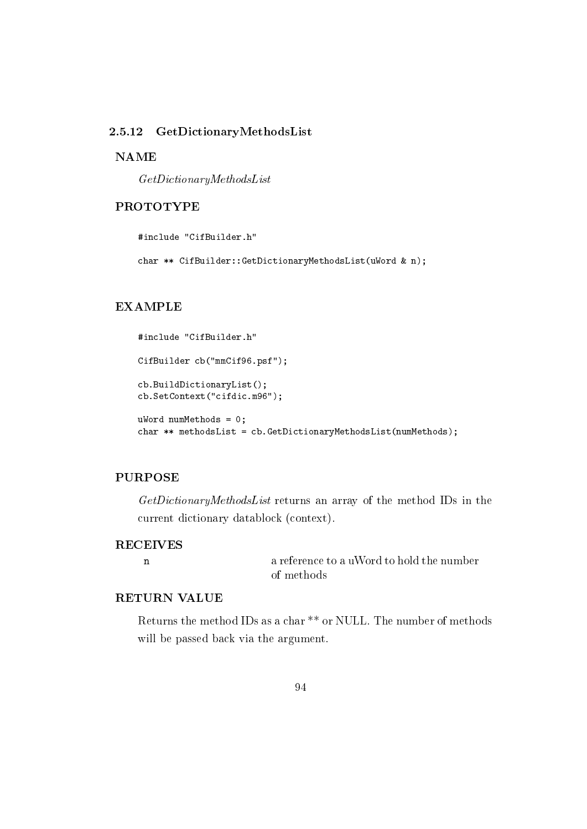#### 2.5.12 GetDictionaryMethodsList

## **NAME**

 $GetDictionaryMethodsList$ 

## **PROTOTYPE**

#include "CifBuilder.h"

char \*\* CifBuilder::GetDictionaryMethodsList(uWord & n);

### **EXAMPLE**

```
#include "CifBuilder.h"
CifBuilder cb("mmCif96.psf");
cb.BuildDictionaryList();
cb.SetContext("cifdic.m96");
uWord numMethods = 0;
char ** methodsList = cb.GetDictionaryMethodsList(numMethods);
```
#### **PURPOSE**

GetDictionaryMethodsList returns an array of the method IDs in the current dictionary datablock (context).

## **RECEIVES**

 $\mathbf n$ 

a reference to a uWord to hold the number of methods

# RETURN VALUE

Returns the method IDs as a char<sup>\*\*</sup> or NULL. The number of methods will be passed back via the argument.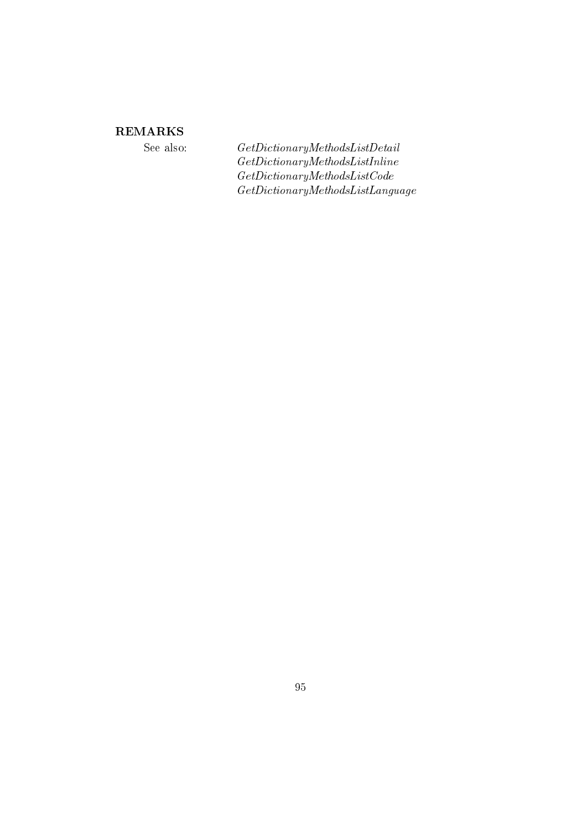# **REMARKS**

See also:

 $\label{eq:6} Get Dictionary Methods ListDetails$  $\label{thm:ce} Get Dictionary Methods List In line$  $\label{thm:ce} Get Dictionary MethodsListCode$  $\label{eq:2} Get Dictionary Methods List Language$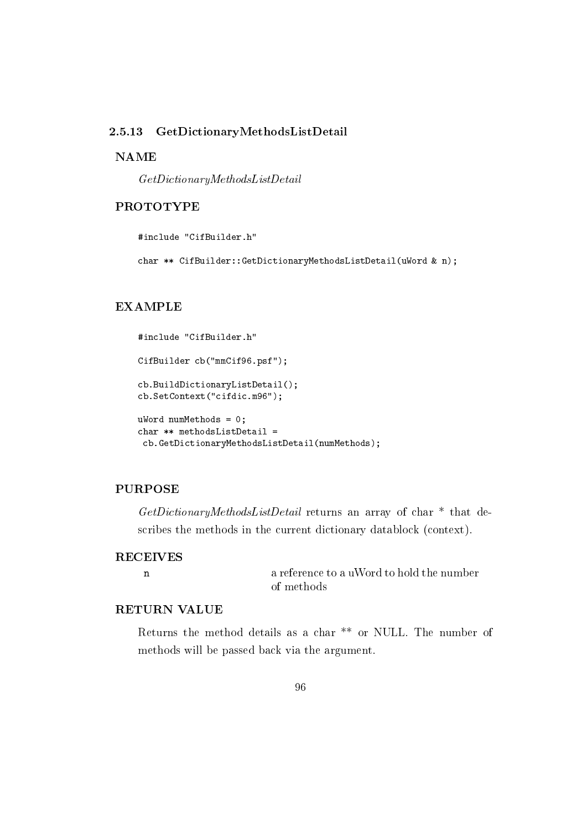#### GetDictionaryMethodsListDetail 2.5.13

## **NAME**

 $GetDictionaryMethodsListDetails$ 

# **PROTOTYPE**

#include "CifBuilder.h"

char \*\* CifBuilder::GetDictionaryMethodsListDetail(uWord & n);

### **EXAMPLE**

```
#include "CifBuilder.h"
CifBuilder cb("mmCif96.psf");
cb.BuildDictionaryListDetail();
cb.SetContext("cifdic.m96");
uWord numMethods = 0;
char ** methods<br>ListDetail =
 cb.GetDictionaryMethodsListDetail(numMethods);
```
#### **PURPOSE**

 $GetDictionaryMethodsListDetails$  returns an array of char\* that describes the methods in the current dictionary datablock (context).

# **RECEIVES**  $\mathbf n$

a reference to a uWord to hold the number of methods

# **RETURN VALUE**

Returns the method details as a char<sup>\*\*</sup> or NULL. The number of methods will be passed back via the argument.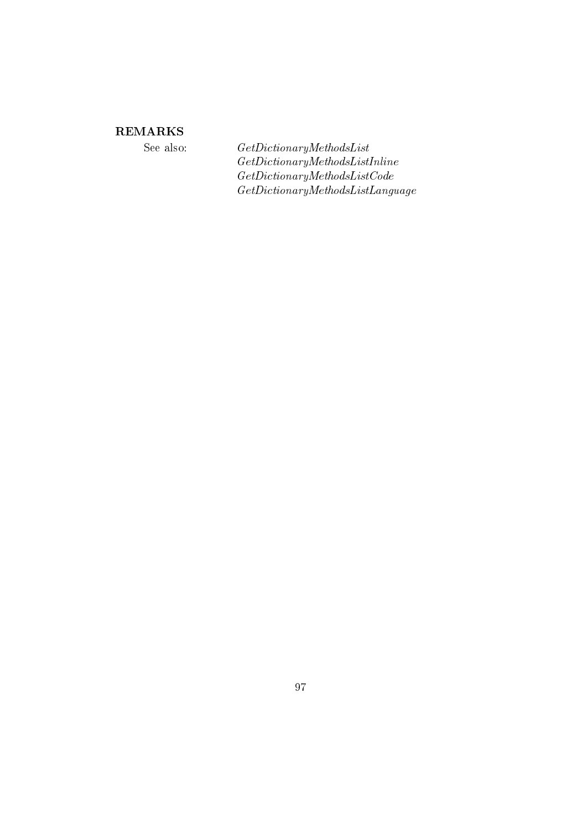# **REMARKS**

See also:

 $\label{eq:2} Get Dictionary Methods List$  $\label{thm:ce} Get Dictionary Methods List In line$  $\label{thm:ce} Get Dictionary MethodsListCode$  $\label{eq:2} Get Dictionary Methods List Language$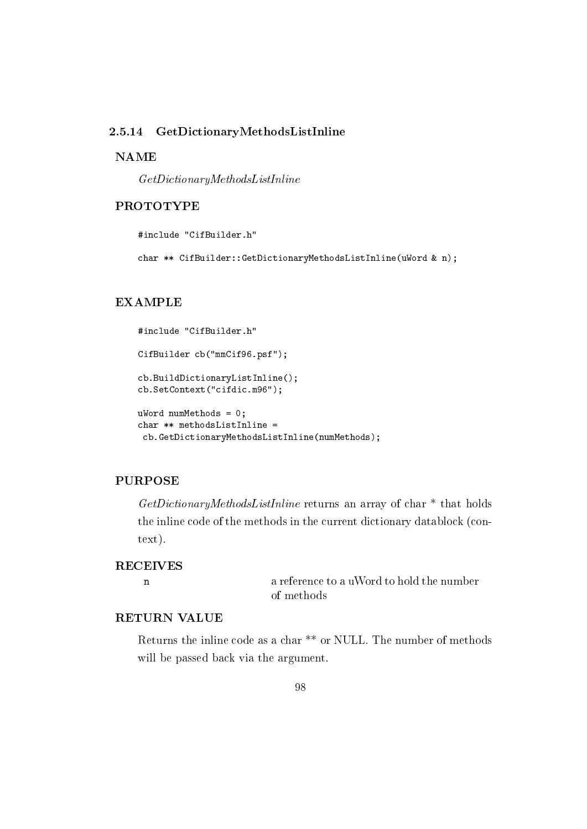#### 2.5.14 GetDictionaryMethodsListInline

### **NAME**

 $GetDictionaryMethodsListInline$ 

## **PROTOTYPE**

#include "CifBuilder.h"

char \*\* CifBuilder::GetDictionaryMethodsListInline(uWord & n);

### **EXAMPLE**

```
#include "CifBuilder.h"
CifBuilder cb("mmCif96.psf");
cb.BuildDictionaryListInline();
cb.SetContext("cifdic.m96");
uWord numMethods = 0;
char ** methods<br>ListInline =
 cb.GetDictionaryMethodsListInline(numMethods);
```
# **PURPOSE**

 $GetDictionaryMethodsListInline$  returns an array of char  $*$  that holds the inline code of the methods in the current dictionary datablock (con $text).$ 

## **RECEIVES**

 $\mathbf{n}$ 

a reference to a uWord to hold the number of methods

## **RETURN VALUE**

Returns the inline code as a char \*\* or NULL. The number of methods will be passed back via the argument.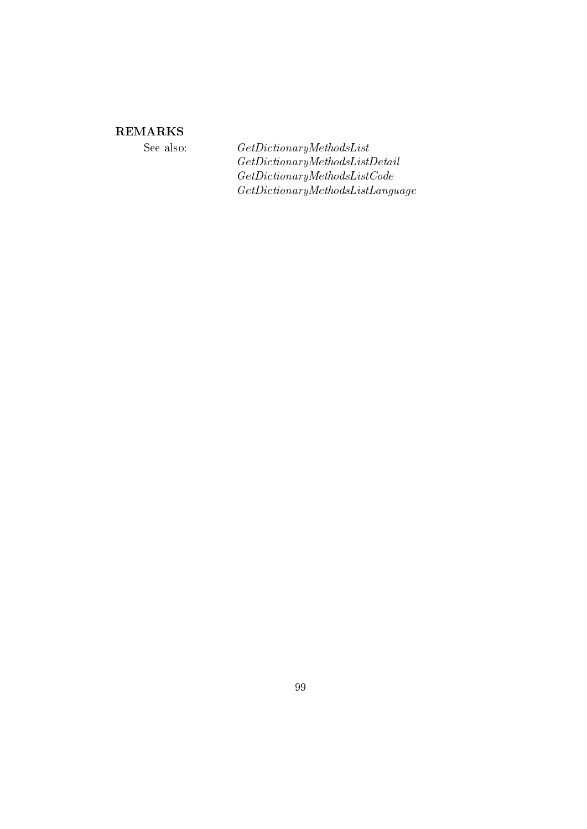# **REMARKS**

See also:

 $\label{eq:2} Get Dictionary MethodsList$  $\label{eq:ceth} Get Dictionary MethodsListDetails$  $\label{thm:ce} Get Dictionary MethodsListCode$  $\label{eq:2} Get Dictionary Methods List Language$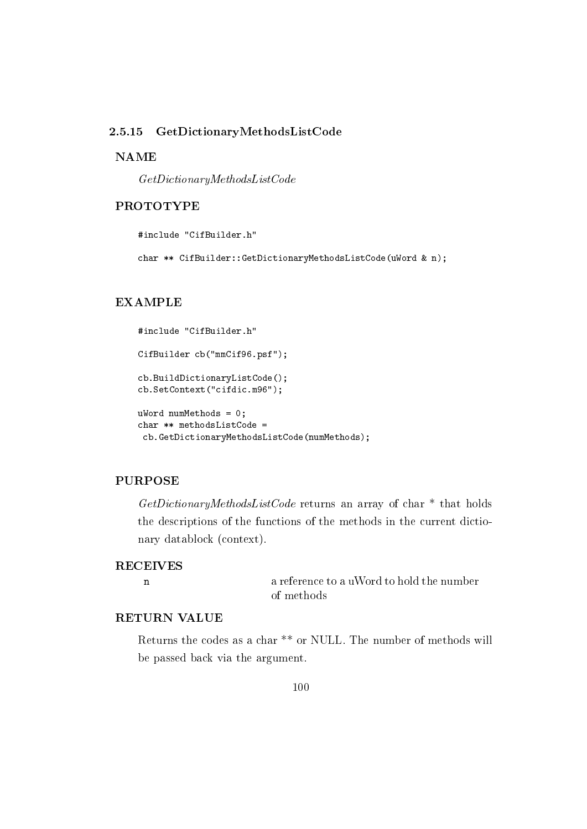#### GetDictionaryMethodsListCode 2.5.15

### **NAME**

 $\label{thm:ce} Get Dictionary MethodsListCode$ 

# **PROTOTYPE**

#include "CifBuilder.h"

char \*\* CifBuilder::GetDictionaryMethodsListCode(uWord & n);

### **EXAMPLE**

```
#include "CifBuilder.h"
CifBuilder cb("mmCif96.psf");
cb.BuildDictionaryListCode();
cb.SetContext("cifdic.m96");
uWord numMethods = 0;
char ** methodsListCode =
 cb.GetDictionaryMethodsListCode(numMethods);
```
# **PURPOSE**

 $GetDictionaryMethodsListCode$  returns an array of char  $*$  that holds the descriptions of the functions of the methods in the current dictionary datablock (context).

### **RECEIVES**

 $\mathbf{n}$ 

a reference to a uWord to hold the number of methods

## **RETURN VALUE**

Returns the codes as a char \*\* or NULL. The number of methods will be passed back via the argument.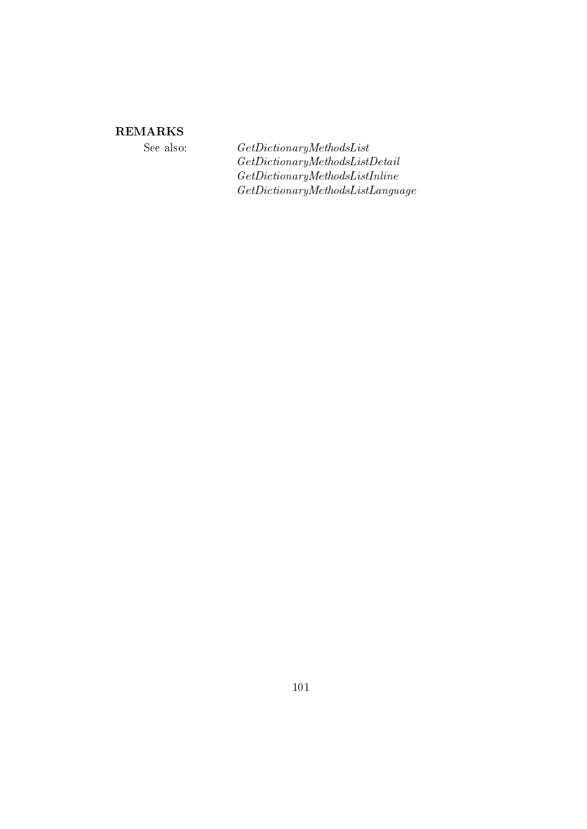# **REMARKS**

See also:

 $\label{eq:2} Get Dictionary Methods List$  $\label{eq:ceth} Get Dictionary MethodsListDetails$  $\label{thm:ce} Get Dictionary Methods List In line$  $\label{eq:2} Get Dictionary Methods List Language$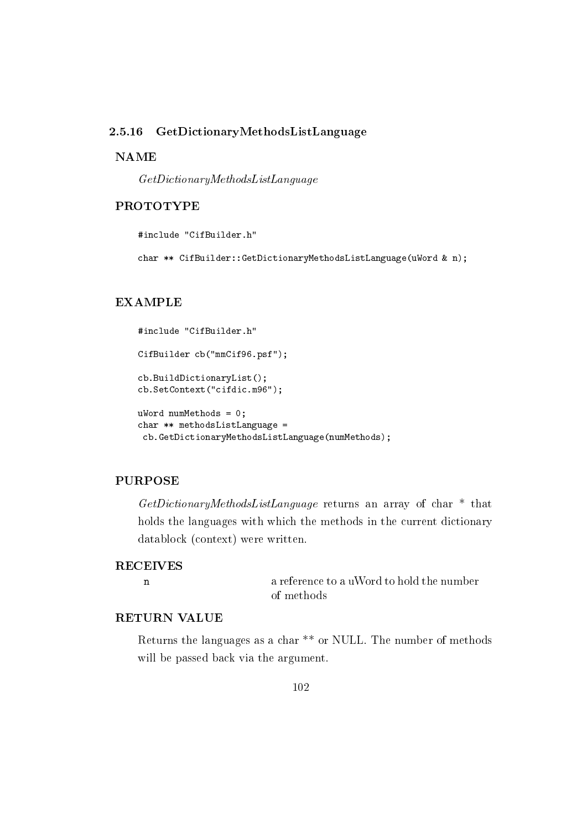#### GetDictionaryMethodsListLanguage 2.5.16

### **NAME**

 $GetDictionaryMethodsListLanguage$ 

## **PROTOTYPE**

#include "CifBuilder.h"

char \*\* CifBuilder::GetDictionaryMethodsListLanguage(uWord & n);

### **EXAMPLE**

```
#include "CifBuilder.h"
CifBuilder cb("mmCif96.psf");
cb.BuildDictionaryList();
cb.SetContext("cifdic.m96");
uWord numMethods = 0;
char ** methodsListLanguage =
 cb.GetDictionaryMethodsListLanguage(numMethods);
```
# **PURPOSE**

GetDictionaryMethodsListLanguage returns an array of char<sup>\*</sup> that holds the languages with which the methods in the current dictionary datablock (context) were written.

### **RECEIVES**

 $\mathbf{n}$ 

a reference to a uWord to hold the number of methods

## **RETURN VALUE**

Returns the languages as a char \*\* or NULL. The number of methods will be passed back via the argument.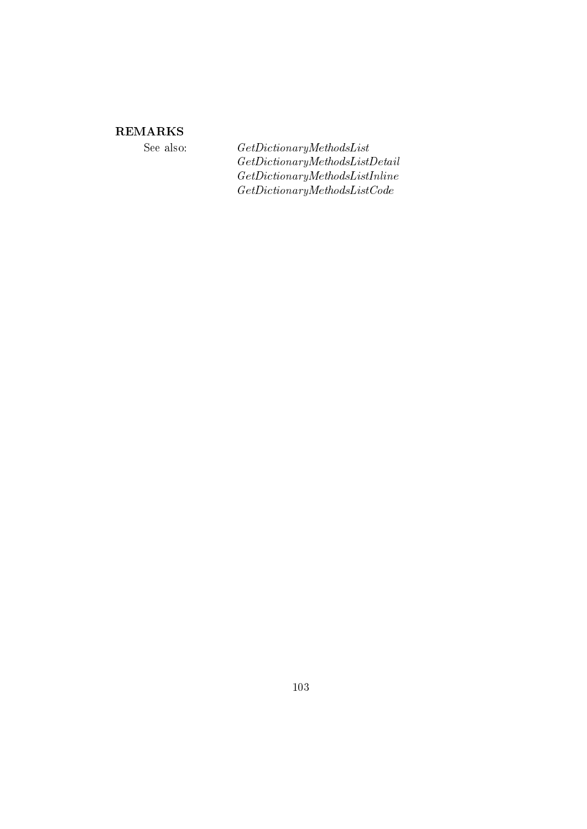# **REMARKS**

See also:

 $\label{eq:2} Get Dictionary Methods List$  $\label{eq:ceth} Get Dictionary MethodsListDetails$  $\label{thm:ce} Get Dictionary Methods ListInline$  $\label{eq:2} Get Dictionary MethodsListCode$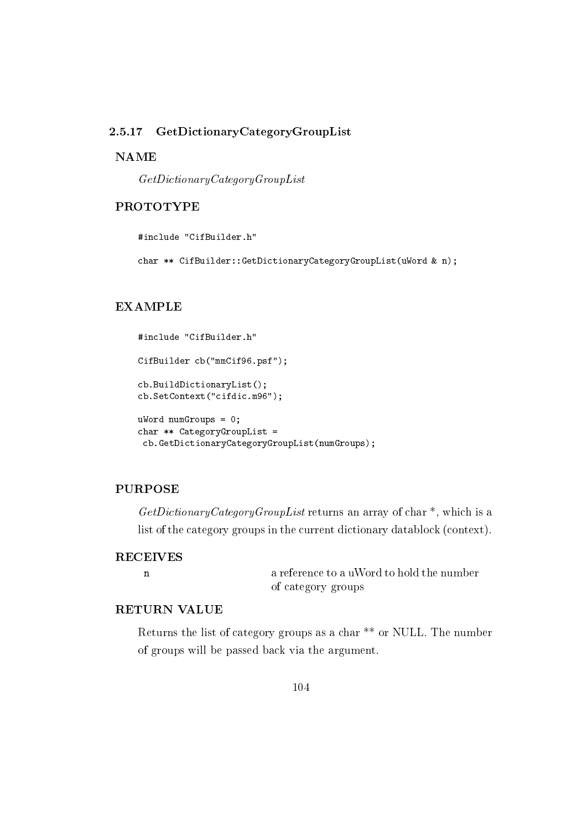#### 2.5.17 GetDictionaryCategoryGroupList

## **NAME**

 $GetDictionaryCategoryGroupList$ 

# **PROTOTYPE**

#include "CifBuilder.h"

char \*\* CifBuilder::GetDictionaryCategoryGroupList(uWord & n);

### **EXAMPLE**

```
#include "CifBuilder.h"
CifBuilder cb("mmCif96.psf");
cb.BuildDictionaryList();
cb.SetContext("cifdic.m96");
uWord numGroups = 0;
char ** CategoryGroupList =
 cb.GetDictionaryCategoryGroupList(numGroups);
```
#### **PURPOSE**

 $GetDictionaryCategoryGroupList$  returns an array of char<sup>\*</sup>, which is a list of the category groups in the current dictionary datablock (context).

# **RECEIVES**  $\mathbf n$

a reference to a uWord to hold the number of category groups

# **RETURN VALUE**

Returns the list of category groups as a char \*\* or NULL. The number of groups will be passed back via the argument.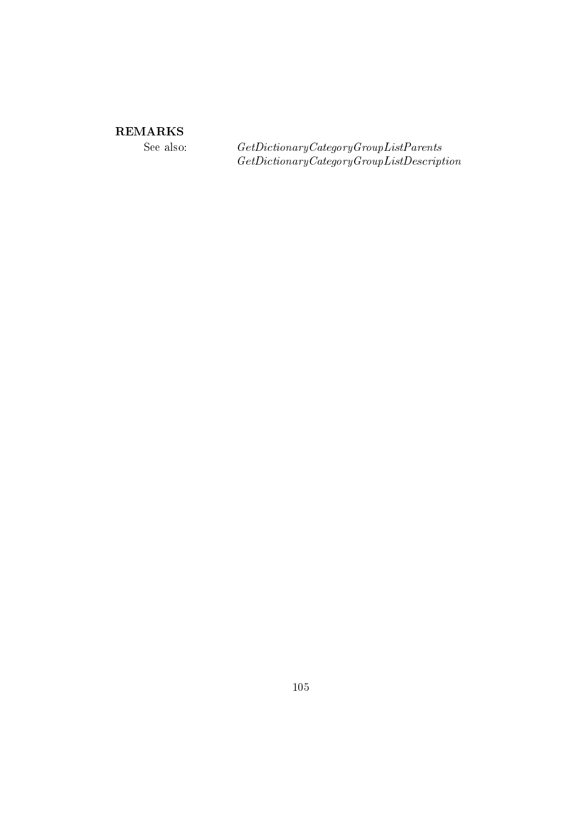# ${\bf REMARKS}$

See also:

 $\label{thm:2} Get Dictionary Categy Group List Parents \\ Get Dictionary Categy Group ListDescription$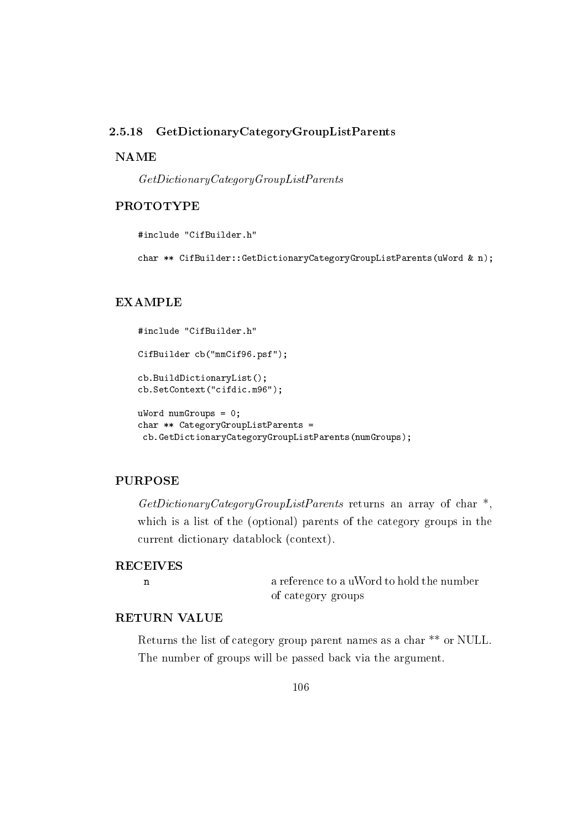#### GetDictionaryCategoryGroupListParents 2.5.18

## **NAME**

 $GetDictionaryCategoryGroupListParents$ 

## **PROTOTYPE**

#include "CifBuilder.h"

char \*\* CifBuilder::GetDictionaryCategoryGroupListParents(uWord & n);

### **EXAMPLE**

```
#include "CifBuilder.h"
CifBuilder cb("mmCif96.psf");
cb.BuildDictionaryList();
cb.SetContext("cifdic.m96");
ukord numGroups = 0;
char ** CategoryGroupListParents =
 cb.GetDictionaryCategoryGroupListParents(numGroups);
```
# **PURPOSE**

 $GetDictionaryCategoryGroupListParents$  returns an array of char<sup>\*</sup>, which is a list of the (optional) parents of the category groups in the current dictionary datablock (context).

### **RECEIVES**

 $\mathbf{n}$ 

a reference to a uWord to hold the number of category groups

## **RETURN VALUE**

Returns the list of category group parent names as a char \*\* or NULL. The number of groups will be passed back via the argument.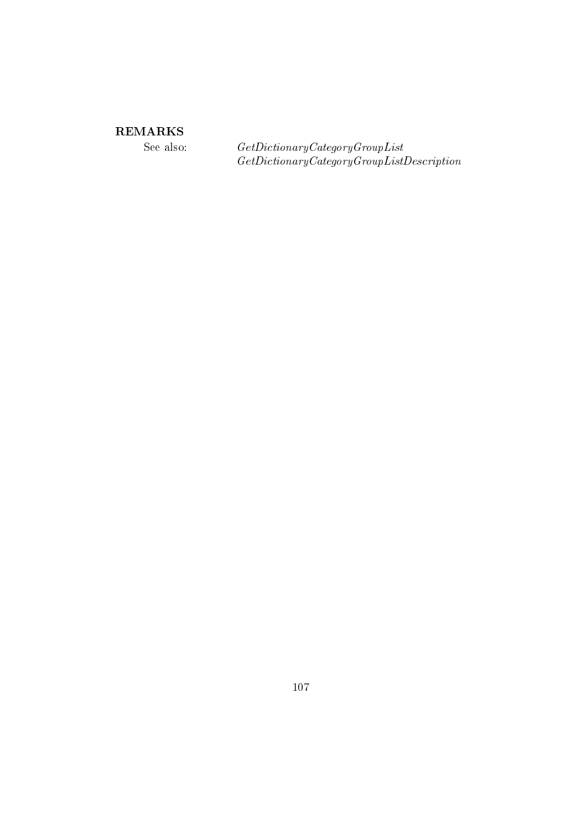# ${\bf REMARKS}$

See also:

 $\label{thm:2} Get Dictionary Categy Group List \\ Get Dictionary Categy Group ListDescription$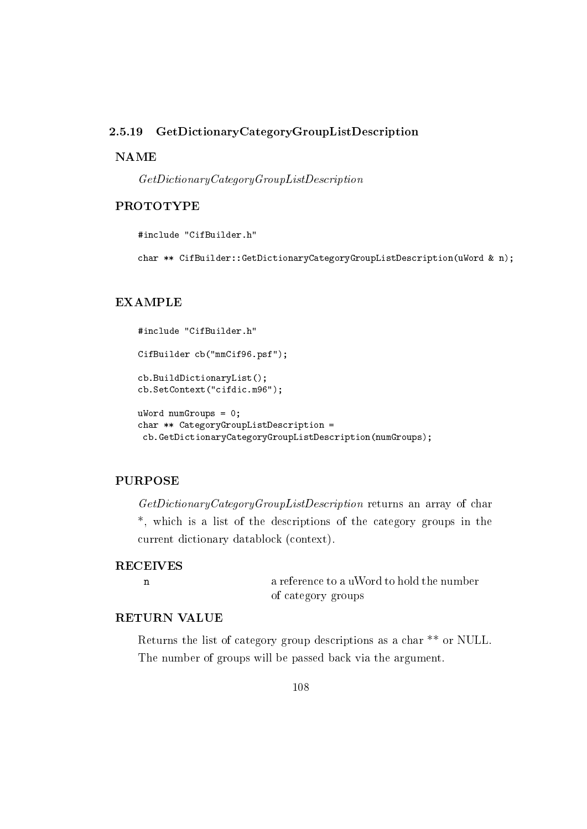#### GetDictionaryCategoryGroupListDescription 2.5.19

## **NAME**

 $GetDictionaryCategoryGroupListDescription$ 

## **PROTOTYPE**

#include "CifBuilder.h"

char \*\* CifBuilder::GetDictionaryCategoryGroupListDescription(uWord & n);

### **EXAMPLE**

```
#include "CifBuilder.h"
CifBuilder cb("mmCif96.psf");
cb.BuildDictionaryList();
cb.SetContext("cifdic.m96");
uWord numGroups = 0;
char ** CategoryGroupListDescription =
 cb.GetDictionaryCategoryGroupListDescription(numGroups);
```
# **PURPOSE**

GetDictionaryCategoryGroupListDescription returns an array of char \*, which is a list of the descriptions of the category groups in the current dictionary datablock (context).

### **RECEIVES**

 $\mathbf{n}$ 

a reference to a uWord to hold the number of category groups

## **RETURN VALUE**

Returns the list of category group descriptions as a char \*\* or NULL. The number of groups will be passed back via the argument.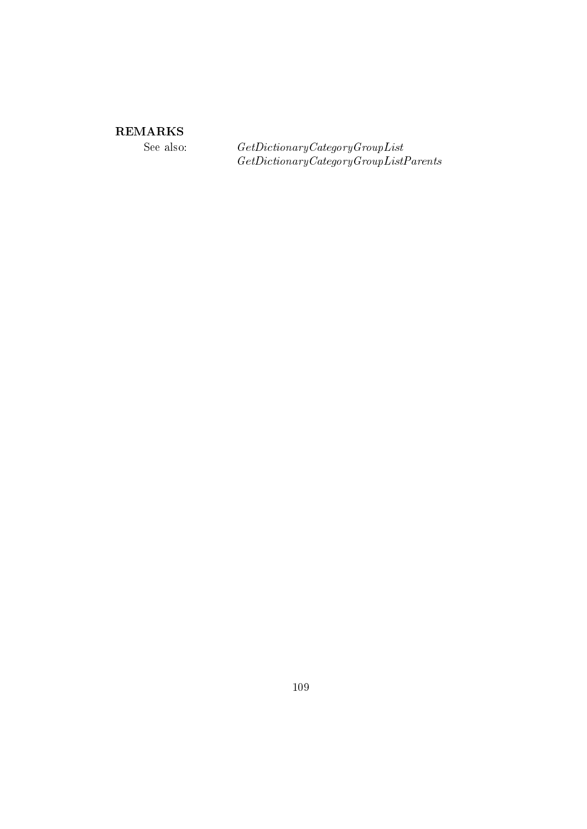See also:

 $\label{thm:2} Get Dictionary Category Group List \\ Get Dictionary Category Group List Parents$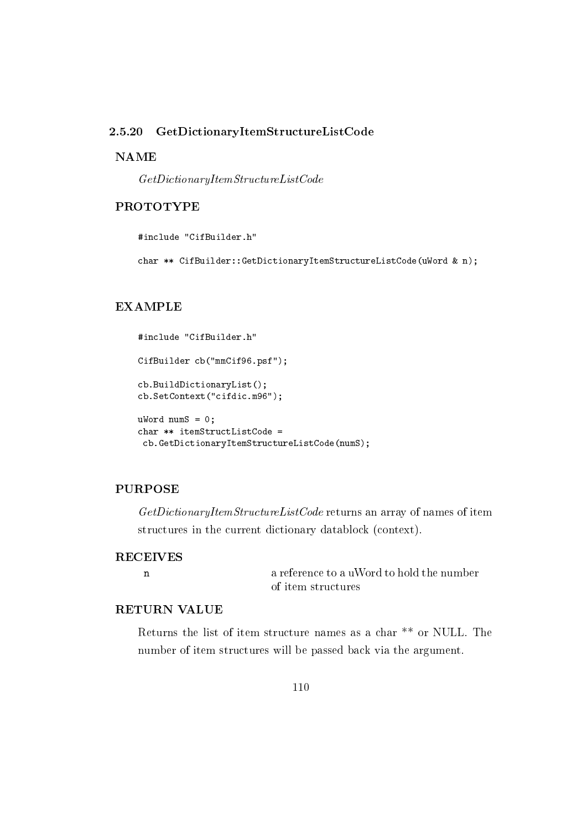#### 2.5.20  $GetDictionaryItemStructureListCode$

## **NAME**

 $\label{thm:ce} Get Dictionary Item Structure ListCode$ 

## **PROTOTYPE**

#include "CifBuilder.h"

char \*\* CifBuilder::GetDictionaryItemStructureListCode(uWord & n);

## **EXAMPLE**

```
#include "CifBuilder.h"
CifBuilder cb("mmCif96.psf");
cb.BuildDictionaryList();
cb.SetContext("cifdic.m96");
ukord numS = 0;
char ** itemStructListCode =
 cb.GetDictionaryItemStructureListCode(numS);
```
#### **PURPOSE**

GetDictionaryItemStructureListCode returns an array of names of item structures in the current dictionary datablock (context).

## **RECEIVES**  $\mathbf n$

a reference to a uWord to hold the number of item structures

## **RETURN VALUE**

Returns the list of item structure names as a char \*\* or NULL. The number of item structures will be passed back via the argument.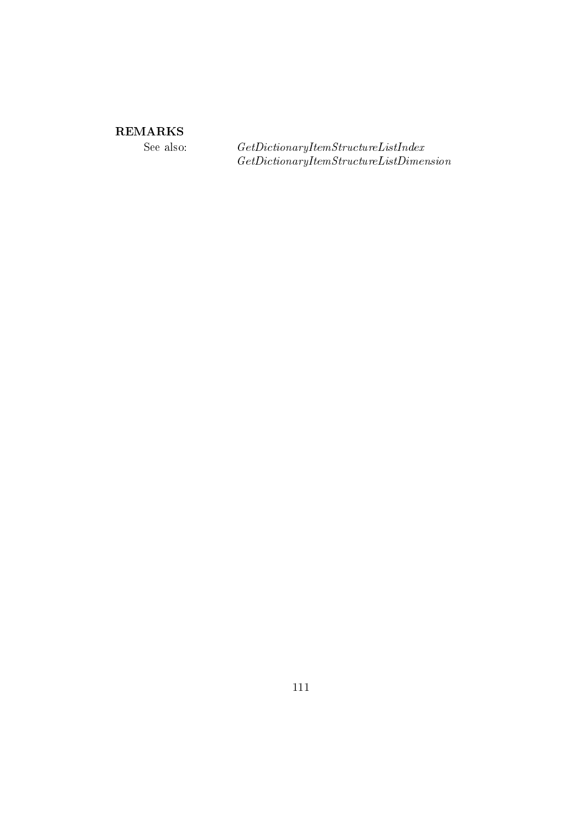See also:

 $\label{thm:2} Get Dictionary Item Structure ListIndex\\ Get DictionaryItemStructureListDimension$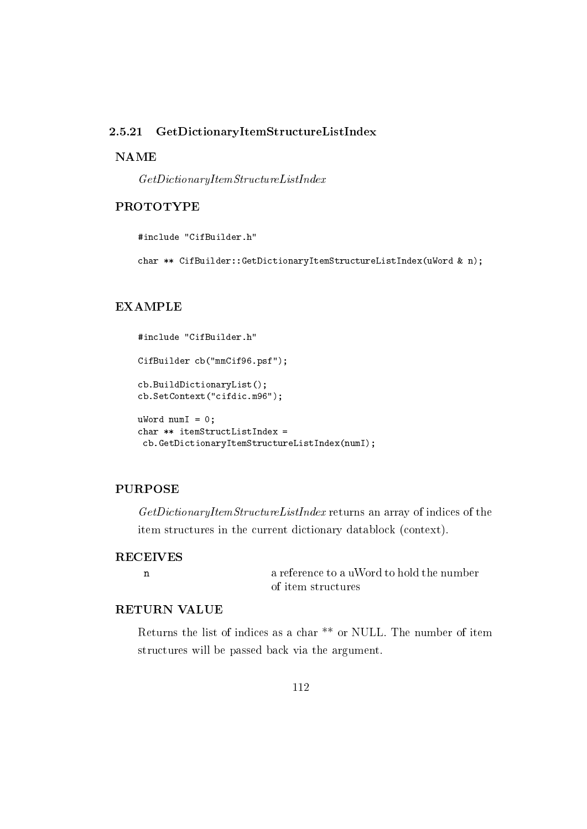#### 2.5.21 GetDictionaryItemStructureListIndex

### **NAME**

 $\label{thm:2} Get Dictionary Item Structure ListIndex$ 

## **PROTOTYPE**

#include "CifBuilder.h"

char \*\* CifBuilder::GetDictionaryItemStructureListIndex(uWord & n);

### **EXAMPLE**

```
#include "CifBuilder.h"
CifBuilder cb("mmCif96.psf");
cb.BuildDictionaryList();
cb.SetContext("cifdic.m96");
uWord numI = 0;char ** itemStructListIndex =
 cb.GetDictionaryItemStructureListIndex(numI);
```
#### **PURPOSE**

GetDictionaryItemStructureListIndex returns an array of indices of the item structures in the current dictionary datablock (context).

## **RECEIVES**  $\mathbf n$

a reference to a uWord to hold the number of item structures

## **RETURN VALUE**

Returns the list of indices as a char<sup>\*\*</sup> or NULL. The number of item structures will be passed back via the argument.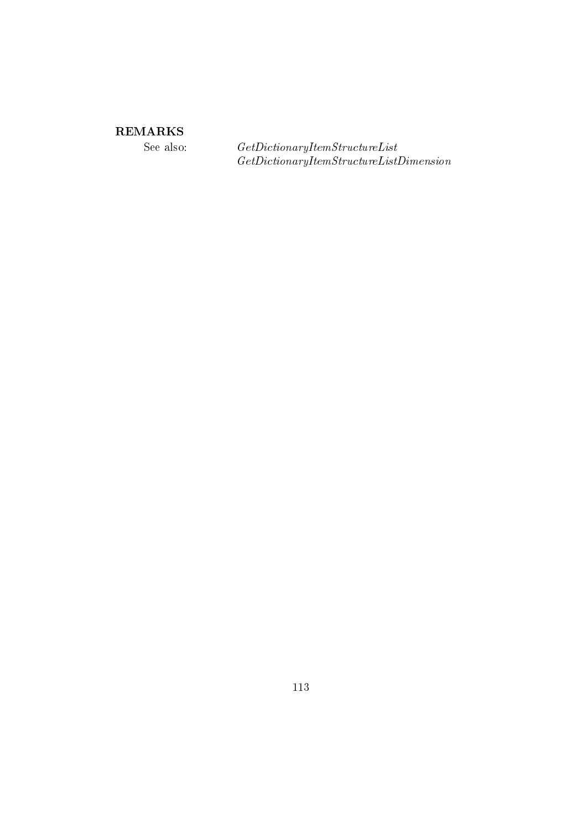See also:

 $\label{thm:2} Get Dictionary Item Structure List \\ Get DictionaryItemStructure ListDimension$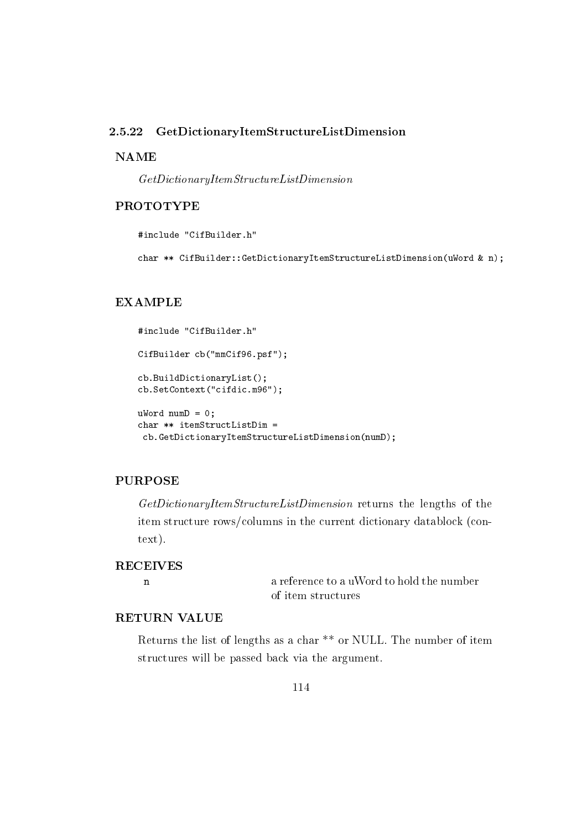#### 2.5.22 GetDictionaryItemStructureListDimension

### **NAME**

 $\label{thm:2} Get Dictionary Item Structure ListDimension$ 

## **PROTOTYPE**

#include "CifBuilder.h"

char \*\* CifBuilder::GetDictionaryItemStructureListDimension(uWord & n);

### **EXAMPLE**

```
#include "CifBuilder.h"
CifBuilder cb("mmCif96.psf");
cb.BuildDictionaryList();
cb.SetContext("cifdic.m96");
uWord numD = 0;char ** itemStructListDim =
 cb.GetDictionaryItemStructureListDimension(numD);
```
## **PURPOSE**

GetDictionaryItemStructureListDimension returns the lengths of the item structure rows/columns in the current dictionary datablock (con $text).$ 

## **RECEIVES**

 $\mathbf{n}$ 

a reference to a uWord to hold the number of item structures

## **RETURN VALUE**

Returns the list of lengths as a char<sup>\*\*</sup> or NULL. The number of item structures will be passed back via the argument.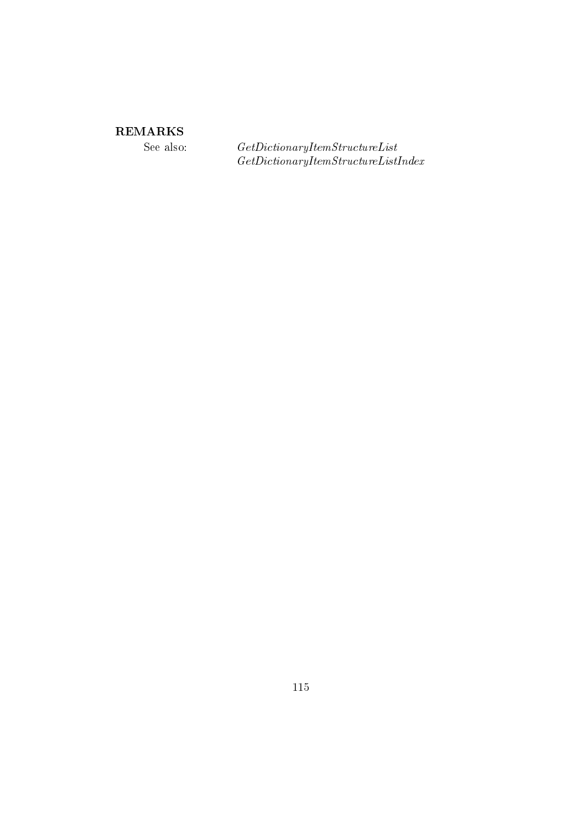See also:

 $\label{thm:2} Get Dictionary Item Structure List \\ Get DictionaryItemStructureListIndex$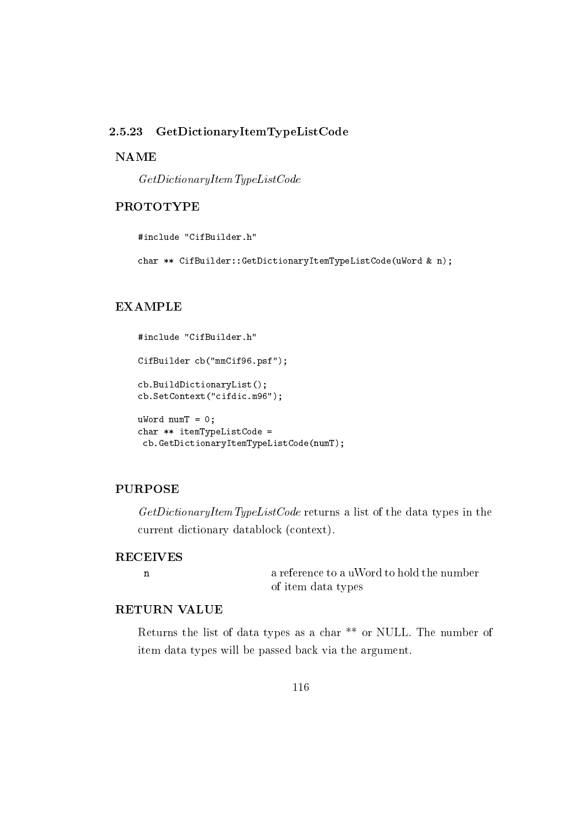#### 2.5.23 GetDictionaryItemTypeListCode

## **NAME**

 $GetDictionaryItemTypeListCode$ 

## **PROTOTYPE**

#include "CifBuilder.h"

char \*\* CifBuilder::GetDictionaryItemTypeListCode(uWord & n);

### **EXAMPLE**

```
#include "CifBuilder.h"
CifBuilder cb("mmCif96.psf");
cb.BuildDictionaryList();
cb.SetContext("cifdic.m96");
uWord numT = 0;char ** itemTypeListCode =
 cb.GetDictionaryItemTypeListCode(numT);
```
#### **PURPOSE**

 $GetDictionaryItemTypeListCode$  returns a list of the data types in the current dictionary datablock (context).

## **RECEIVES**  $\mathbf n$

a reference to a uWord to hold the number of item data types

## **RETURN VALUE**

Returns the list of data types as a char<sup>\*\*</sup> or NULL. The number of item data types will be passed back via the argument.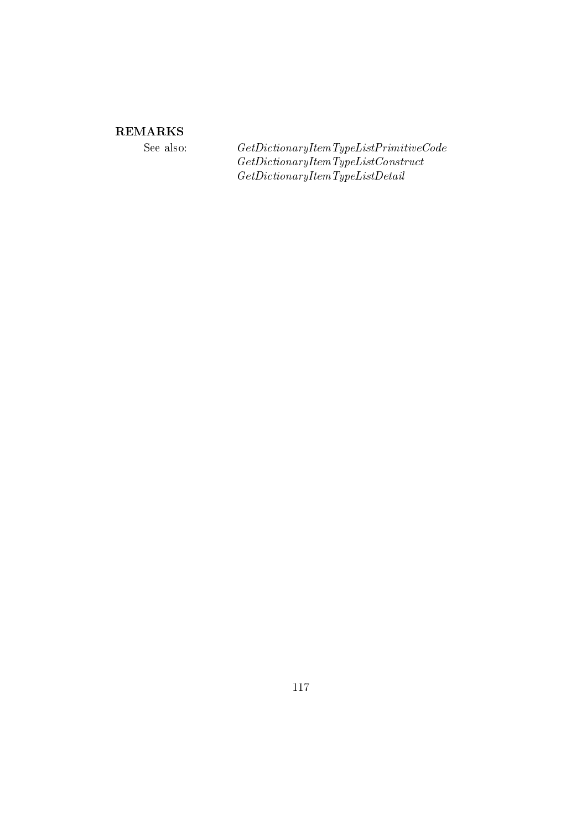See also:

 $\label{thm:ce} Get DictionaryItemType ListPrimitive Code$  $\label{thm:2} Get DictionaryItemType ListConstruct$  $\label{thm:ce} Get DictionaryItemType ListDetails$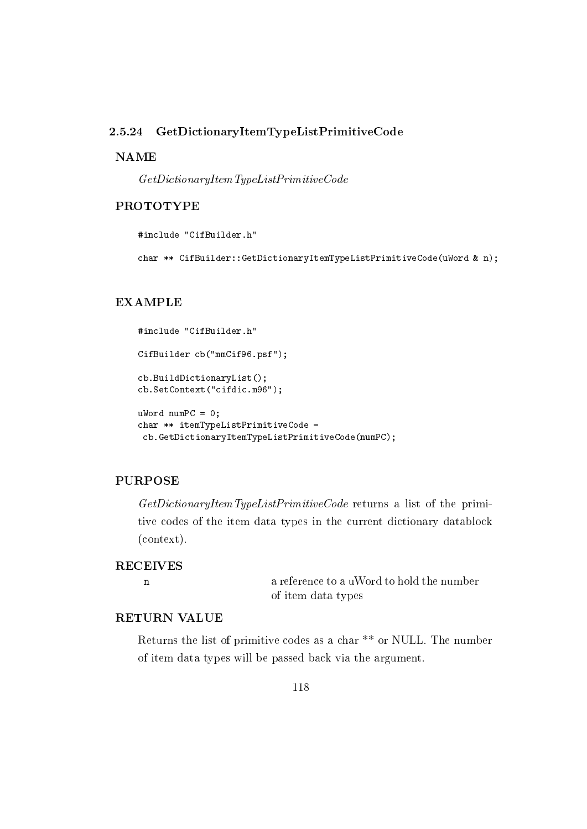#### 2.5.24 GetDictionaryItemTypeListPrimitiveCode

### **NAME**

 $GetDictionaryItemTypeListPrimitiveCode$ 

## **PROTOTYPE**

#include "CifBuilder.h"

char \*\* CifBuilder::GetDictionaryItemTypeListPrimitiveCode(uWord & n);

### **EXAMPLE**

```
#include "CifBuilder.h"
CifBuilder cb("mmCif96.psf");
cb.BuildDictionaryList();
cb.SetContext("cifdic.m96");
uWord numPC = 0;
char ** itemTypeListPrimitiveCode =
 cb.GetDictionaryItemTypeListPrimitiveCode(numPC);
```
## **PURPOSE**

 $GetDictionaryItemTypeListPrimitiveCode$  returns a list of the primitive codes of the item data types in the current dictionary datablock  $(context).$ 

### **RECEIVES**

 $\mathbf{n}$ 

a reference to a uWord to hold the number of item data types

## **RETURN VALUE**

Returns the list of primitive codes as a char<sup>\*\*</sup> or NULL. The number of item data types will be passed back via the argument.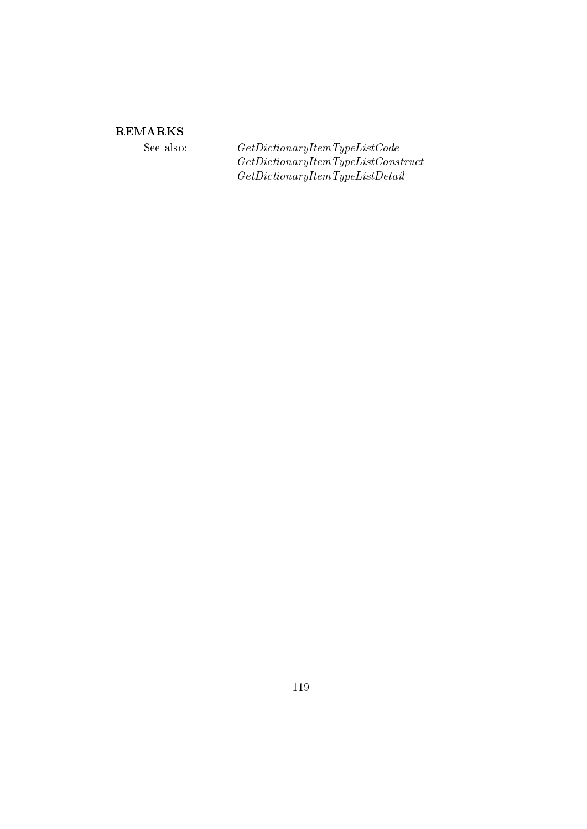See also:

 $\label{thm:2} Get DictionaryItemTypeListCode\\ Get DictionaryItemTypeListConstruct% {\it 2D} (i.e., {\it 3D} (i.e., {\it 4D} (i.e., {\it 1D} (i.e., {\it 1D} (i.e., {\it 1D} (i.e., {\it 1D} (i.e., {\it 1D} (i.e., {\it 1D} (i.e., {\it 1D} (i.e., {\it 1D} (i.e., {\it 1D} (i.e., {\it 1D} (i.e., {\it 1D} (i.e., {\it 1D} (i.e., {\it 1D} (i.e., {\it 1D} (i.e., {\it 1D} (i.e., {\it 1D} (i.e., {\it 1D} (i$  $\label{thm:ce} Get DictionaryItemType ListDetails$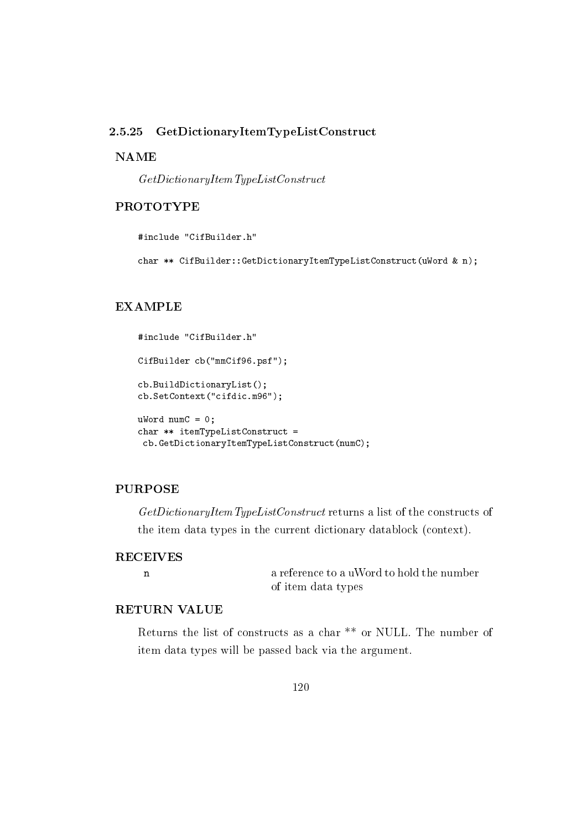#### 2.5.25 GetDictionaryItemTypeListConstruct

## **NAME**

 $GetDictionaryItemTypeListConstruct$ 

## **PROTOTYPE**

#include "CifBuilder.h"

char \*\* CifBuilder::GetDictionaryItemTypeListConstruct(uWord & n);

### **EXAMPLE**

```
#include "CifBuilder.h"
CifBuilder cb("mmCif96.psf");
cb.BuildDictionaryList();
cb.SetContext("cifdic.m96");
uWord numC = 0;char ** itemTypeListConstruct =
 cb.GetDictionaryItemTypeListConstruct(numC);
```
#### **PURPOSE**

GetDictionaryItemTypeListConstruct returns a list of the constructs of the item data types in the current dictionary datablock (context).

## **RECEIVES**  $\mathbf n$

a reference to a uWord to hold the number of item data types

## **RETURN VALUE**

Returns the list of constructs as a char<sup>\*\*</sup> or NULL. The number of item data types will be passed back via the argument.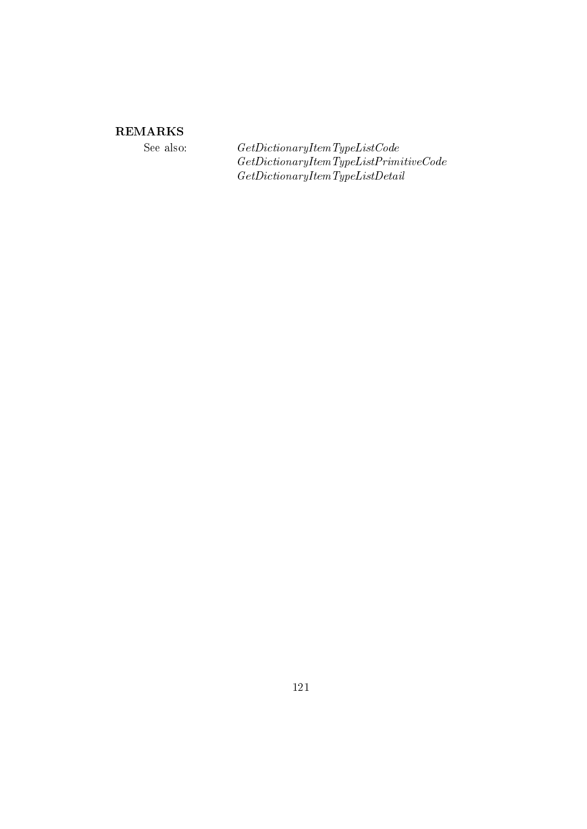See also:

 $\label{thm:2} Get DictionaryItemTypeListCode\\ Get DictionaryItemTypeListPrimitiveCode\\$  $\label{thm:ce} Get DictionaryItemType ListDetails$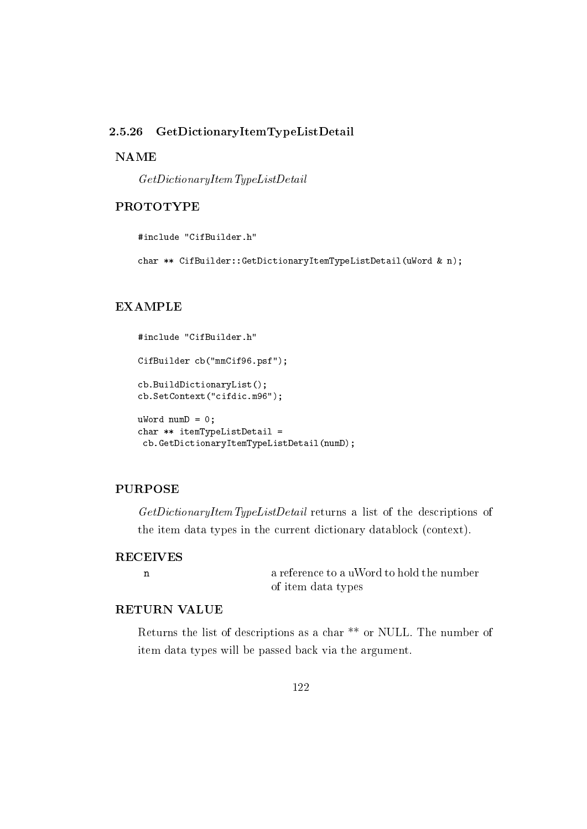#### GetDictionaryItemTypeListDetail 2.5.26

## **NAME**

 $GetDictionaryItemTypeListDetails$ 

## **PROTOTYPE**

#include "CifBuilder.h"

char \*\* CifBuilder::GetDictionaryItemTypeListDetail(uWord & n);

### **EXAMPLE**

```
#include "CifBuilder.h"
CifBuilder cb("mmCif96.psf");
cb.BuildDictionaryList();
cb.SetContext("cifdic.m96");
uWord numD = 0;char ** itemTypeListDetail =
 cb.GetDictionaryItemTypeListDetail(numD);
```
#### **PURPOSE**

GetDictionaryItemTypeListDetail returns a list of the descriptions of the item data types in the current dictionary datablock (context).

## **RECEIVES**  $\mathbf n$

a reference to a uWord to hold the number of item data types

## **RETURN VALUE**

Returns the list of descriptions as a char \*\* or NULL. The number of item data types will be passed back via the argument.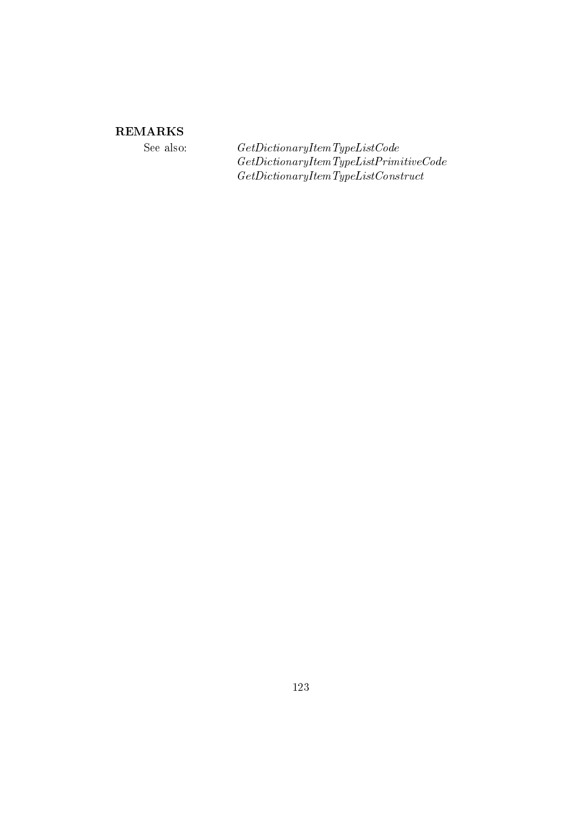See also:

 $\label{eq:6} Get DictionaryItemTypeListCode$  $\label{thm:ce} Get DictionaryItemType ListPrimitive Code$  $\label{thm:2} Get DictionaryItemTypeListConstruct$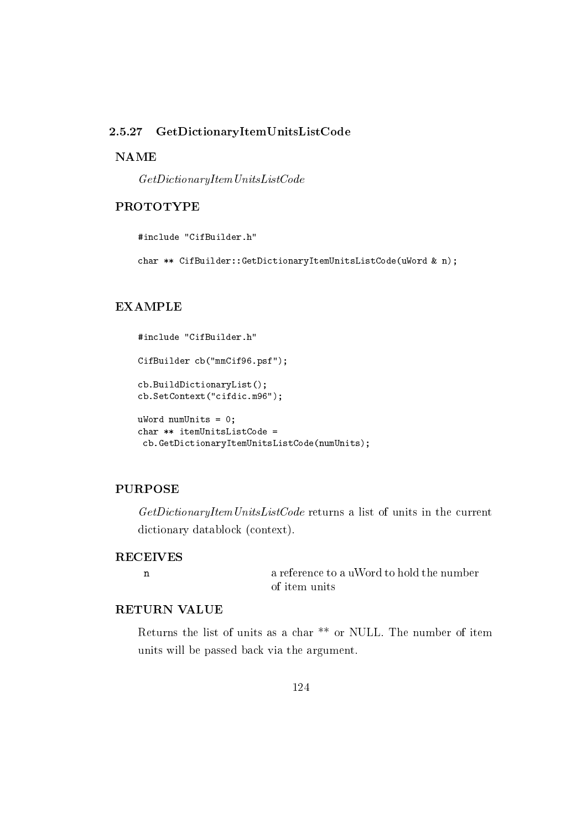#### 2.5.27 GetDictionaryItemUnitsListCode

## **NAME**

 $GetDictionaryItem UnitsListCode$ 

## **PROTOTYPE**

#include "CifBuilder.h"

char \*\* CifBuilder::GetDictionaryItemUnitsListCode(uWord & n);

## **EXAMPLE**

```
#include "CifBuilder.h"
CifBuilder cb("mmCif96.psf");
cb.BuildDictionaryList();
cb.SetContext("cifdic.m96");
uWord numUnits = 0;
char ** itemUnitsListCode =
 cb.GetDictionaryItemUnitsListCode(numUnits);
```
#### **PURPOSE**

GetDictionaryItemUnitsListCode returns a list of units in the current dictionary datablock (context).

## **RECEIVES**  $\mathbf n$

a reference to a uWord to hold the number of item units

## **RETURN VALUE**

Returns the list of units as a char<sup>\*\*</sup> or NULL. The number of item units will be passed back via the argument.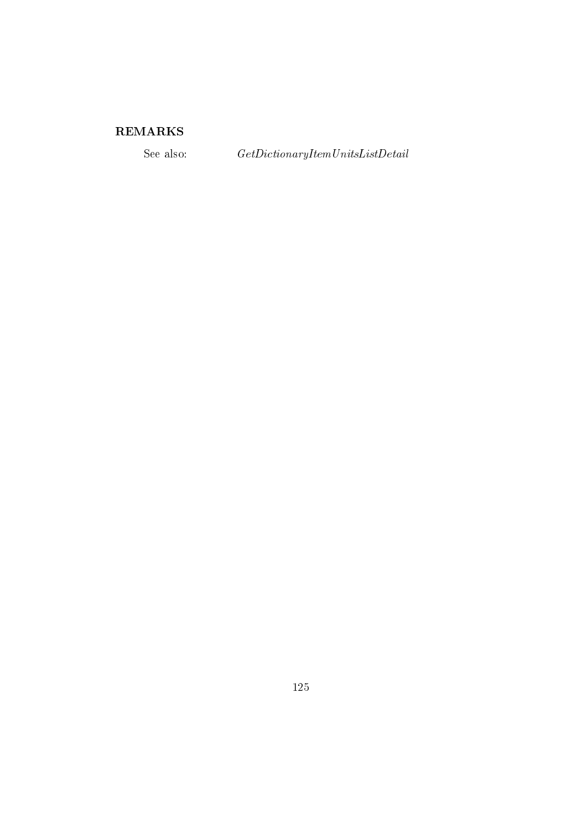See also:

 $\label{eq:2} Get DictionaryItem UnitsListDetails$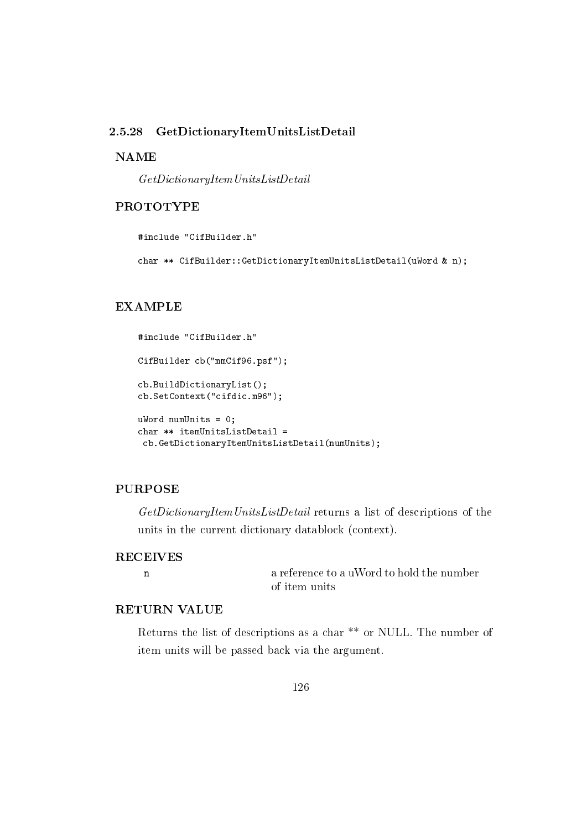#### 2.5.28 GetDictionaryItemUnitsListDetail

## **NAME**

 $GetDictionaryItem UnitsListDetails$ 

## **PROTOTYPE**

#include "CifBuilder.h"

char \*\* CifBuilder::GetDictionaryItemUnitsListDetail(uWord & n);

### **EXAMPLE**

```
#include "CifBuilder.h"
CifBuilder cb("mmCif96.psf");
cb.BuildDictionaryList();
cb.SetContext("cifdic.m96");
uWord numUnits = 0;
char ** itemUnitsListDetail =
 cb.GetDictionaryItemUnitsListDetail(numUnits);
```
### **PURPOSE**

GetDictionaryItemUnitsListDetail returns a list of descriptions of the units in the current dictionary datablock (context).

## **RECEIVES**  $\mathbf n$

a reference to a uWord to hold the number of item units

## **RETURN VALUE**

Returns the list of descriptions as a char \*\* or NULL. The number of item units will be passed back via the argument.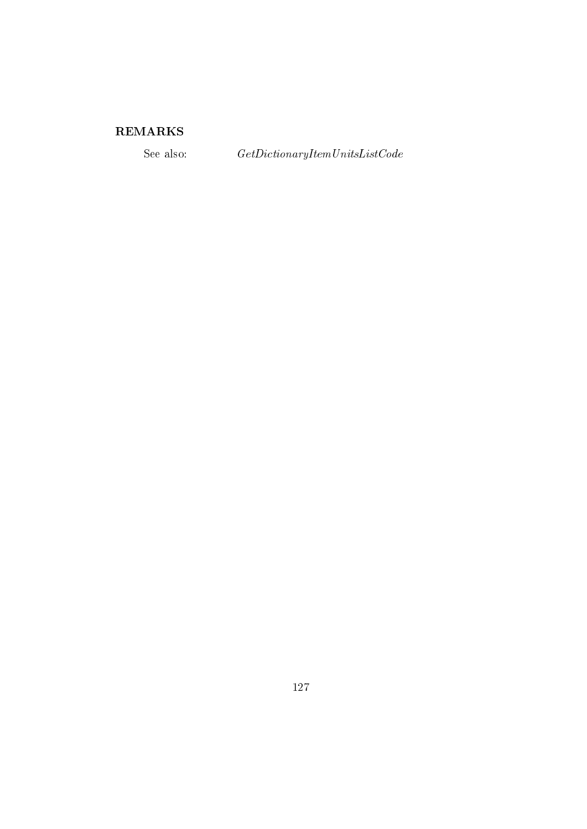See also:

 $\label{thm:ce} Get DictionaryItem UnitsListCode$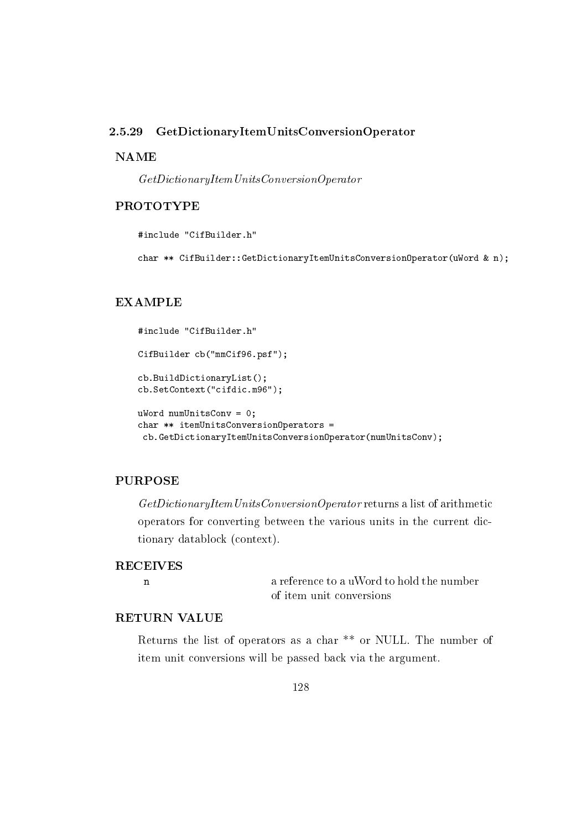#### 2.5.29 GetDictionaryItemUnitsConversionOperator

### **NAME**

 $\label{thm:ce} Get DictionaryItem Units \, Conversion Operator$ 

## **PROTOTYPE**

#include "CifBuilder.h"

char \*\* CifBuilder::GetDictionaryItemUnitsConversionOperator(uWord & n);

### **EXAMPLE**

```
#include "CifBuilder.h"
CifBuilder cb("mmCif96.psf");
cb.BuildDictionaryList();
cb.SetContext("cifdic.m96");
uWord numUnitsConv = 0;
char ** itemUnitsConversionOperators =
```
#### cb.GetDictionaryItemUnitsConversionOperator(numUnitsConv);

## **PURPOSE**

 $Get DictionaryItem Units Conversion Operator$ returns a list of arithmetic operators for converting between the various units in the current dictionary datablock (context).

### **RECEIVES**

 $\mathbf{n}$ 

a reference to a uWord to hold the number of item unit conversions

## **RETURN VALUE**

Returns the list of operators as a char<sup>\*\*</sup> or NULL. The number of item unit conversions will be passed back via the argument.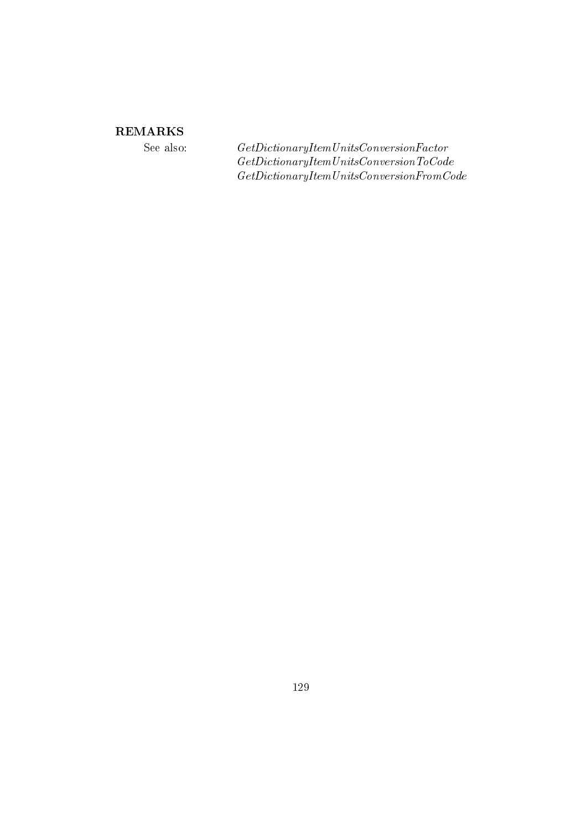## **REMARKS**

See also:

 $\label{thm:2} Get Dictionary Item Units \label{thm:2} Conversion Factor$  $\label{thm:ce} Get DictionaryItem Units \, Conversion To \, Code$  $\label{thm:ce} Get DictionaryItem Units Conversion From Code$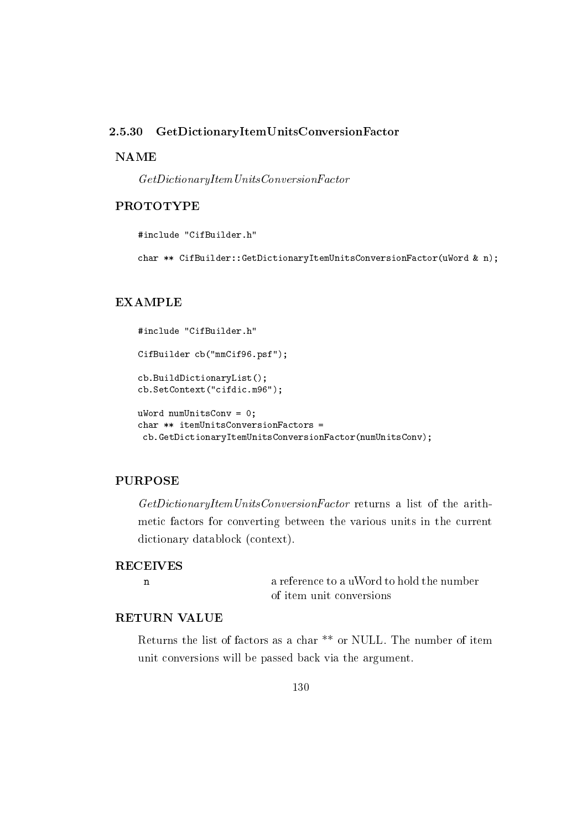#### 2.5.30 GetDictionaryItemUnitsConversionFactor

## **NAME**

 $GetDictionaryItem Units ConversionFactor$ 

## **PROTOTYPE**

#include "CifBuilder.h"

char \*\* CifBuilder::GetDictionaryItemUnitsConversionFactor(uWord & n);

### **EXAMPLE**

```
#include "CifBuilder.h"
CifBuilder cb("mmCif96.psf");
cb.BuildDictionaryList();
cb.SetContext("cifdic.m96");
uWord numUnitsConv = 0;
char ** itemUnitsConversionFactors =
 cb.GetDictionaryItemUnitsConversionFactor(numUnitsConv);
```
## **PURPOSE**

GetDictionaryItemUnitsConversionFactor returns a list of the arithmetic factors for converting between the various units in the current dictionary datablock (context).

#### **RECEIVES**

 $\mathbf{n}$ 

a reference to a uWord to hold the number of item unit conversions

## **RETURN VALUE**

Returns the list of factors as a char<sup>\*\*</sup> or NULL. The number of item unit conversions will be passed back via the argument.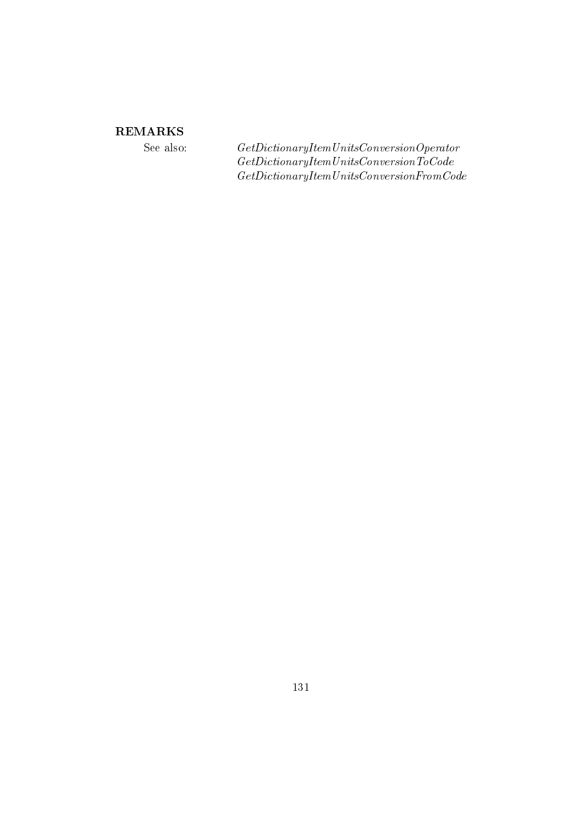## **REMARKS**

See also:

 $\label{thm:2} Get DictionaryItem Units Conversion Operator \\ Get DictionaryItem Units Conversion To Code$  $\label{thm:ce} Get DictionaryItem Units Conversion From Code$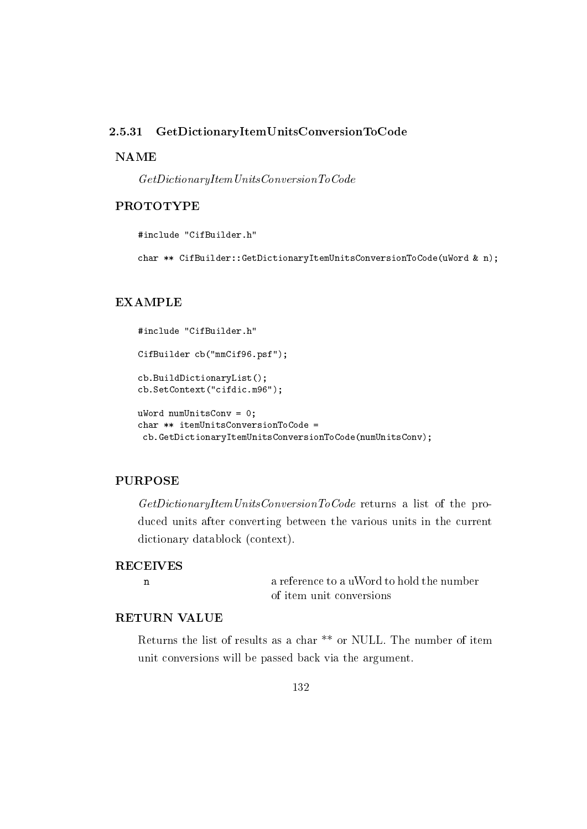#### 2.5.31 GetDictionaryItemUnitsConversionToCode

## **NAME**

 $GetDictionaryItem Units Conversion To Code$ 

## **PROTOTYPE**

#include "CifBuilder.h"

char \*\* CifBuilder::GetDictionaryItemUnitsConversionToCode(uWord & n);

### **EXAMPLE**

```
#include "CifBuilder.h"
CifBuilder cb("mmCif96.psf");
cb.BuildDictionaryList();
cb.SetContext("cifdic.m96");
uWord numUnitsConv = 0;
char ** itemUnitsConversionToCode =
 cb.GetDictionaryItemUnitsConversionToCode(numUnitsConv);
```
## **PURPOSE**

GetDictionaryItemUnitsConversionToCode returns a list of the produced units after converting between the various units in the current dictionary datablock (context).

### **RECEIVES**

 $\mathbf{n}$ 

a reference to a uWord to hold the number of item unit conversions

## **RETURN VALUE**

Returns the list of results as a char<sup>\*\*</sup> or NULL. The number of item unit conversions will be passed back via the argument.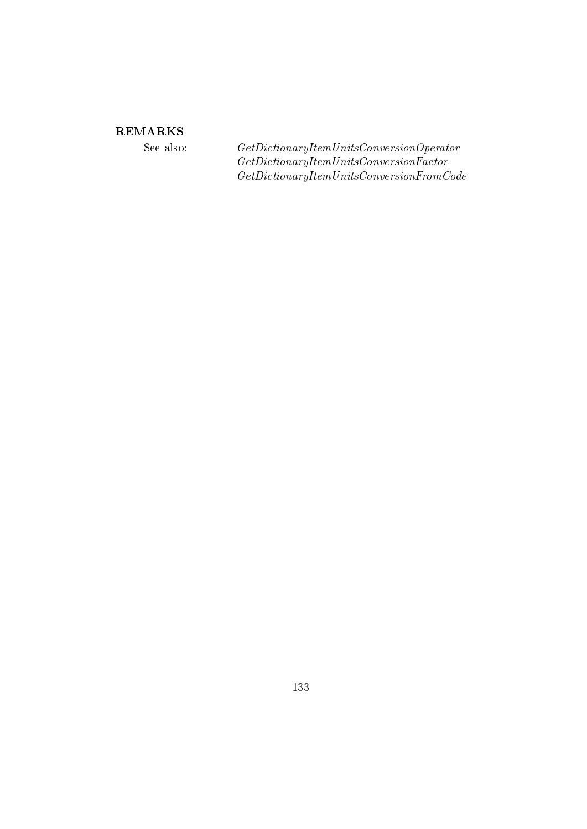## **REMARKS**

See also:

 $\label{thm:2} Get DictionaryItem Units Conversion Operator \\ Get DictionaryItem Units ConversionFactor$  $\label{thm:ce} Get DictionaryItem Units Conversion From Code$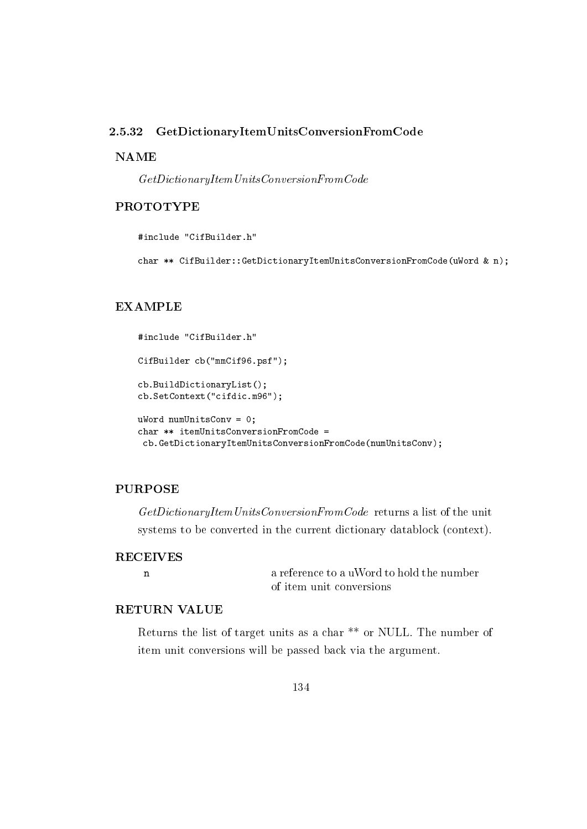#### 2.5.32 GetDictionaryItemUnitsConversionFromCode

## **NAME**

 $\label{thm:ce} Get Dictionary Item Units Conversion From Code$ 

## **PROTOTYPE**

#include "CifBuilder.h"

char \*\* CifBuilder::GetDictionaryItemUnitsConversionFromCode(uWord & n);

### **EXAMPLE**

```
#include "CifBuilder.h"
CifBuilder cb("mmCif96.psf");
cb.BuildDictionaryList();
cb.SetContext("cifdic.m96");
uWord numUnitsConv = 0;
char ** itemUnitsConversionFromCode =
 cb.GetDictionaryItemUnitsConversionFromCode(numUnitsConv);
```
### **PURPOSE**

GetDictionaryItemUnitsConversionFromCode returns a list of the unit systems to be converted in the current dictionary datablock (context).

## **RECEIVES**  $\mathbf n$

a reference to a uWord to hold the number of item unit conversions

## **RETURN VALUE**

Returns the list of target units as a char \*\* or NULL. The number of item unit conversions will be passed back via the argument.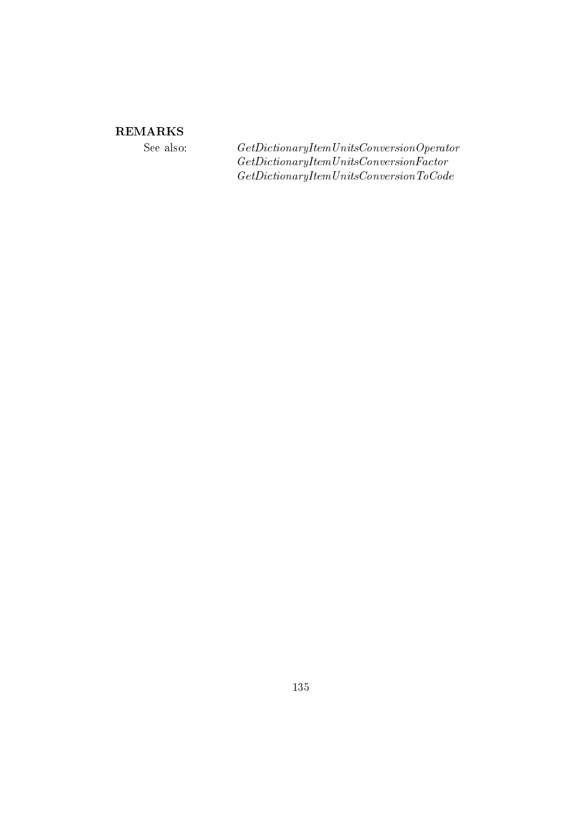## **REMARKS**

See also:

 $\label{thm:2} Get DictionaryItem Units Conversion Operator \\ Get DictionaryItem Units ConversionFactor$  $\label{thm:ce} Get DictionaryItem Units \, Conversion \, To \, Code$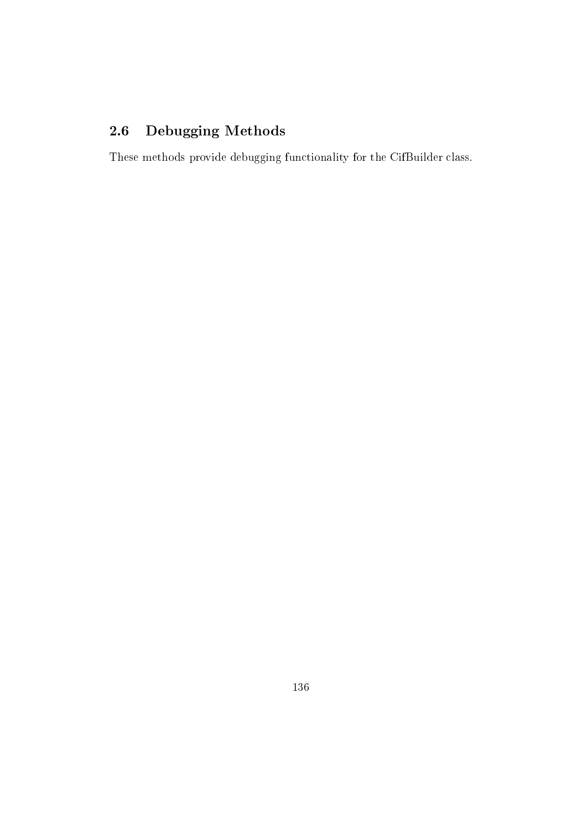#### Debugging Methods  $2.6$

These methods provide debugging functionality for the CifBuilder class.